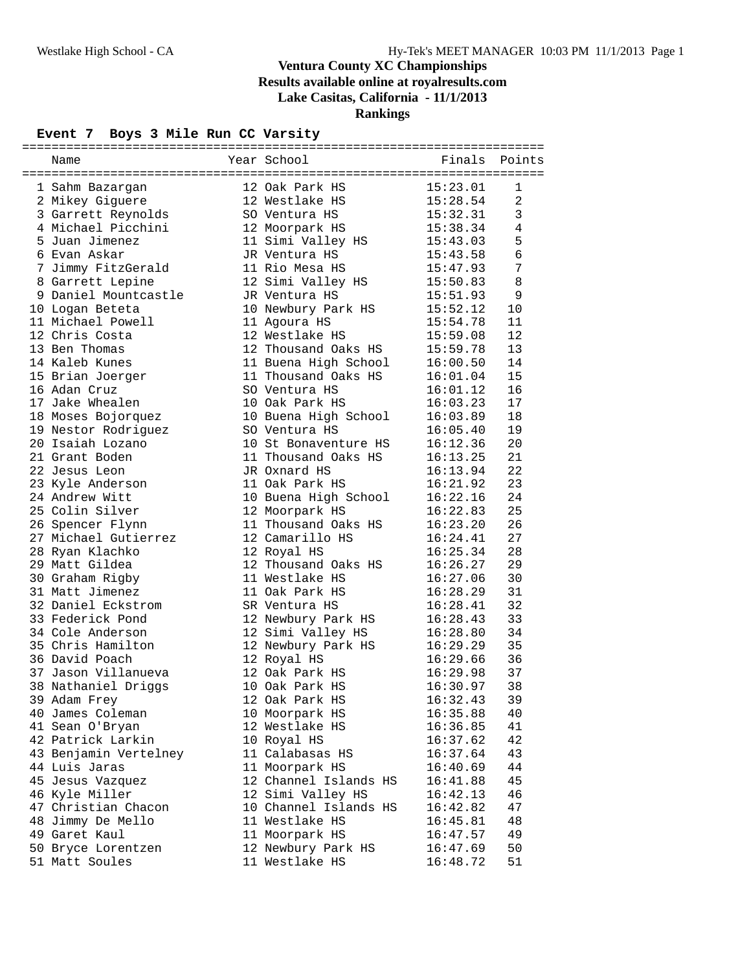### **Event 7 Boys 3 Mile Run CC Varsity**

| Name                  | Year School           | Finals   | Points         |
|-----------------------|-----------------------|----------|----------------|
|                       |                       |          |                |
| 1 Sahm Bazargan       | 12 Oak Park HS        | 15:23.01 | 1              |
| 2 Mikey Giguere       | 12 Westlake HS        | 15:28.54 | $\overline{a}$ |
| 3 Garrett Reynolds    | SO Ventura HS         | 15:32.31 | $\mathbf{3}$   |
| 4 Michael Picchini    | 12 Moorpark HS        | 15:38.34 | 4              |
| 5 Juan Jimenez        | 11 Simi Valley HS     | 15:43.03 | 5              |
| 6 Evan Askar          | JR Ventura HS         | 15:43.58 | $\epsilon$     |
| 7 Jimmy FitzGerald    | 11 Rio Mesa HS        | 15:47.93 | 7              |
| 8 Garrett Lepine      | 12 Simi Valley HS     | 15:50.83 | 8              |
| 9 Daniel Mountcastle  | JR Ventura HS         | 15:51.93 | 9              |
| 10 Logan Beteta       | 10 Newbury Park HS    | 15:52.12 | 10             |
| 11 Michael Powell     | 11 Agoura HS          | 15:54.78 | 11             |
| 12 Chris Costa        | 12 Westlake HS        | 15:59.08 | 12             |
| 13 Ben Thomas         | 12 Thousand Oaks HS   | 15:59.78 | 13             |
| 14 Kaleb Kunes        | 11 Buena High School  | 16:00.50 | 14             |
| 15 Brian Joerger      | 11 Thousand Oaks HS   | 16:01.04 | 15             |
| 16 Adan Cruz          | SO Ventura HS         | 16:01.12 | 16             |
| 17 Jake Whealen       | 10 Oak Park HS        | 16:03.23 | 17             |
| 18 Moses Bojorquez    | 10 Buena High School  | 16:03.89 | 18             |
| 19 Nestor Rodriguez   | SO Ventura HS         | 16:05.40 | 19             |
| 20 Isaiah Lozano      | 10 St Bonaventure HS  | 16:12.36 | 20             |
| 21 Grant Boden        | 11 Thousand Oaks HS   | 16:13.25 | 21             |
| 22 Jesus Leon         | JR Oxnard HS          | 16:13.94 | 22             |
| 23 Kyle Anderson      | 11 Oak Park HS        | 16:21.92 | 23             |
| 24 Andrew Witt        | 10 Buena High School  | 16:22.16 | 24             |
| 25 Colin Silver       | 12 Moorpark HS        | 16:22.83 | 25             |
| 26 Spencer Flynn      | 11 Thousand Oaks HS   | 16:23.20 | 26             |
| 27 Michael Gutierrez  | 12 Camarillo HS       | 16:24.41 | 27             |
| 28 Ryan Klachko       | 12 Royal HS           | 16:25.34 | 28             |
| 29 Matt Gildea        | 12 Thousand Oaks HS   | 16:26.27 | 29             |
| 30 Graham Rigby       | 11 Westlake HS        | 16:27.06 | 30             |
| 31 Matt Jimenez       | 11 Oak Park HS        | 16:28.29 | 31             |
| 32 Daniel Eckstrom    | SR Ventura HS         | 16:28.41 | 32             |
| 33 Federick Pond      | 12 Newbury Park HS    | 16:28.43 | 33             |
| 34 Cole Anderson      | 12 Simi Valley HS     | 16:28.80 | 34             |
| 35 Chris Hamilton     | 12 Newbury Park HS    | 16:29.29 | 35             |
| 36 David Poach        | 12 Royal HS           | 16:29.66 | 36             |
| 37 Jason Villanueva   | 12 Oak Park HS        | 16:29.98 | 37             |
| 38 Nathaniel Driggs   | 10 Oak Park HS        | 16:30.97 | 38             |
| 39 Adam Frey          | 12 Oak Park HS        | 16:32.43 | 39             |
| 40 James Coleman      | 10 Moorpark HS        | 16:35.88 | 40             |
| 41 Sean O'Bryan       | 12 Westlake HS        | 16:36.85 | 41             |
| 42 Patrick Larkin     | 10 Royal HS           | 16:37.62 | 42             |
| 43 Benjamin Vertelney | 11 Calabasas HS       | 16:37.64 | 43             |
| 44 Luis Jaras         | 11 Moorpark HS        | 16:40.69 | 44             |
| 45 Jesus Vazquez      | 12 Channel Islands HS | 16:41.88 | 45             |
| 46 Kyle Miller        | 12 Simi Valley HS     | 16:42.13 | 46             |
| 47 Christian Chacon   | 10 Channel Islands HS | 16:42.82 | 47             |
| 48 Jimmy De Mello     | 11 Westlake HS        | 16:45.81 | 48             |
| 49 Garet Kaul         | 11 Moorpark HS        | 16:47.57 | 49             |
| 50 Bryce Lorentzen    | 12 Newbury Park HS    | 16:47.69 | 50             |
| 51 Matt Soules        | 11 Westlake HS        | 16:48.72 | 51             |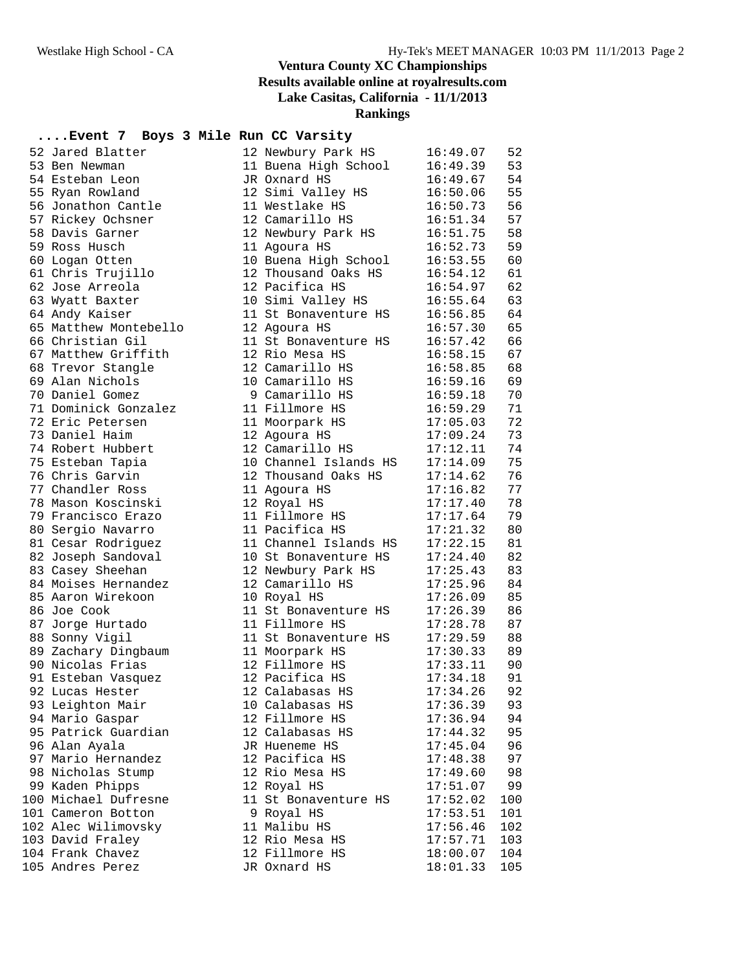#### **....Event 7 Boys 3 Mile Run CC Varsity**

| 52 Jared Blatter      | 12 Newbury Park HS    | 16:49.07 | 52  |
|-----------------------|-----------------------|----------|-----|
| 53 Ben Newman         | 11 Buena High School  | 16:49.39 | 53  |
| 54 Esteban Leon       | JR Oxnard HS          | 16:49.67 | 54  |
| 55 Ryan Rowland       | 12 Simi Valley HS     | 16:50.06 | 55  |
| 56 Jonathon Cantle    | 11 Westlake HS        | 16:50.73 | 56  |
| 57 Rickey Ochsner     | 12 Camarillo HS       | 16:51.34 | 57  |
| 58 Davis Garner       | 12 Newbury Park HS    | 16:51.75 | 58  |
| 59 Ross Husch         | 11 Agoura HS          | 16:52.73 | 59  |
| 60 Logan Otten        | 10 Buena High School  | 16:53.55 | 60  |
| 61 Chris Trujillo     | 12 Thousand Oaks HS   | 16:54.12 | 61  |
| 62 Jose Arreola       | 12 Pacifica HS        | 16:54.97 | 62  |
| 63 Wyatt Baxter       | 10 Simi Valley HS     | 16:55.64 | 63  |
| 64 Andy Kaiser        | 11 St Bonaventure HS  | 16:56.85 | 64  |
| 65 Matthew Montebello | 12 Agoura HS          | 16:57.30 | 65  |
| 66 Christian Gil      | 11 St Bonaventure HS  | 16:57.42 | 66  |
| 67 Matthew Griffith   | 12 Rio Mesa HS        | 16:58.15 | 67  |
| 68 Trevor Stangle     | 12 Camarillo HS       | 16:58.85 | 68  |
| 69 Alan Nichols       | 10 Camarillo HS       | 16:59.16 | 69  |
| 70 Daniel Gomez       | 9 Camarillo HS        | 16:59.18 | 70  |
| 71 Dominick Gonzalez  | 11 Fillmore HS        | 16:59.29 | 71  |
| 72 Eric Petersen      | 11 Moorpark HS        | 17:05.03 | 72  |
| 73 Daniel Haim        | 12 Agoura HS          | 17:09.24 | 73  |
| 74 Robert Hubbert     | 12 Camarillo HS       | 17:12.11 | 74  |
| 75 Esteban Tapia      | 10 Channel Islands HS | 17:14.09 | 75  |
| 76 Chris Garvin       | 12 Thousand Oaks HS   | 17:14.62 | 76  |
| 77 Chandler Ross      | 11 Agoura HS          | 17:16.82 | 77  |
| 78 Mason Koscinski    | 12 Royal HS           | 17:17.40 | 78  |
| 79 Francisco Erazo    | 11 Fillmore HS        | 17:17.64 | 79  |
| 80 Sergio Navarro     | 11 Pacifica HS        | 17:21.32 | 80  |
| 81 Cesar Rodriguez    | 11 Channel Islands HS | 17:22.15 | 81  |
| 82 Joseph Sandoval    | 10 St Bonaventure HS  | 17:24.40 | 82  |
| 83 Casey Sheehan      | 12 Newbury Park HS    | 17:25.43 | 83  |
| 84 Moises Hernandez   | 12 Camarillo HS       | 17:25.96 | 84  |
| 85 Aaron Wirekoon     | 10 Royal HS           | 17:26.09 | 85  |
| 86 Joe Cook           | 11 St Bonaventure HS  | 17:26.39 | 86  |
| 87 Jorge Hurtado      | 11 Fillmore HS        | 17:28.78 | 87  |
| 88 Sonny Vigil        | 11 St Bonaventure HS  | 17:29.59 | 88  |
| 89 Zachary Dingbaum   | 11 Moorpark HS        | 17:30.33 | 89  |
| 90 Nicolas Frias      | 12 Fillmore HS        | 17:33.11 | 90  |
| 91 Esteban Vasquez    | 12 Pacifica HS        | 17:34.18 | 91  |
| 92 Lucas Hester       | 12 Calabasas HS       | 17:34.26 | 92  |
| 93 Leighton Mair      | 10 Calabasas HS       | 17:36.39 | 93  |
| 94 Mario Gaspar       | 12 Fillmore HS        | 17:36.94 | 94  |
| 95 Patrick Guardian   | 12 Calabasas HS       | 17:44.32 | 95  |
| 96 Alan Ayala         | JR Hueneme HS         | 17:45.04 | 96  |
| 97 Mario Hernandez    | 12 Pacifica HS        | 17:48.38 | 97  |
| 98 Nicholas Stump     | 12 Rio Mesa HS        | 17:49.60 | 98  |
| 99 Kaden Phipps       | 12 Royal HS           | 17:51.07 | 99  |
| 100 Michael Dufresne  | 11 St Bonaventure HS  | 17:52.02 | 100 |
| 101 Cameron Botton    | 9 Royal HS            | 17:53.51 | 101 |
| 102 Alec Wilimovsky   | 11 Malibu HS          | 17:56.46 | 102 |
| 103 David Fraley      | 12 Rio Mesa HS        | 17:57.71 | 103 |
| 104 Frank Chavez      | 12 Fillmore HS        | 18:00.07 | 104 |
| 105 Andres Perez      | JR Oxnard HS          | 18:01.33 | 105 |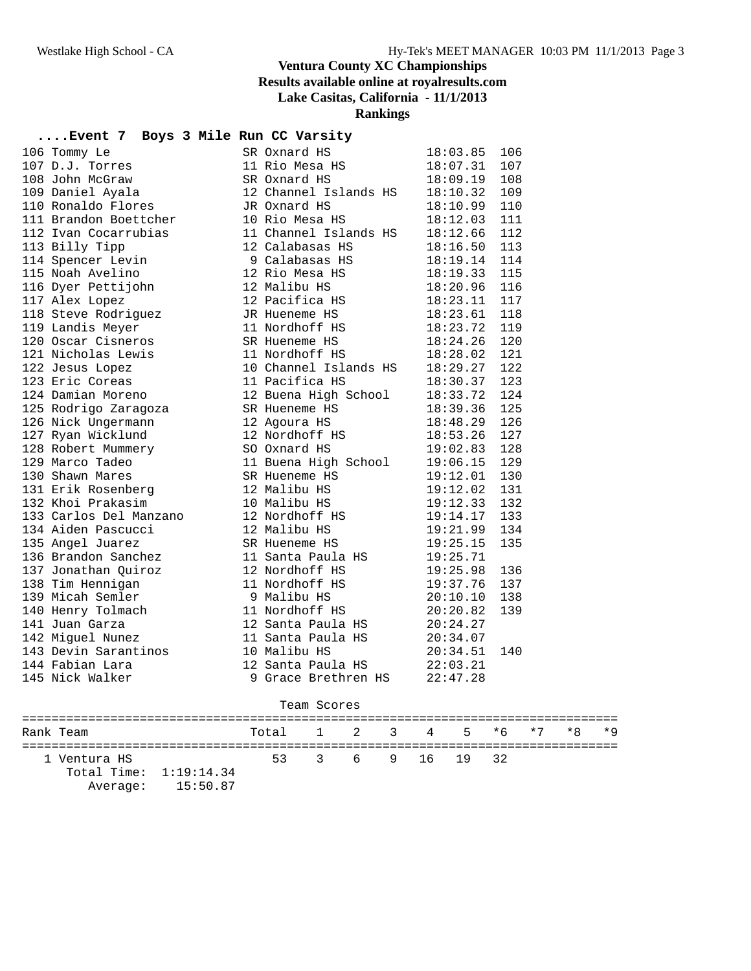#### **....Event 7 Boys 3 Mile Run CC Varsity**

| 106 Tommy Le<br>107 D.J. Torres<br>108 John McGraw<br>109 Daniel Ayala                          | SR Oxnard HS                                                                    | 18:03.85     | 106 |
|-------------------------------------------------------------------------------------------------|---------------------------------------------------------------------------------|--------------|-----|
|                                                                                                 | SA CANALLER<br>11 Rio Mesa HS                                                   | 18:07.31     | 107 |
|                                                                                                 | SR Oxnard HS                                                                    | 18:09.19     | 108 |
|                                                                                                 | 12 Channel Islands HS                                                           | 18:10.32     | 109 |
| 110 Ronaldo Flores                                                                              | JR Oxnard HS                                                                    | 18:10.99     | 110 |
| 111 Brandon Boettcher                                                                           | 10 Rio Mesa HS                                                                  | 18:12.03     | 111 |
| 112 Ivan Cocarrubias                                                                            | 11 Channel Islands HS                                                           | 18:12.66     | 112 |
| 113 Billy Tipp                                                                                  | 12 Calabasas HS                                                                 | 18:16.50     | 113 |
| 114 Spencer Levin                                                                               | Calapasas HS<br>12 Rio Mesa HS<br>12 Melii                                      | 18:19.14 114 |     |
| 115 Noah Avelino                                                                                |                                                                                 | 18:19.33     | 115 |
| 116 Dyer Pettijohn                                                                              | 12 Malibu HS                                                                    | 18:20.96     | 116 |
| 117 Alex Lopez                                                                                  | 12 Pacifica HS                                                                  | 18:23.11     | 117 |
| 118 Steve Rodriguez                                                                             | JR Hueneme HS                                                                   | 18:23.61     | 118 |
| 119 Landis Meyer                                                                                | 11 Nordhoff HS<br>SR Hueneme HS<br>18:23.72 119<br>18:28.02 121<br>18:28.02 121 |              |     |
| 120 Oscar Cisneros                                                                              |                                                                                 |              |     |
|                                                                                                 |                                                                                 |              |     |
| 121 Nicholas Lewis<br>122 Jesus Lopez<br>123 Eric Coreas                                        | 10 Channel Islands HS 18:29.27                                                  |              | 122 |
|                                                                                                 | 11 Pacifica HS                                                                  | 18:30.37     | 123 |
| 124 Damian Moreno                                                                               | 12 Buena High School                                                            | 18:33.72     | 124 |
| 125 Rodrigo Zaragoza                                                                            | SR Hueneme HS                                                                   | 18:39.36     | 125 |
| 126 Nick Ungermann                                                                              | 12 Agoura HS                                                                    | 18:48.29     | 126 |
|                                                                                                 | 12 Nordhoff HS                                                                  | 18:53.26 127 |     |
| 127 Ryan Wicklund<br>128 Robert Mummery<br>129 Marco Tadeo                                      | SO Oxnard HS                                                                    | 19:02.83     | 128 |
|                                                                                                 | 11 Buena High School                                                            | 19:06.15     | 129 |
| 130 Shawn Mares                                                                                 | SR Hueneme HS                                                                   | 19:12.01     | 130 |
| 131 Erik Rosenberg<br>132 Khoi Prakasim                                                         | 12 Malibu HS                                                                    | 19:12.02     | 131 |
|                                                                                                 | 10 Malibu HS                                                                    | 19:12.33     | 132 |
|                                                                                                 | 12 Nordhoff HS<br>12 Malibu HS                                                  | 19:14.17 133 |     |
| 133 Carlos Del Manzano<br>134 Aiden Pascucci                                                    | 12 Malibu HS                                                                    | 19:21.99     | 134 |
| 135 Angel Juarez                                                                                | 19:25.15<br>SR Hueneme HS                                                       |              | 135 |
| 136 Brandon Sanchez                                                                             | 11 Santa Paula HS                                                               | 19:25.71     |     |
| 137 Jonathan Quiroz                                                                             | 12 Nordhoff HS                                                                  | 19:25.98     | 136 |
| 138 Tim Hennigan                                                                                | 11 Nordhoff HS                                                                  | 19:37.76     | 137 |
| 139 Micah Semler 9 Malibu HS<br>140 Henry Tolmach 11 Nordhoff I<br>141 Juan Garza 12 Santa Paul |                                                                                 | 20:10.10     | 138 |
|                                                                                                 | 11 Nordhoff HS                                                                  | 20:20.82     | 139 |
|                                                                                                 | 12 Santa Paula HS $20:24.27$                                                    |              |     |
| 142 Miguel Nunez                                                                                | 11 Santa Paula HS 20:34.07                                                      |              |     |
| 143 Devin Sarantinos                                                                            | 10 Malibu HS                                                                    | 20:34.51     | 140 |
| 144 Fabian Lara                                                                                 | 12 Santa Paula HS                                                               | 22:03.21     |     |
| 145 Nick Walker                                                                                 | 9 Grace Brethren HS 22:47.28                                                    |              |     |
|                                                                                                 |                                                                                 |              |     |

|  | Team Scores |
|--|-------------|
|--|-------------|

| Rank Team |                                          |                   | Total 1 2 3 4 5 *6 *7 *8 *9 |                   |  |  |  |  |
|-----------|------------------------------------------|-------------------|-----------------------------|-------------------|--|--|--|--|
|           | 1 Ventura HS<br>Total Time: $1:19:14.34$ | Average: 15:50.87 |                             | 53 3 6 9 16 19 32 |  |  |  |  |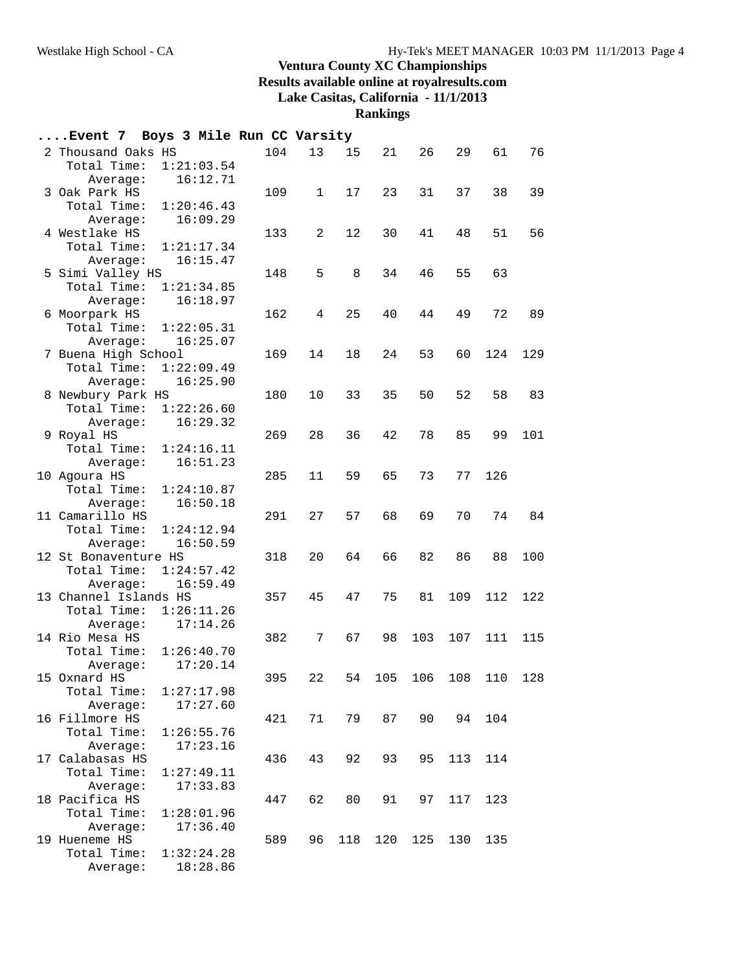**Rankings**

| Event 7 Boys 3 Mile Run CC Varsity |                        |     |              |     |     |     |     |         |     |
|------------------------------------|------------------------|-----|--------------|-----|-----|-----|-----|---------|-----|
| 2 Thousand Oaks HS<br>Total Time:  | 1:21:03.54             | 104 | 13           | 15  | 21  | 26  | 29  | 61      | 76  |
| Average:                           | 16:12.71               |     |              |     |     |     |     |         |     |
| 3 Oak Park HS                      |                        | 109 | $\mathbf{1}$ | 17  | 23  | 31  | 37  | 38      | 39  |
| Total Time:                        | 1:20:46.43             |     |              |     |     |     |     |         |     |
| Average:                           | 16:09.29               |     |              |     |     |     |     |         |     |
| 4 Westlake HS                      |                        | 133 | 2            | 12  | 30  | 41  | 48  | 51      | 56  |
| Total Time:                        | 1:21:17.34             |     |              |     |     |     |     |         |     |
| Average:                           | 16:15.47               |     |              |     |     |     |     |         |     |
| 5 Simi Valley HS<br>Total Time:    | 1:21:34.85             | 148 | 5            | 8   | 34  | 46  | 55  | 63      |     |
| Average:                           | 16:18.97               |     |              |     |     |     |     |         |     |
| 6 Moorpark HS                      |                        | 162 | 4            | 25  | 40  | 44  | 49  | 72      | 89  |
| Total Time:                        | 1:22:05.31             |     |              |     |     |     |     |         |     |
| Average:                           | 16:25.07               |     |              |     |     |     |     |         |     |
| 7 Buena High School                |                        | 169 | 14           | 18  | 24  | 53  | 60  | 124     | 129 |
| Total Time:                        | 1:22:09.49             |     |              |     |     |     |     |         |     |
| Average:                           | 16:25.90               |     |              |     |     |     |     |         |     |
| 8 Newbury Park HS                  |                        | 180 | 10           | 33  | 35  | 50  | 52  | 58      | 83  |
| Total Time:                        | 1:22:26.60             |     |              |     |     |     |     |         |     |
| Average:                           | 16:29.32               |     |              |     |     |     |     |         |     |
| 9 Royal HS                         |                        | 269 | 28           | 36  | 42  | 78  | 85  | 99      | 101 |
| Total Time:                        | 1:24:16.11             |     |              |     |     |     |     |         |     |
| Average:                           | 16:51.23               |     |              |     |     |     |     |         |     |
| 10 Agoura HS                       |                        | 285 | 11           | 59  | 65  | 73  | 77  | 126     |     |
| Total Time:                        | 1:24:10.87             |     |              |     |     |     |     |         |     |
| Average:                           | 16:50.18               |     |              |     |     |     |     |         |     |
| 11 Camarillo HS                    |                        | 291 | 27           | 57  | 68  | 69  | 70  | 74      | 84  |
| Total Time:                        | 1:24:12.94             |     |              |     |     |     |     |         |     |
| Average:                           | 16:50.59               |     |              |     |     |     |     |         |     |
| 12 St Bonaventure HS               |                        | 318 | 20           | 64  | 66  | 82  | 86  | 88      | 100 |
| Total Time:                        | 1:24:57.42<br>16:59.49 |     |              |     |     |     |     |         |     |
| Average:<br>13 Channel Islands HS  |                        | 357 | 45           | 47  | 75  | 81  | 109 | 112     | 122 |
| Total Time:                        | 1:26:11.26             |     |              |     |     |     |     |         |     |
| Average:                           | 17:14.26               |     |              |     |     |     |     |         |     |
| 14 Rio Mesa HS                     |                        | 382 | 7            | 67  | 98  | 103 | 107 | 111     | 115 |
| Total Time:                        | 1:26:40.70             |     |              |     |     |     |     |         |     |
| Average:                           | 17:20.14               |     |              |     |     |     |     |         |     |
| 15 Oxnard HS                       |                        | 395 | 22           | 54  | 105 | 106 |     | 108 110 | 128 |
| Total Time:                        | 1:27:17.98             |     |              |     |     |     |     |         |     |
| Average:                           | 17:27.60               |     |              |     |     |     |     |         |     |
| 16 Fillmore HS                     |                        | 421 | 71           | 79  | 87  | 90  |     | 94 104  |     |
| Total Time:                        | 1:26:55.76             |     |              |     |     |     |     |         |     |
| Average:                           | 17:23.16               |     |              |     |     |     |     |         |     |
| 17 Calabasas HS                    |                        | 436 | 43           | 92  | 93  | 95  | 113 | 114     |     |
| Total Time:                        | 1:27:49.11             |     |              |     |     |     |     |         |     |
| Average:                           | 17:33.83               |     |              |     |     |     |     |         |     |
| 18 Pacifica HS                     |                        | 447 | 62           | 80  | 91  | 97  | 117 | 123     |     |
| Total Time:                        | 1:28:01.96             |     |              |     |     |     |     |         |     |
| Average:                           | 17:36.40               |     |              |     |     |     |     |         |     |
| 19 Hueneme HS<br>Total Time:       | 1:32:24.28             | 589 | 96           | 118 | 120 | 125 | 130 | 135     |     |
| Average:                           | 18:28.86               |     |              |     |     |     |     |         |     |
|                                    |                        |     |              |     |     |     |     |         |     |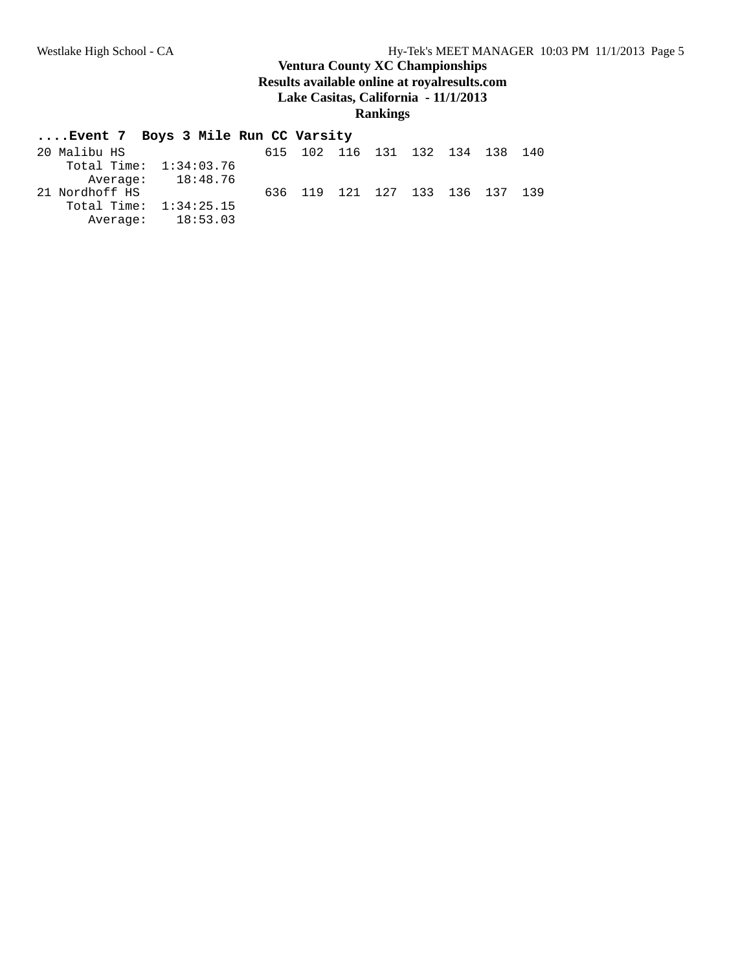#### **....Event 7 Boys 3 Mile Run CC Varsity**

| 20 Malibu HS             |                   |  |  | 615 102 116 131 132 134 138 140 |  |
|--------------------------|-------------------|--|--|---------------------------------|--|
| Total Time: $1:34:03.76$ |                   |  |  |                                 |  |
|                          | Average: 18:48.76 |  |  |                                 |  |
| 21 Nordhoff HS           |                   |  |  | 636 119 121 127 133 136 137 139 |  |
| Total Time: $1:34:25.15$ |                   |  |  |                                 |  |
|                          | Average: 18:53.03 |  |  |                                 |  |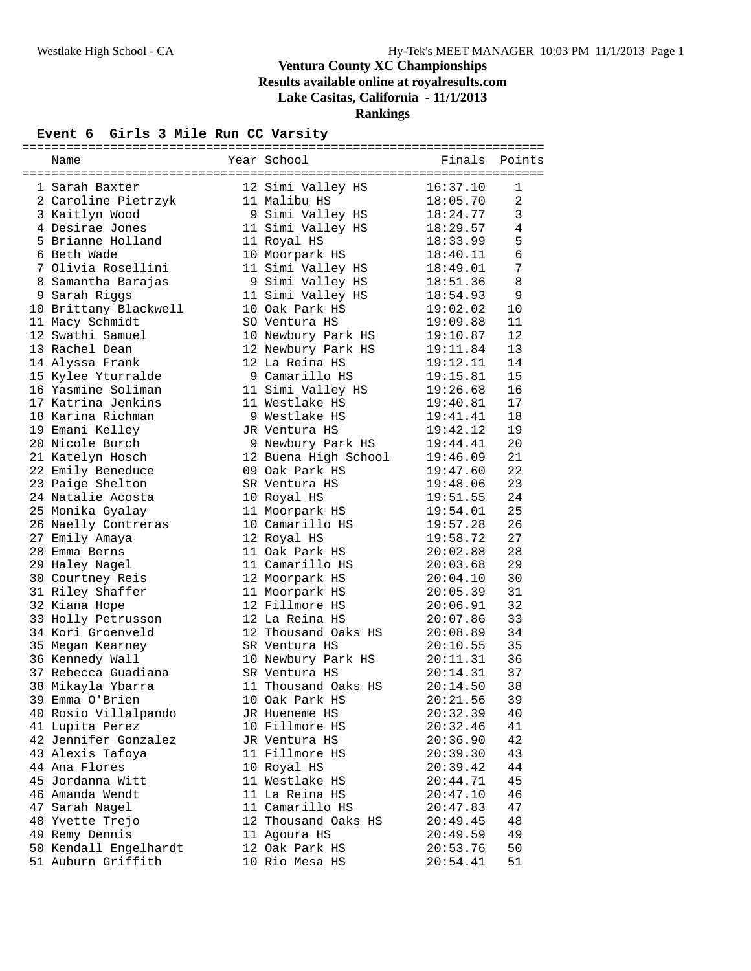#### **Event 6 Girls 3 Mile Run CC Varsity**

| Name                  | Year School          | Finals   | Points              |
|-----------------------|----------------------|----------|---------------------|
|                       |                      |          |                     |
| 1 Sarah Baxter        | 12 Simi Valley HS    | 16:37.10 | 1<br>$\overline{a}$ |
| 2 Caroline Pietrzyk   | 11 Malibu HS         | 18:05.70 |                     |
| 3 Kaitlyn Wood        | 9 Simi Valley HS     | 18:24.77 | $\mathbf{3}$        |
| 4 Desirae Jones       | 11 Simi Valley HS    | 18:29.57 | 4                   |
| 5 Brianne Holland     | 11 Royal HS          | 18:33.99 | 5                   |
| 6 Beth Wade           | 10 Moorpark HS       | 18:40.11 | $\epsilon$          |
| 7 Olivia Rosellini    | 11 Simi Valley HS    | 18:49.01 | 7                   |
| 8 Samantha Barajas    | 9 Simi Valley HS     | 18:51.36 | 8                   |
| 9 Sarah Riggs         | 11 Simi Valley HS    | 18:54.93 | 9                   |
| 10 Brittany Blackwell | 10 Oak Park HS       | 19:02.02 | 10                  |
| 11 Macy Schmidt       | SO Ventura HS        | 19:09.88 | 11                  |
| 12 Swathi Samuel      | 10 Newbury Park HS   | 19:10.87 | 12                  |
| 13 Rachel Dean        | 12 Newbury Park HS   | 19:11.84 | 13                  |
| 14 Alyssa Frank       | 12 La Reina HS       | 19:12.11 | 14                  |
| 15 Kylee Yturralde    | 9 Camarillo HS       | 19:15.81 | 15                  |
| 16 Yasmine Soliman    | 11 Simi Valley HS    | 19:26.68 | 16                  |
| 17 Katrina Jenkins    | 11 Westlake HS       | 19:40.81 | 17                  |
| 18 Karina Richman     | 9 Westlake HS        | 19:41.41 | 18                  |
| 19 Emani Kelley       | JR Ventura HS        | 19:42.12 | 19                  |
| 20 Nicole Burch       | 9 Newbury Park HS    | 19:44.41 | 20                  |
| 21 Katelyn Hosch      | 12 Buena High School | 19:46.09 | 21                  |
| 22 Emily Beneduce     | 09 Oak Park HS       | 19:47.60 | 22                  |
| 23 Paige Shelton      | SR Ventura HS        | 19:48.06 | 23                  |
| 24 Natalie Acosta     | 10 Royal HS          | 19:51.55 | 24                  |
| 25 Monika Gyalay      | 11 Moorpark HS       | 19:54.01 | 25                  |
| 26 Naelly Contreras   | 10 Camarillo HS      | 19:57.28 | 26                  |
| 27 Emily Amaya        | 12 Royal HS          | 19:58.72 | 27                  |
| 28 Emma Berns         | 11 Oak Park HS       | 20:02.88 | 28                  |
| 29 Haley Nagel        | 11 Camarillo HS      | 20:03.68 | 29                  |
| 30 Courtney Reis      | 12 Moorpark HS       | 20:04.10 | 30                  |
| 31 Riley Shaffer      | 11 Moorpark HS       | 20:05.39 | 31                  |
| 32 Kiana Hope         | 12 Fillmore HS       | 20:06.91 | 32                  |
| 33 Holly Petrusson    | 12 La Reina HS       | 20:07.86 | 33                  |
| 34 Kori Groenveld     | 12 Thousand Oaks HS  | 20:08.89 | 34                  |
| 35 Megan Kearney      | SR Ventura HS        | 20:10.55 | 35                  |
| 36 Kennedy Wall       | 10 Newbury Park HS   | 20:11.31 | 36                  |
| 37 Rebecca Guadiana   | SR Ventura HS        | 20:14.31 | 37                  |
| 38 Mikayla Ybarra     | 11 Thousand Oaks HS  | 20:14.50 | 38                  |
| 39 Emma O'Brien       |                      |          |                     |
|                       | 10 Oak Park HS       | 20:21.56 | 39                  |
| 40 Rosio Villalpando  | JR Hueneme HS        | 20:32.39 | 40                  |
| 41 Lupita Perez       | 10 Fillmore HS       | 20:32.46 | 41                  |
| 42 Jennifer Gonzalez  | JR Ventura HS        | 20:36.90 | 42                  |
| 43 Alexis Tafoya      | 11 Fillmore HS       | 20:39.30 | 43                  |
| 44 Ana Flores         | 10 Royal HS          | 20:39.42 | 44                  |
| 45 Jordanna Witt      | 11 Westlake HS       | 20:44.71 | 45                  |
| 46 Amanda Wendt       | 11 La Reina HS       | 20:47.10 | 46                  |
| 47 Sarah Nagel        | 11 Camarillo HS      | 20:47.83 | 47                  |
| 48 Yvette Trejo       | 12 Thousand Oaks HS  | 20:49.45 | 48                  |
| 49 Remy Dennis        | 11 Agoura HS         | 20:49.59 | 49                  |
| 50 Kendall Engelhardt | 12 Oak Park HS       | 20:53.76 | 50                  |
| 51 Auburn Griffith    | 10 Rio Mesa HS       | 20:54.41 | 51                  |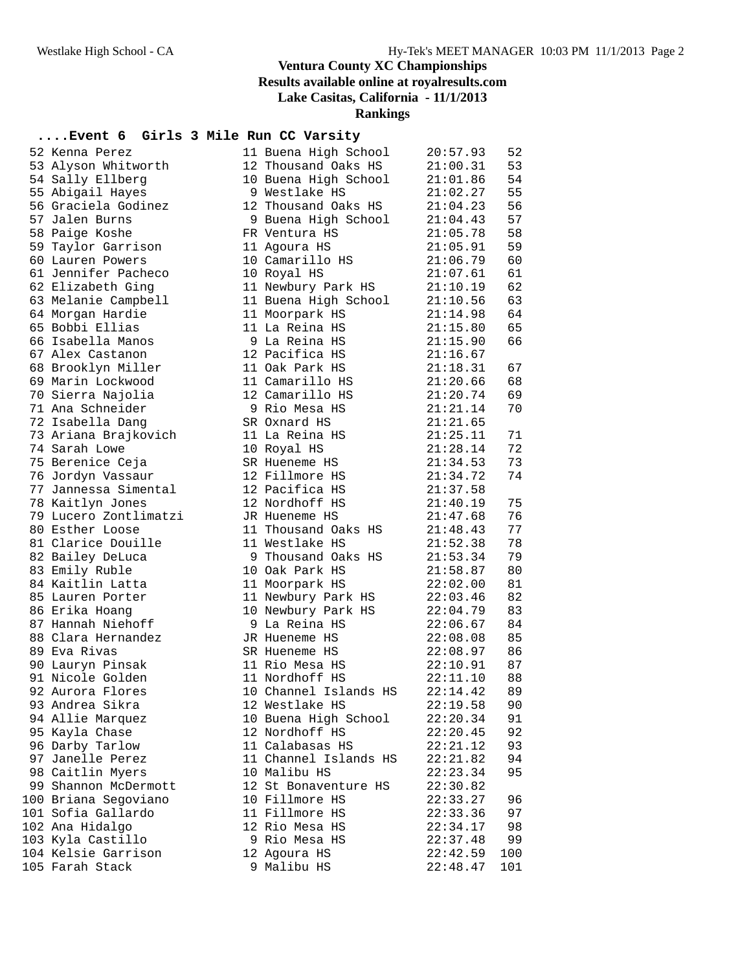#### **....Event 6 Girls 3 Mile Run CC Varsity**

| 52 Kenna Perez        | 11 Buena High School  | 20:57.93 | 52  |
|-----------------------|-----------------------|----------|-----|
| 53 Alyson Whitworth   | 12 Thousand Oaks HS   | 21:00.31 | 53  |
| 54 Sally Ellberg      | 10 Buena High School  | 21:01.86 | 54  |
| 55 Abigail Hayes      | 9 Westlake HS         | 21:02.27 | 55  |
| 56 Graciela Godinez   | 12 Thousand Oaks HS   | 21:04.23 | 56  |
| 57 Jalen Burns        | 9 Buena High School   | 21:04.43 | 57  |
| 58 Paige Koshe        | FR Ventura HS         | 21:05.78 | 58  |
| 59 Taylor Garrison    | 11 Agoura HS          | 21:05.91 | 59  |
| 60 Lauren Powers      | 10 Camarillo HS       | 21:06.79 | 60  |
| 61 Jennifer Pacheco   | 10 Royal HS           | 21:07.61 | 61  |
| 62 Elizabeth Ging     | 11 Newbury Park HS    | 21:10.19 | 62  |
| 63 Melanie Campbell   | 11 Buena High School  | 21:10.56 | 63  |
| 64 Morgan Hardie      | 11 Moorpark HS        | 21:14.98 | 64  |
| 65 Bobbi Ellias       | 11 La Reina HS        | 21:15.80 | 65  |
| 66 Isabella Manos     | 9 La Reina HS         | 21:15.90 | 66  |
| 67 Alex Castanon      | 12 Pacifica HS        | 21:16.67 |     |
| 68 Brooklyn Miller    | 11 Oak Park HS        | 21:18.31 | 67  |
| 69 Marin Lockwood     | 11 Camarillo HS       | 21:20.66 | 68  |
| 70 Sierra Najolia     | 12 Camarillo HS       | 21:20.74 | 69  |
| 71 Ana Schneider      | 9 Rio Mesa HS         | 21:21.14 | 70  |
| 72 Isabella Dang      | SR Oxnard HS          | 21:21.65 |     |
| 73 Ariana Brajkovich  | 11 La Reina HS        | 21:25.11 | 71  |
| 74 Sarah Lowe         | 10 Royal HS           | 21:28.14 | 72  |
| 75 Berenice Ceja      | SR Hueneme HS         | 21:34.53 | 73  |
| 76 Jordyn Vassaur     | 12 Fillmore HS        | 21:34.72 | 74  |
| 77 Jannessa Simental  | 12 Pacifica HS        | 21:37.58 |     |
| 78 Kaitlyn Jones      | 12 Nordhoff HS        | 21:40.19 | 75  |
| 79 Lucero Zontlimatzi | JR Hueneme HS         | 21:47.68 | 76  |
| 80 Esther Loose       | 11 Thousand Oaks HS   | 21:48.43 | 77  |
| 81 Clarice Douille    | 11 Westlake HS        | 21:52.38 | 78  |
| 82 Bailey DeLuca      | 9 Thousand Oaks HS    | 21:53.34 | 79  |
| 83 Emily Ruble        | 10 Oak Park HS        | 21:58.87 | 80  |
| 84 Kaitlin Latta      | 11 Moorpark HS        | 22:02.00 | 81  |
| 85 Lauren Porter      | 11 Newbury Park HS    | 22:03.46 | 82  |
| 86 Erika Hoang        | 10 Newbury Park HS    | 22:04.79 | 83  |
| 87 Hannah Niehoff     | 9 La Reina HS         | 22:06.67 | 84  |
| 88 Clara Hernandez    | JR Hueneme HS         | 22:08.08 | 85  |
| 89 Eva Rivas          | SR Hueneme HS         | 22:08.97 | 86  |
| 90 Lauryn Pinsak      | 11 Rio Mesa HS        | 22:10.91 | 87  |
| 91 Nicole Golden      | 11 Nordhoff HS        | 22:11.10 | 88  |
| 92 Aurora Flores      | 10 Channel Islands HS | 22:14.42 | 89  |
| 93 Andrea Sikra       | 12 Westlake HS        | 22:19.58 | 90  |
| 94 Allie Marquez      | 10 Buena High School  | 22:20.34 | 91  |
| 95 Kayla Chase        | 12 Nordhoff HS        | 22:20.45 | 92  |
| 96 Darby Tarlow       | 11 Calabasas HS       | 22:21.12 | 93  |
| 97 Janelle Perez      | 11 Channel Islands HS | 22:21.82 | 94  |
| 98 Caitlin Myers      | 10 Malibu HS          | 22:23.34 | 95  |
| 99 Shannon McDermott  | 12 St Bonaventure HS  | 22:30.82 |     |
| 100 Briana Segoviano  | 10 Fillmore HS        | 22:33.27 | 96  |
| 101 Sofia Gallardo    | 11 Fillmore HS        | 22:33.36 | 97  |
| 102 Ana Hidalgo       | 12 Rio Mesa HS        | 22:34.17 | 98  |
| 103 Kyla Castillo     | 9 Rio Mesa HS         | 22:37.48 | 99  |
| 104 Kelsie Garrison   | 12 Agoura HS          | 22:42.59 | 100 |
| 105 Farah Stack       | 9 Malibu HS           | 22:48.47 | 101 |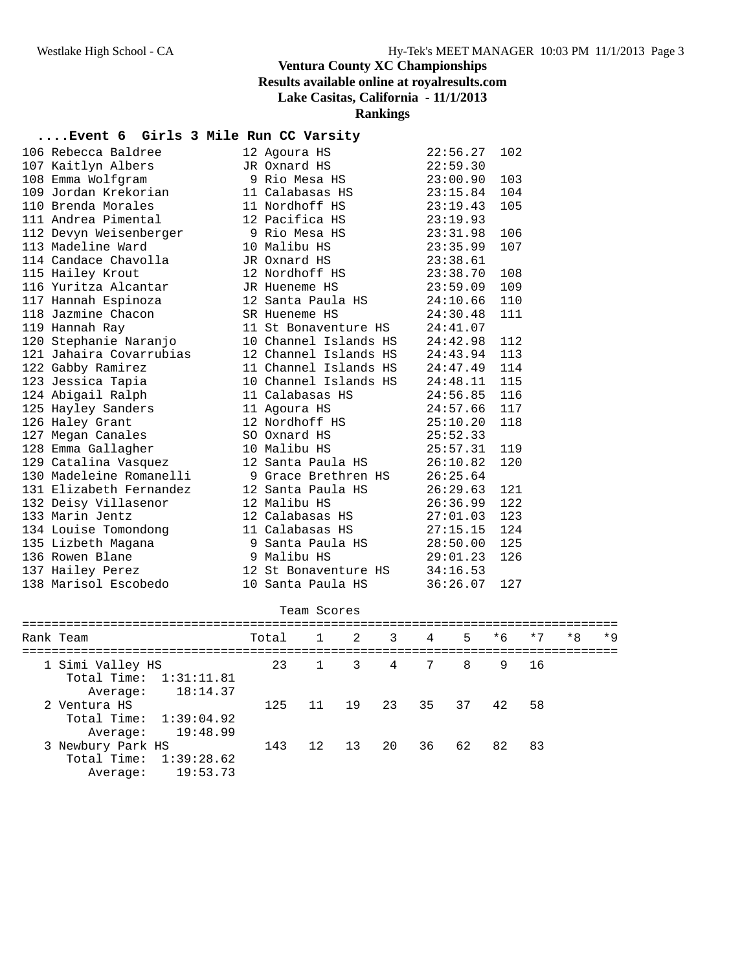#### **....Event 6 Girls 3 Mile Run CC Varsity**

| 106 Rebecca Baldree     | 12 Agoura HS          | 22:56.27 | 102 |
|-------------------------|-----------------------|----------|-----|
| 107 Kaitlyn Albers      | JR Oxnard HS          | 22:59.30 |     |
| 108 Emma Wolfgram       | 9 Rio Mesa HS         | 23:00.90 | 103 |
| 109 Jordan Krekorian    | 11 Calabasas HS       | 23:15.84 | 104 |
| 110 Brenda Morales      | 11 Nordhoff HS        | 23:19.43 | 105 |
| 111 Andrea Pimental     | 12 Pacifica HS        | 23:19.93 |     |
| 112 Devyn Weisenberger  | 9 Rio Mesa HS         | 23:31.98 | 106 |
| 113 Madeline Ward       | 10 Malibu HS          | 23:35.99 | 107 |
| 114 Candace Chavolla    | JR Oxnard HS          | 23:38.61 |     |
| 115 Hailey Krout        | 12 Nordhoff HS        | 23:38.70 | 108 |
| 116 Yuritza Alcantar    | JR Hueneme HS         | 23:59.09 | 109 |
| 117 Hannah Espinoza     | 12 Santa Paula HS     | 24:10.66 | 110 |
| 118 Jazmine Chacon      | SR Hueneme HS         | 24:30.48 | 111 |
| 119 Hannah Ray          | 11 St Bonaventure HS  | 24:41.07 |     |
| 120 Stephanie Naranjo   | 10 Channel Islands HS | 24:42.98 | 112 |
| 121 Jahaira Covarrubias | 12 Channel Islands HS | 24:43.94 | 113 |
| 122 Gabby Ramirez       | 11 Channel Islands HS | 24:47.49 | 114 |
| 123 Jessica Tapia       | 10 Channel Islands HS | 24:48.11 | 115 |
| 124 Abigail Ralph       | 11 Calabasas HS       | 24:56.85 | 116 |
| 125 Hayley Sanders      | 11 Agoura HS          | 24:57.66 | 117 |
| 126 Haley Grant         | 12 Nordhoff HS        | 25:10.20 | 118 |
| 127 Megan Canales       | SO Oxnard HS          | 25:52.33 |     |
| 128 Emma Gallagher      | 10 Malibu HS          | 25:57.31 | 119 |
| 129 Catalina Vasquez    | 12 Santa Paula HS     | 26:10.82 | 120 |
| 130 Madeleine Romanelli | 9 Grace Brethren HS   | 26:25.64 |     |
| 131 Elizabeth Fernandez | 12 Santa Paula HS     | 26:29.63 | 121 |
| 132 Deisy Villasenor    | 12 Malibu HS          | 26:36.99 | 122 |
| 133 Marin Jentz         | 12 Calabasas HS       | 27:01.03 | 123 |
| 134 Louise Tomondong    | 11 Calabasas HS       | 27:15.15 | 124 |
| 135 Lizbeth Magana      | 9 Santa Paula HS      | 28:50.00 | 125 |
| 136 Rowen Blane         | 9 Malibu HS           | 29:01.23 | 126 |
| 137 Hailey Perez        | 12 St Bonaventure HS  | 34:16.53 |     |
| 138 Marisol Escobedo    | 10 Santa Paula HS     | 36:26.07 | 127 |

| Team Scores                                                         |       |          |    |                |                 |                |     |      |      |      |  |  |
|---------------------------------------------------------------------|-------|----------|----|----------------|-----------------|----------------|-----|------|------|------|--|--|
| Rank Team                                                           | Total | $1 \t 2$ |    | $\overline{3}$ | $\overline{4}$  | 5              | * 6 | $*7$ | $*8$ | $*9$ |  |  |
| 1 Simi Valley HS<br>Total Time: 1:31:11.81<br>18:14.37<br>Average:  |       | 23 1 3 4 |    |                | $7\overline{ }$ | 8 <sup>1</sup> | 9   | - 16 |      |      |  |  |
| 2 Ventura HS<br>Total Time: $1:39:04.92$<br>19:48.99<br>Average:    | 125   |          |    | 11 19 23 35 37 |                 |                | 42. | 58   |      |      |  |  |
| 3 Newbury Park HS<br>Total Time: 1:39:28.62<br>19:53.73<br>Average: | 143   | 12       | 13 | 20             | 36              | 62             | 82  | 83   |      |      |  |  |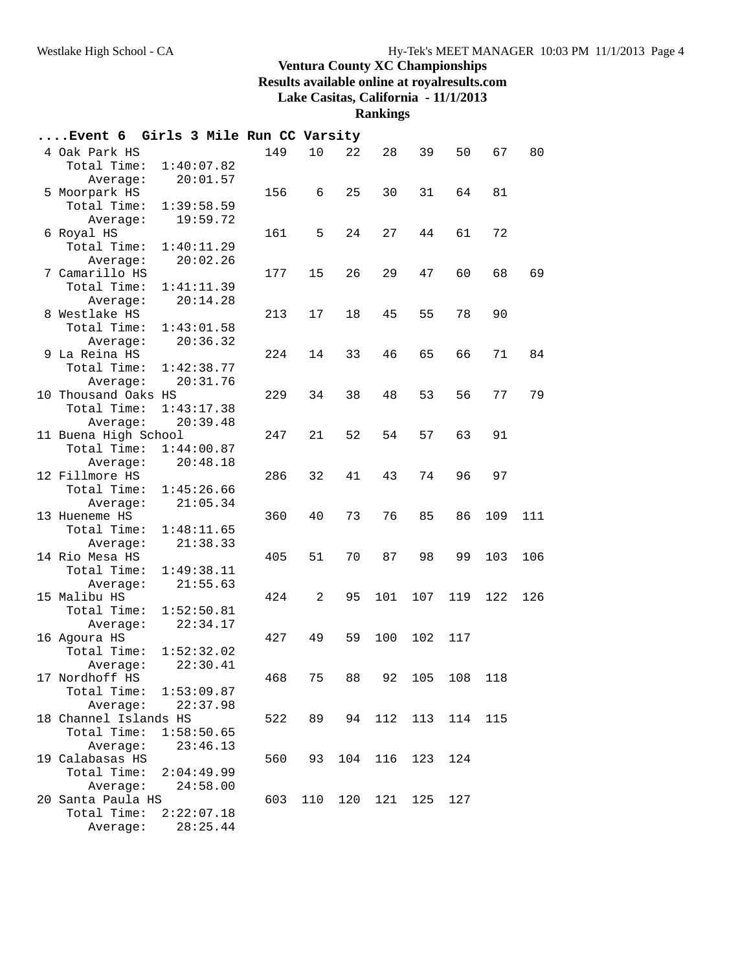**Rankings**

| Event 6 Girls 3 Mile Run CC Varsity |            |     |     |     |     |     |     |         |     |
|-------------------------------------|------------|-----|-----|-----|-----|-----|-----|---------|-----|
| 4 Oak Park HS                       |            | 149 | 10  | 22  | 28  | 39  | 50  | 67      | 80  |
| Total Time:                         | 1:40:07.82 |     |     |     |     |     |     |         |     |
| Average:                            | 20:01.57   |     |     |     |     |     |     |         |     |
| 5 Moorpark HS                       |            | 156 | 6   | 25  | 30  | 31  | 64  | 81      |     |
| Total Time:                         | 1:39:58.59 |     |     |     |     |     |     |         |     |
| Average:                            | 19:59.72   |     |     |     |     |     |     |         |     |
| 6 Royal HS                          |            | 161 | 5   | 24  | 27  | 44  | 61  | 72      |     |
| Total Time:                         | 1:40:11.29 |     |     |     |     |     |     |         |     |
| Average:                            | 20:02.26   |     |     |     |     |     |     |         |     |
| 7 Camarillo HS                      |            | 177 | 15  | 26  | 29  | 47  | 60  | 68      | 69  |
| Total Time:                         | 1:41:11.39 |     |     |     |     |     |     |         |     |
| Average:                            | 20:14.28   |     |     |     |     |     |     |         |     |
| 8 Westlake HS                       |            | 213 | 17  | 18  | 45  | 55  | 78  | 90      |     |
| Total Time:                         | 1:43:01.58 |     |     |     |     |     |     |         |     |
| Average:                            | 20:36.32   |     |     |     |     |     |     |         |     |
| 9 La Reina HS                       |            | 224 | 14  | 33  | 46  | 65  | 66  | 71      | 84  |
| Total Time:                         | 1:42:38.77 |     |     |     |     |     |     |         |     |
| Average:                            | 20:31.76   |     |     |     |     |     |     |         |     |
| 10 Thousand Oaks HS                 |            | 229 | 34  | 38  | 48  | 53  | 56  | 77      | 79  |
| Total Time:                         | 1:43:17.38 |     |     |     |     |     |     |         |     |
| Average:                            | 20:39.48   |     |     |     |     |     |     |         |     |
| 11 Buena High School                |            | 247 | 21  | 52  | 54  | 57  | 63  | 91      |     |
| Total Time:                         | 1:44:00.87 |     |     |     |     |     |     |         |     |
| Average:                            | 20:48.18   |     |     |     |     |     |     |         |     |
| 12 Fillmore HS                      |            | 286 | 32  | 41  | 43  | 74  | 96  | 97      |     |
| Total Time:                         | 1:45:26.66 |     |     |     |     |     |     |         |     |
| Average:                            | 21:05.34   |     |     |     |     |     |     |         |     |
| 13 Hueneme HS                       |            | 360 | 40  | 73  | 76  | 85  | 86  | 109     | 111 |
| Total Time:                         | 1:48:11.65 |     |     |     |     |     |     |         |     |
| Average:                            | 21:38.33   |     |     |     |     |     |     |         |     |
| 14 Rio Mesa HS                      |            | 405 | 51  | 70  | 87  | 98  | 99  | 103     | 106 |
| Total Time:                         | 1:49:38.11 |     |     |     |     |     |     |         |     |
| Average:                            | 21:55.63   |     |     |     |     |     |     |         |     |
| 15 Malibu HS                        |            | 424 | 2   | 95  | 101 | 107 | 119 | 122     | 126 |
| Total Time:                         | 1:52:50.81 |     |     |     |     |     |     |         |     |
| Average:                            | 22:34.17   |     |     |     |     |     |     |         |     |
| 16 Agoura HS                        |            | 427 | 49  | 59  | 100 | 102 | 117 |         |     |
| Total Time:                         | 1:52:32.02 |     |     |     |     |     |     |         |     |
| Average:                            | 22:30.41   |     |     |     |     |     |     |         |     |
| 17 Nordhoff HS                      |            | 468 | 75  | 88  | 92  | 105 | 108 | 118     |     |
| Total Time:                         | 1:53:09.87 |     |     |     |     |     |     |         |     |
| Average:                            | 22:37.98   |     |     |     |     |     |     |         |     |
| 18 Channel Islands HS               |            | 522 | 89  | 94  | 112 | 113 |     | 114 115 |     |
| Total Time:                         | 1:58:50.65 |     |     |     |     |     |     |         |     |
| Average:                            | 23:46.13   |     |     |     |     |     |     |         |     |
| 19 Calabasas HS                     |            | 560 | 93  | 104 | 116 | 123 | 124 |         |     |
| Total Time:                         | 2:04:49.99 |     |     |     |     |     |     |         |     |
| Average:                            | 24:58.00   |     |     |     |     |     |     |         |     |
| 20 Santa Paula HS                   |            | 603 | 110 | 120 | 121 | 125 | 127 |         |     |
| Total Time:                         | 2:22:07.18 |     |     |     |     |     |     |         |     |
| Average:                            | 28:25.44   |     |     |     |     |     |     |         |     |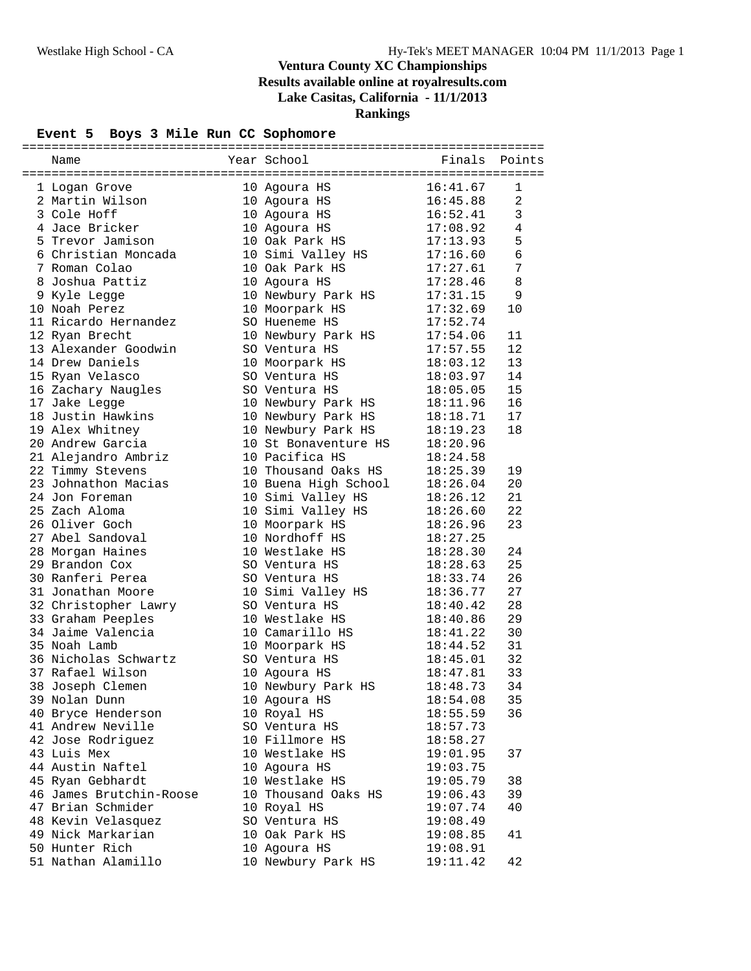# **Event 5 Boys 3 Mile Run CC Sophomore**

| Name                    | Year School                  | Finals   | Points          |
|-------------------------|------------------------------|----------|-----------------|
|                         |                              |          |                 |
| 1 Logan Grove           | 10 Agoura HS                 | 16:41.67 | 1               |
| 2 Martin Wilson         | 10 Agoura HS<br>10 Agoura HS | 16:45.88 | $\overline{a}$  |
| 3 Cole Hoff             |                              | 16:52.41 | $\mathbf{3}$    |
| 4 Jace Bricker          | 10 Agoura HS                 | 17:08.92 | $\overline{4}$  |
| 5 Trevor Jamison        | 10 Oak Park HS               | 17:13.93 | 5               |
| 6 Christian Moncada     | 10 Simi Valley HS            | 17:16.60 | $\epsilon$      |
| 7 Roman Colao           | 10 Oak Park HS               | 17:27.61 | $7\phantom{.0}$ |
| 8 Joshua Pattiz         | 10 Agoura HS                 | 17:28.46 | 8               |
| 9 Kyle Legge            | 10 Newbury Park HS           | 17:31.15 | 9               |
| 10 Noah Perez           | 10 Moorpark HS               | 17:32.69 | 10              |
| 11 Ricardo Hernandez    | SO Hueneme HS                | 17:52.74 |                 |
| 12 Ryan Brecht          | 10 Newbury Park HS           | 17:54.06 | 11              |
| 13 Alexander Goodwin    | SO Ventura HS                | 17:57.55 | 12              |
| 14 Drew Daniels         | 10 Moorpark HS               | 18:03.12 | 13              |
| 15 Ryan Velasco         | SO Ventura HS                | 18:03.97 | 14              |
| 16 Zachary Naugles      | SO Ventura HS                | 18:05.05 | 15              |
| 17 Jake Legge           | 10 Newbury Park HS           | 18:11.96 | 16              |
| 18 Justin Hawkins       | 10 Newbury Park HS           | 18:18.71 | 17              |
| 19 Alex Whitney         | 10 Newbury Park HS           | 18:19.23 | 18              |
| 20 Andrew Garcia        | 10 St Bonaventure HS         | 18:20.96 |                 |
| 21 Alejandro Ambriz     | 10 Pacifica HS               | 18:24.58 |                 |
| 22 Timmy Stevens        | 10 Thousand Oaks HS          | 18:25.39 | 19              |
| 23 Johnathon Macias     | 10 Buena High School         | 18:26.04 | 20              |
| 24 Jon Foreman          | 10 Simi Valley HS            | 18:26.12 | 21              |
| 25 Zach Aloma           | 10 Simi Valley HS            | 18:26.60 | 22              |
| 26 Oliver Goch          | 10 Moorpark HS               | 18:26.96 | 23              |
| 27 Abel Sandoval        | 10 Nordhoff HS               | 18:27.25 |                 |
| 28 Morgan Haines        | 10 Westlake HS               | 18:28.30 | 24              |
| 29 Brandon Cox          | SO Ventura HS                | 18:28.63 | 25              |
| 30 Ranferi Perea        | SO Ventura HS                | 18:33.74 | 26              |
| 31 Jonathan Moore       | 10 Simi Valley HS            | 18:36.77 | 27              |
| 32 Christopher Lawry    | SO Ventura HS                | 18:40.42 | 28              |
| 33 Graham Peeples       | 10 Westlake HS               | 18:40.86 | 29              |
| 34 Jaime Valencia       | 10 Camarillo HS              | 18:41.22 | 30              |
| 35 Noah Lamb            | 10 Moorpark HS               | 18:44.52 | 31              |
| 36 Nicholas Schwartz    | SO Ventura HS                | 18:45.01 | 32              |
| 37 Rafael Wilson        | 10 Agoura HS                 | 18:47.81 | 33              |
| 38 Joseph Clemen        | 10 Newbury Park HS           | 18:48.73 | 34              |
| 39 Nolan Dunn           | 10 Agoura HS                 | 18:54.08 | 35              |
| 40 Bryce Henderson      | 10 Royal HS                  | 18:55.59 | 36              |
| 41 Andrew Neville       | SO Ventura HS                | 18:57.73 |                 |
| 42 Jose Rodriguez       | 10 Fillmore HS               | 18:58.27 |                 |
| 43 Luis Mex             | 10 Westlake HS               | 19:01.95 | 37              |
| 44 Austin Naftel        | 10 Agoura HS                 | 19:03.75 |                 |
| 45 Ryan Gebhardt        | 10 Westlake HS               | 19:05.79 | 38              |
| 46 James Brutchin-Roose | 10 Thousand Oaks HS          | 19:06.43 | 39              |
| 47 Brian Schmider       | 10 Royal HS                  | 19:07.74 | 40              |
| 48 Kevin Velasquez      | SO Ventura HS                | 19:08.49 |                 |
|                         | 10 Oak Park HS               |          |                 |
| 49 Nick Markarian       |                              | 19:08.85 | 41              |
| 50 Hunter Rich          | 10 Agoura HS                 | 19:08.91 |                 |
| 51 Nathan Alamillo      | 10 Newbury Park HS           | 19:11.42 | 42              |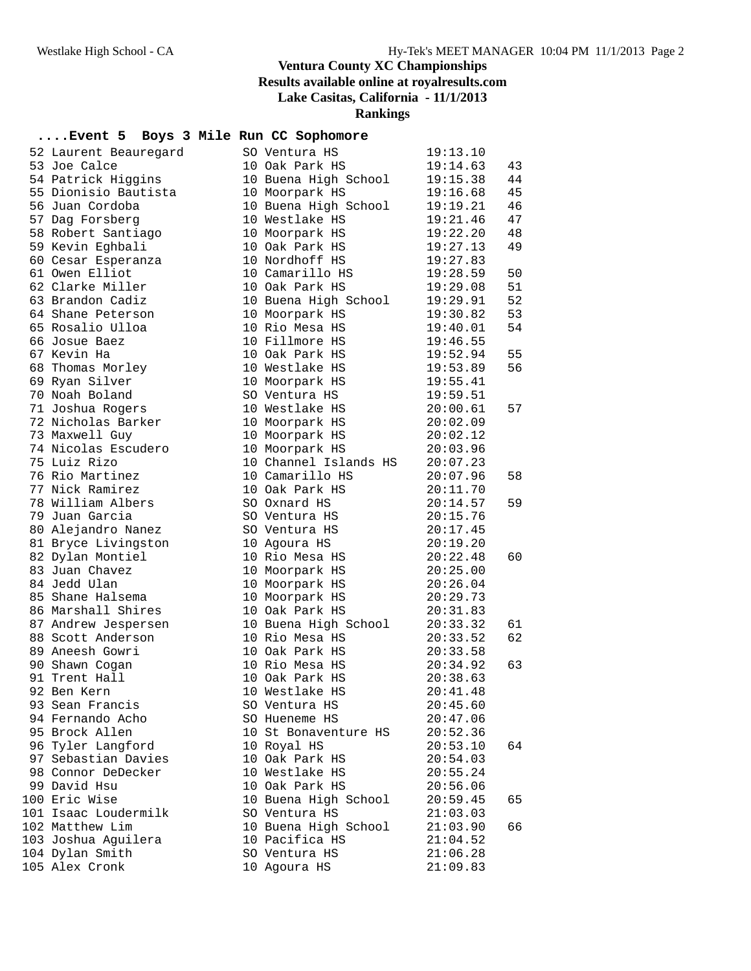### **Rankings**

#### **....Event 5 Boys 3 Mile Run CC Sophomore**

| 52 Laurent Beauregard | SO Ventura HS         | 19:13.10 |    |
|-----------------------|-----------------------|----------|----|
| 53 Joe Calce          | 10 Oak Park HS        | 19:14.63 | 43 |
| 54 Patrick Higgins    | 10 Buena High School  | 19:15.38 | 44 |
| 55 Dionisio Bautista  | 10 Moorpark HS        | 19:16.68 | 45 |
| 56 Juan Cordoba       | 10 Buena High School  | 19:19.21 | 46 |
| 57 Dag Forsberg       | 10 Westlake HS        | 19:21.46 | 47 |
| 58 Robert Santiago    | 10 Moorpark HS        | 19:22.20 | 48 |
| 59 Kevin Eghbali      | 10 Oak Park HS        | 19:27.13 | 49 |
| 60 Cesar Esperanza    | 10 Nordhoff HS        | 19:27.83 |    |
| 61 Owen Elliot        | 10 Camarillo HS       | 19:28.59 | 50 |
| 62 Clarke Miller      | 10 Oak Park HS        | 19:29.08 | 51 |
| 63 Brandon Cadiz      | 10 Buena High School  | 19:29.91 | 52 |
| 64 Shane Peterson     | 10 Moorpark HS        | 19:30.82 | 53 |
| 65 Rosalio Ulloa      | 10 Rio Mesa HS        | 19:40.01 | 54 |
| 66 Josue Baez         | 10 Fillmore HS        | 19:46.55 |    |
| 67 Kevin Ha           | 10 Oak Park HS        | 19:52.94 | 55 |
| 68 Thomas Morley      | 10 Westlake HS        | 19:53.89 | 56 |
| 69 Ryan Silver        | 10 Moorpark HS        | 19:55.41 |    |
| 70 Noah Boland        | SO Ventura HS         | 19:59.51 |    |
| 71 Joshua Rogers      | 10 Westlake HS        | 20:00.61 | 57 |
| 72 Nicholas Barker    | 10 Moorpark HS        | 20:02.09 |    |
| 73 Maxwell Guy        | 10 Moorpark HS        | 20:02.12 |    |
| 74 Nicolas Escudero   | 10 Moorpark HS        | 20:03.96 |    |
| 75 Luiz Rizo          | 10 Channel Islands HS | 20:07.23 |    |
| 76 Rio Martinez       | 10 Camarillo HS       | 20:07.96 | 58 |
| 77 Nick Ramirez       | 10 Oak Park HS        | 20:11.70 |    |
| 78 William Albers     | SO Oxnard HS          | 20:14.57 | 59 |
| 79 Juan Garcia        | SO Ventura HS         | 20:15.76 |    |
| 80 Alejandro Nanez    | SO Ventura HS         | 20:17.45 |    |
| 81 Bryce Livingston   | 10 Agoura HS          | 20:19.20 |    |
| 82 Dylan Montiel      | 10 Rio Mesa HS        | 20:22.48 | 60 |
| 83 Juan Chavez        | 10 Moorpark HS        | 20:25.00 |    |
| 84 Jedd Ulan          | 10 Moorpark HS        | 20:26.04 |    |
| 85 Shane Halsema      | 10 Moorpark HS        | 20:29.73 |    |
| 86 Marshall Shires    | 10 Oak Park HS        | 20:31.83 |    |
| 87 Andrew Jespersen   | 10 Buena High School  | 20:33.32 | 61 |
| 88 Scott Anderson     | 10 Rio Mesa HS        | 20:33.52 | 62 |
| 89 Aneesh Gowri       | 10 Oak Park HS        | 20:33.58 |    |
| 90 Shawn Cogan        | 10 Rio Mesa HS        | 20:34.92 | 63 |
| 91 Trent Hall         | 10 Oak Park HS        | 20:38.63 |    |
| 92 Ben Kern           | 10 Westlake HS        | 20:41.48 |    |
| 93 Sean Francis       | SO Ventura HS         | 20:45.60 |    |
| 94 Fernando Acho      | SO Hueneme HS         | 20:47.06 |    |
| 95 Brock Allen        | 10 St Bonaventure HS  | 20:52.36 |    |
| 96 Tyler Langford     | 10 Royal HS           | 20:53.10 | 64 |
| 97 Sebastian Davies   | 10 Oak Park HS        | 20:54.03 |    |
| 98 Connor DeDecker    | 10 Westlake HS        | 20:55.24 |    |
| 99 David Hsu          | 10 Oak Park HS        | 20:56.06 |    |
| 100 Eric Wise         | 10 Buena High School  | 20:59.45 | 65 |
| 101 Isaac Loudermilk  | SO Ventura HS         | 21:03.03 |    |
| 102 Matthew Lim       | 10 Buena High School  | 21:03.90 | 66 |
| 103 Joshua Aguilera   | 10 Pacifica HS        | 21:04.52 |    |
| 104 Dylan Smith       | SO Ventura HS         | 21:06.28 |    |
| 105 Alex Cronk        | 10 Agoura HS          | 21:09.83 |    |
|                       |                       |          |    |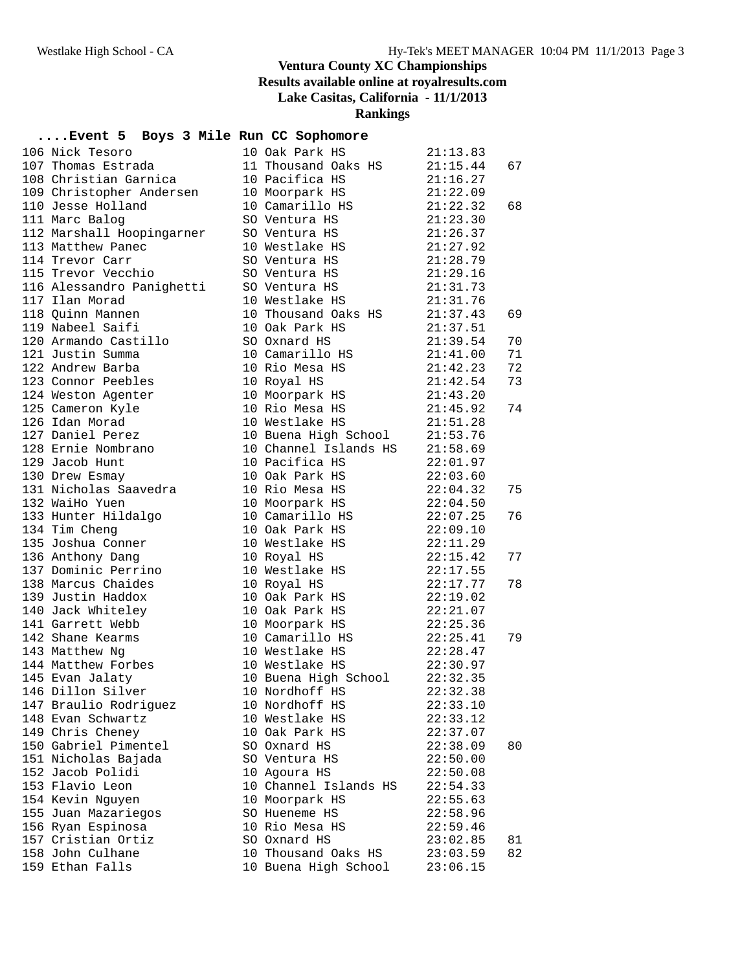**Rankings**

#### **....Event 5 Boys 3 Mile Run CC Sophomore**

| 106 Nick Tesoro<br>107 Thomas Estrada | 10 Oak Park HS                                           | 21:13.83                 |    |
|---------------------------------------|----------------------------------------------------------|--------------------------|----|
|                                       | 11 Thousand Oaks $HS$ 21:15.44                           |                          | 67 |
| 108 Christian Garnica                 |                                                          |                          |    |
| 109 Christopher Andersen              | 10 Pacifica HS 21:16.27<br>10 Moorpark HS 21:22.09       |                          |    |
| 110 Jesse Holland                     | 10 Camarillo HS $21:22.32$                               |                          | 68 |
| 111 Marc Balog                        | SO Ventura HS                                            | 21:23.30                 |    |
| 112 Marshall Hoopingarner             | SO Ventura HS                                            | 21:26.37                 |    |
| 113 Matthew Panec                     | 10 Westlake HS                                           | 21:27.92                 |    |
| 114 Trevor Carr                       | SO Ventura HS                                            |                          |    |
| 115 Trevor Vecchio                    | SO Ventura HS                                            | 21:28.79<br>21:29.16     |    |
| 116 Alessandro Panighetti             | SO Ventura HS $21:31.73$                                 |                          |    |
| 117 Ilan Morad                        | 10 Westlake HS 21:31.76                                  |                          |    |
| 118 Quinn Mannen                      | 10 Thousand Oaks HS 21:37.43                             |                          | 69 |
| 119 Nabeel Saifi                      | 10 Oak Park HS 21:37.51                                  |                          |    |
| 120 Armando Castillo                  | SO Oxnard HS                                             |                          | 70 |
| 121 Justin Summa                      | 10 Camarillo HS                                          | $21:39.54$<br>$21:41.00$ | 71 |
| 122 Andrew Barba                      | 10 Rio Mesa HS                                           | 21:42.23                 | 72 |
| 123 Connor Peebles                    | 10 Royal HS                                              | 21:42.54                 | 73 |
| 124 Weston Agenter                    | 10 Moorpark HS 21:43.20                                  |                          |    |
| 125 Cameron Kyle                      | 10 Rio Mesa HS 21:45.92                                  |                          | 74 |
| 126 Idan Morad                        | 10 Westlake HS                                           | 21:51.28                 |    |
| 127 Daniel Perez                      | 10 Buena High School 21:53.76                            |                          |    |
| 128 Ernie Nombrano                    | 10 Channel Islands HS 21:58.69                           |                          |    |
| 129 Jacob Hunt                        | 10 Pacifica HS                                           | 22:01.97                 |    |
| 130 Drew Esmay                        | 10 Oak Park HS 22:03.60                                  |                          |    |
| 131 Nicholas Saavedra                 | 10 Rio Mesa HS 22:04.32                                  |                          | 75 |
| 132 WaiHo Yuen                        |                                                          |                          |    |
| 133 Hunter Hildalgo                   | 10 Moorpark HS 22:04.50<br>10 Camarillo HS 22:07.25      |                          | 76 |
| 134 Tim Cheng                         | 10 Oak Park HS                                           | 22:09.10                 |    |
| 135 Joshua Conner                     | 10 Westlake HS 22:11.29                                  |                          |    |
| 136 Anthony Dang                      | 10 Royal HS                                              | 22:15.42                 | 77 |
| 137 Dominic Perrino                   | 10 Westlake HS                                           | 22:17.55                 |    |
| 138 Marcus Chaides                    | 10 Royal HS                                              |                          | 78 |
| 139 Justin Haddox                     | 10 Oak Park HS                                           | 22:17.77<br>22:19.02     |    |
| 140 Jack Whiteley                     | 10 Oak Park HS 22:21.07                                  |                          |    |
| 141 Garrett Webb                      | 10 Moorpark HS 22:25.36                                  |                          |    |
| 142 Shane Kearms                      | 10 Camarillo HS $22:25.41$                               |                          | 79 |
| 143 Matthew Ng                        | 10 Westlake HS $22:28.47$                                |                          |    |
| 144 Matthew Forbes                    |                                                          |                          |    |
| 145 Evan Jalaty                       | 10 Westlake HS 22:30.97<br>10 Buena High School 22:32.35 |                          |    |
| 146 Dillon Silver                     | 10 Nordhoff HS 22:32.38                                  |                          |    |
| 147 Braulio Rodriguez                 | 10 Nordhoff HS                                           | 22:33.10                 |    |
| 148 Evan Schwartz                     | 10 Westlake HS                                           | 22:33.12                 |    |
| 149 Chris Cheney                      | 10 Oak Park HS                                           | 22:37.07                 |    |
| 150 Gabriel Pimentel                  | SO Oxnard HS                                             | 22:38.09                 | 80 |
| 151 Nicholas Bajada                   | SO Ventura HS                                            | 22:50.00                 |    |
| 152 Jacob Polidi                      | 10 Agoura HS                                             | 22:50.08                 |    |
| 153 Flavio Leon                       | 10 Channel Islands HS                                    | 22:54.33                 |    |
| 154 Kevin Nguyen                      | 10 Moorpark HS                                           | 22:55.63                 |    |
| 155 Juan Mazariegos                   | SO Hueneme HS                                            | 22:58.96                 |    |
| 156 Ryan Espinosa                     | 10 Rio Mesa HS                                           | 22:59.46                 |    |
| 157 Cristian Ortiz                    | SO Oxnard HS                                             | 23:02.85                 | 81 |
| 158 John Culhane                      | 10 Thousand Oaks HS                                      | 23:03.59                 | 82 |
| 159 Ethan Falls                       | 10 Buena High School                                     | 23:06.15                 |    |
|                                       |                                                          |                          |    |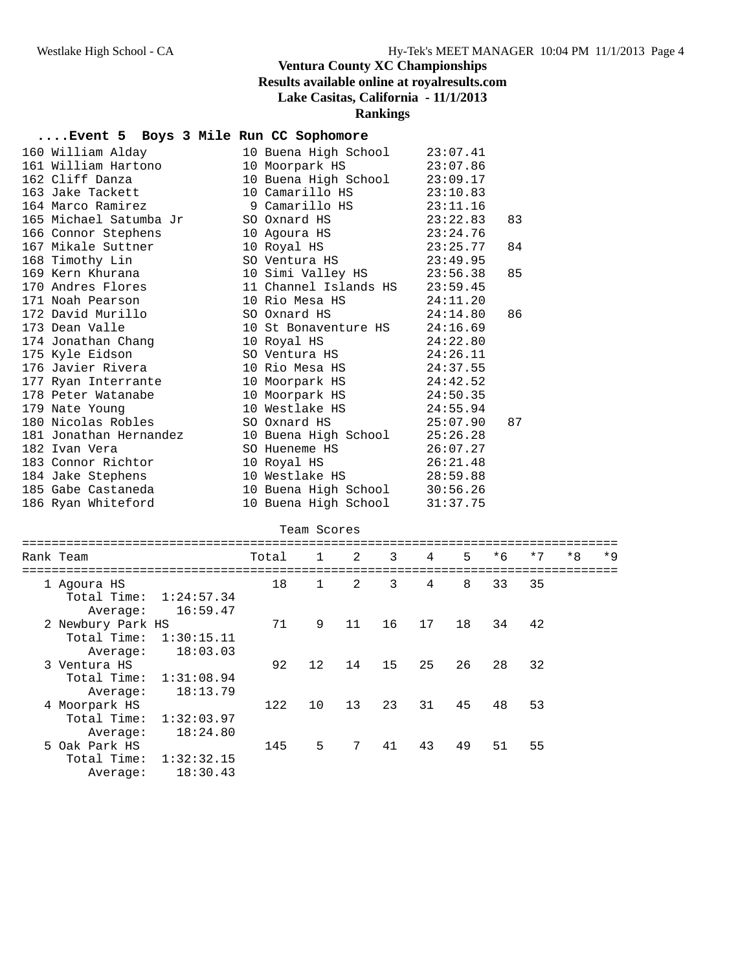### **Rankings**

#### **....Event 5 Boys 3 Mile Run CC Sophomore**

| 160 William Alday 10 Buena High School 23:07.41                                                                                         |                               |    |
|-----------------------------------------------------------------------------------------------------------------------------------------|-------------------------------|----|
| 161 William Hartono 10 Moorpark HS 23:07.86                                                                                             |                               |    |
| 162 Cliff Danza 10 Buena High School 23:09.17<br>163 Jake Tackett 10 Camarillo HS 23:10.83<br>164 Marco Ramirez 9 Camarillo HS 23:11.16 |                               |    |
|                                                                                                                                         |                               |    |
|                                                                                                                                         |                               |    |
| 165 Michael Satumba Jr SO Oxnard HS 23:22.83                                                                                            |                               | 83 |
| 166 Connor Stephens 10 Agoura HS 23:24.76<br>167 Mikale Suttner 10 Royal HS 23:25.77                                                    |                               |    |
|                                                                                                                                         |                               | 84 |
| 168 Timothy Lin SO Ventura HS 23:49.95                                                                                                  |                               |    |
|                                                                                                                                         |                               | 85 |
|                                                                                                                                         |                               |    |
| 171 Noah Pearson 10 Rio Mesa HS 24:11.20                                                                                                |                               |    |
| 172 David Murillo SO Oxnard HS 24:14.80                                                                                                 |                               | 86 |
| 173 Dean Valle                                                                                                                          | 10 St Bonaventure HS 24:16.69 |    |
|                                                                                                                                         |                               |    |
|                                                                                                                                         |                               |    |
| 176 Javier Rivera $10$ Rio Mesa HS $24:37.55$                                                                                           |                               |    |
| 177 Ryan Interrante 10 Moorpark HS 24:42.52                                                                                             |                               |    |
|                                                                                                                                         |                               |    |
|                                                                                                                                         |                               |    |
| 178 Peter Watanabe 10 Moorpark HS 24:50.35<br>179 Nate Young 10 Westlake HS 24:55.94<br>180 Nicolas Robles SO Oxnard HS 25:07.90        |                               | 87 |
| 181 Jonathan Hernandez $10$ Buena High School $25:26.28$                                                                                |                               |    |
|                                                                                                                                         |                               |    |
|                                                                                                                                         |                               |    |
| 184 Jake Stephens 10 Westlake HS 28:59.88                                                                                               |                               |    |
| 185 Gabe Castaneda 10 Buena High School 30:56.26                                                                                        |                               |    |
| 186 Ryan Whiteford                                                                                                                      | 10 Buena High School 31:37.75 |    |

| Team Scores                                  |                        |       |                   |                 |    |    |    |      |      |      |      |
|----------------------------------------------|------------------------|-------|-------------------|-----------------|----|----|----|------|------|------|------|
| Rank Team                                    |                        | Total | $\mathbf{1}$      | 2               | 3  | 4  | 5  | $*6$ | $*7$ | $*8$ | $*9$ |
| 1 Agoura HS<br>Total Time:<br>Average:       | 1:24:57.34<br>16:59.47 | 18    | $\mathbf{1}$      | 2               | 3  | 4  | 8  | 33   | 35   |      |      |
| 2 Newbury Park HS<br>Total Time:<br>Average: | 1:30:15.11<br>18:03.03 | 71    | 9                 | 11              | 16 | 17 | 18 | 34   | 42   |      |      |
| 3 Ventura HS<br>Total Time:<br>Average:      | 1:31:08.94<br>18:13.79 | 92    | $12 \overline{ }$ | 14              | 15 | 25 | 26 | 28   | 32   |      |      |
| 4 Moorpark HS<br>Total Time:<br>Average:     | 1:32:03.97<br>18:24.80 | 122   | 10                | 13              | 23 | 31 | 45 | 48   | 53   |      |      |
| 5 Oak Park HS<br>Total Time:<br>Average:     | 1:32:32.15<br>18:30.43 | 145   | 5                 | $7\overline{ }$ | 41 | 43 | 49 | 51   | 55   |      |      |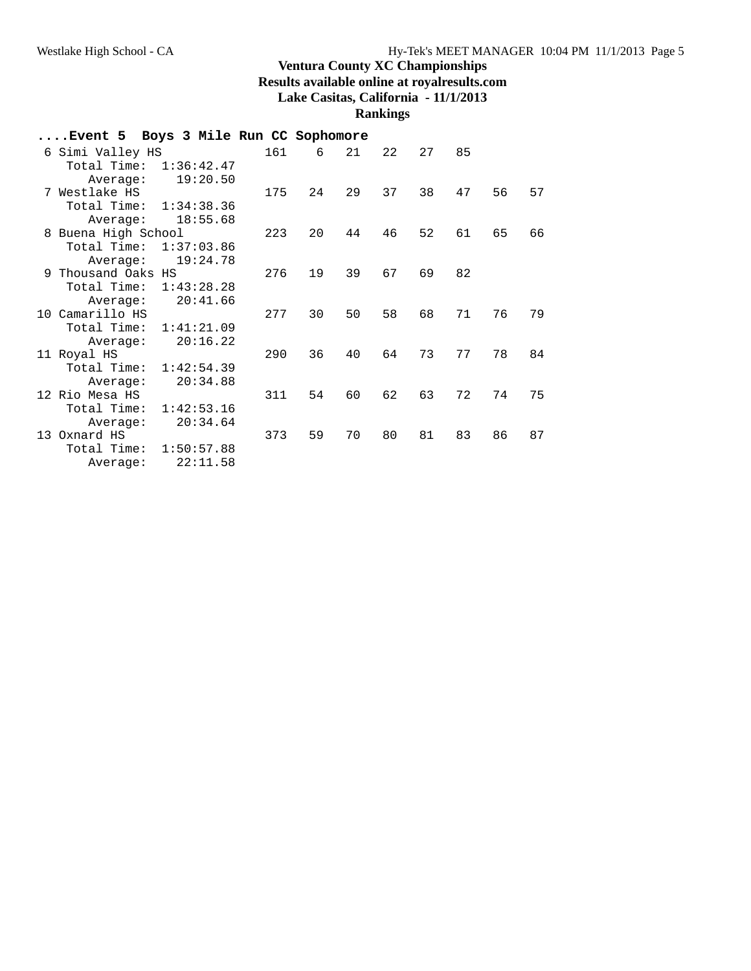**Rankings**

| Event 5 Boys 3 Mile Run CC Sophomore |            |            |     |    |    |    |    |    |    |    |
|--------------------------------------|------------|------------|-----|----|----|----|----|----|----|----|
| 6 Simi Valley HS                     |            |            | 161 | 6  | 21 | 22 | 27 | 85 |    |    |
| Total Time: 1:36:42.47               |            |            |     |    |    |    |    |    |    |    |
| Average:                             |            | 19:20.50   |     |    |    |    |    |    |    |    |
| 7 Westlake HS                        |            |            | 175 | 24 | 29 | 37 | 38 | 47 | 56 | 57 |
| Total Time:                          | 1:34:38.36 |            |     |    |    |    |    |    |    |    |
| Average:                             |            | 18:55.68   |     |    |    |    |    |    |    |    |
| 8 Buena High School                  |            |            | 223 | 20 | 44 | 46 | 52 | 61 | 65 | 66 |
| Total Time:                          |            | 1:37:03.86 |     |    |    |    |    |    |    |    |
| Average:                             |            | 19:24.78   |     |    |    |    |    |    |    |    |
| 9 Thousand Oaks HS                   |            |            | 276 | 19 | 39 | 67 | 69 | 82 |    |    |
| Total Time:                          |            | 1:43:28.28 |     |    |    |    |    |    |    |    |
| Average:                             |            | 20:41.66   |     |    |    |    |    |    |    |    |
| 10 Camarillo HS                      |            |            | 277 | 30 | 50 | 58 | 68 | 71 | 76 | 79 |
| Total Time:                          |            | 1:41:21.09 |     |    |    |    |    |    |    |    |
| Average:                             |            | 20:16.22   |     |    |    |    |    |    |    |    |
| 11 Royal HS                          |            |            | 290 | 36 | 40 | 64 | 73 | 77 | 78 | 84 |
| Total Time:                          |            | 1:42:54.39 |     |    |    |    |    |    |    |    |
| Average:                             |            | 20:34.88   |     |    |    |    |    |    |    |    |
| 12 Rio Mesa HS                       |            |            | 311 | 54 | 60 | 62 | 63 | 72 | 74 | 75 |
| Total Time:                          |            | 1:42:53.16 |     |    |    |    |    |    |    |    |
| Average:                             |            | 20:34.64   |     |    |    |    |    |    |    |    |
| 13 Oxnard HS                         |            |            | 373 | 59 | 70 | 80 | 81 | 83 | 86 | 87 |
| Total Time:                          |            | 1:50:57.88 |     |    |    |    |    |    |    |    |
| Average:                             |            | 22:11.58   |     |    |    |    |    |    |    |    |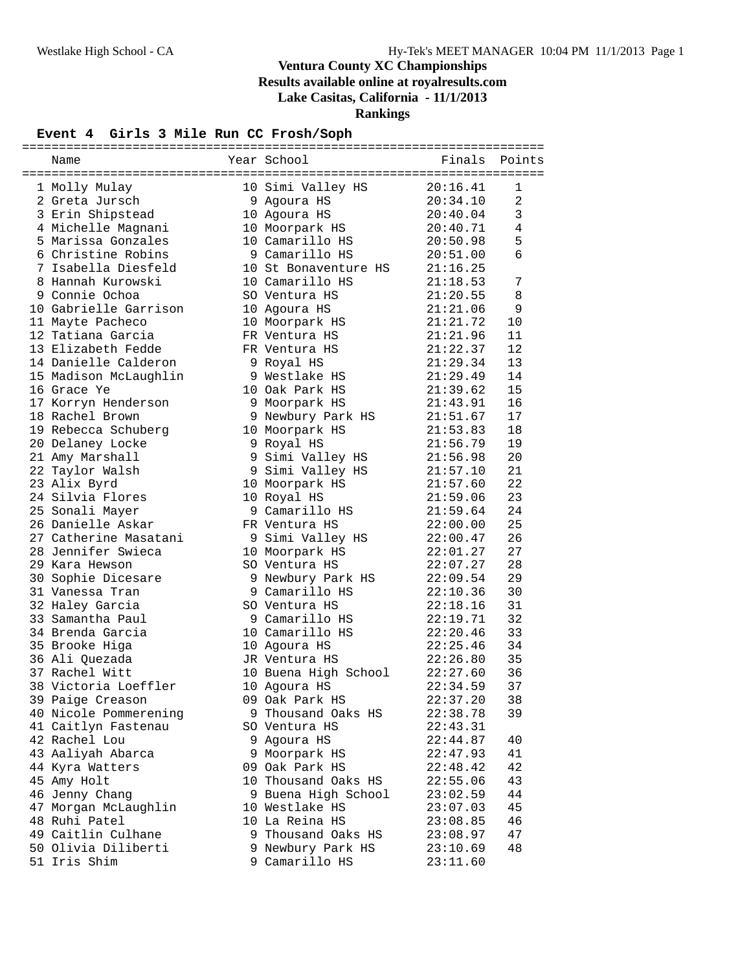#### **Event 4 Girls 3 Mile Run CC Frosh/Soph**

| Name                  | Year School          | Finals   | Points         |
|-----------------------|----------------------|----------|----------------|
|                       |                      |          |                |
| 1 Molly Mulay         | 10 Simi Valley HS    | 20:16.41 | 1              |
| 2 Greta Jursch        | 9 Agoura HS          | 20:34.10 | $\overline{a}$ |
| 3 Erin Shipstead      | 10 Agoura HS         | 20:40.04 | 3              |
| 4 Michelle Magnani    | 10 Moorpark HS       | 20:40.71 | 4              |
| 5 Marissa Gonzales    | 10 Camarillo HS      | 20:50.98 | 5              |
| 6 Christine Robins    | 9 Camarillo HS       | 20:51.00 | 6              |
| 7 Isabella Diesfeld   | 10 St Bonaventure HS | 21:16.25 |                |
| 8 Hannah Kurowski     | 10 Camarillo HS      | 21:18.53 | 7              |
| 9 Connie Ochoa        | SO Ventura HS        | 21:20.55 | 8              |
| 10 Gabrielle Garrison | 10 Agoura HS         | 21:21.06 | 9              |
| 11 Mayte Pacheco      | 10 Moorpark HS       | 21:21.72 | 10             |
| 12 Tatiana Garcia     | FR Ventura HS        | 21:21.96 | 11             |
| 13 Elizabeth Fedde    | FR Ventura HS        | 21:22.37 | 12             |
| 14 Danielle Calderon  | 9 Royal HS           | 21:29.34 | 13             |
| 15 Madison McLaughlin | 9 Westlake HS        | 21:29.49 | 14             |
| 16 Grace Ye           | 10 Oak Park HS       | 21:39.62 | 15             |
| 17 Korryn Henderson   | 9 Moorpark HS        | 21:43.91 | 16             |
| 18 Rachel Brown       | 9 Newbury Park HS    | 21:51.67 | 17             |
| 19 Rebecca Schuberg   | 10 Moorpark HS       | 21:53.83 | 18             |
| 20 Delaney Locke      | 9 Royal HS           | 21:56.79 | 19             |
| 21 Amy Marshall       | 9 Simi Valley HS     | 21:56.98 | 20             |
| 22 Taylor Walsh       | 9 Simi Valley HS     | 21:57.10 | 21             |
| 23 Alix Byrd          | 10 Moorpark HS       | 21:57.60 | 22             |
| 24 Silvia Flores      | 10 Royal HS          | 21:59.06 | 23             |
| 25 Sonali Mayer       | 9 Camarillo HS       | 21:59.64 | 24             |
| 26 Danielle Askar     | FR Ventura HS        | 22:00.00 | 25             |
| 27 Catherine Masatani | 9 Simi Valley HS     | 22:00.47 | 26             |
| 28 Jennifer Swieca    | 10 Moorpark HS       | 22:01.27 | 27             |
| 29 Kara Hewson        | SO Ventura HS        | 22:07.27 | 28             |
| 30 Sophie Dicesare    | 9 Newbury Park HS    | 22:09.54 | 29             |
| 31 Vanessa Tran       | 9 Camarillo HS       | 22:10.36 | 30             |
| 32 Haley Garcia       | SO Ventura HS        | 22:18.16 | 31             |
| 33 Samantha Paul      | 9 Camarillo HS       | 22:19.71 | 32             |
| 34 Brenda Garcia      | 10 Camarillo HS      | 22:20.46 | 33             |
| 35 Brooke Higa        | 10 Agoura HS         | 22:25.46 | 34             |
| 36 Ali Quezada        | JR Ventura HS        | 22:26.80 | 35             |
| 37 Rachel Witt        | 10 Buena High School | 22:27.60 | 36             |
| 38 Victoria Loeffler  | 10 Agoura HS         | 22:34.59 | 37             |
| 39 Paige Creason      | 09 Oak Park HS       | 22:37.20 | 38             |
| 40 Nicole Pommerening | 9 Thousand Oaks HS   | 22:38.78 | 39             |
| 41 Caitlyn Fastenau   | SO Ventura HS        | 22:43.31 |                |
| 42 Rachel Lou         | 9 Agoura HS          | 22:44.87 | 40             |
| 43 Aaliyah Abarca     | 9 Moorpark HS        | 22:47.93 | 41             |
| 44 Kyra Watters       | 09 Oak Park HS       | 22:48.42 | 42             |
| 45 Amy Holt           | 10 Thousand Oaks HS  | 22:55.06 | 43             |
| 46 Jenny Chang        | 9 Buena High School  | 23:02.59 | 44             |
| 47 Morgan McLaughlin  | 10 Westlake HS       | 23:07.03 | 45             |
| 48 Ruhi Patel         | 10 La Reina HS       | 23:08.85 | 46             |
| 49 Caitlin Culhane    | 9 Thousand Oaks HS   | 23:08.97 | 47             |
| 50 Olivia Diliberti   | 9 Newbury Park HS    | 23:10.69 | 48             |
| 51 Iris Shim          | 9 Camarillo HS       | 23:11.60 |                |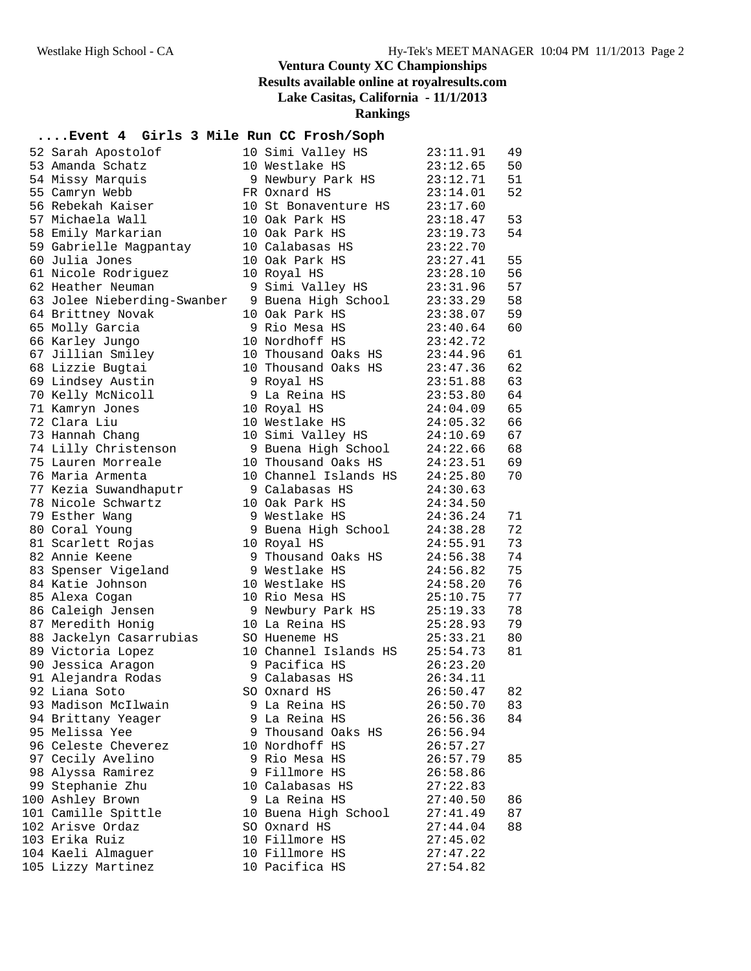**Rankings**

#### **....Event 4 Girls 3 Mile Run CC Frosh/Soph**

| 52 Sarah Apostolof          | 10 Simi Valley HS     | 23:11.91 | 49 |
|-----------------------------|-----------------------|----------|----|
| 53 Amanda Schatz            | 10 Westlake HS        | 23:12.65 | 50 |
| 54 Missy Marquis            | 9 Newbury Park HS     | 23:12.71 | 51 |
| 55 Camryn Webb              | FR Oxnard HS          | 23:14.01 | 52 |
| 56 Rebekah Kaiser           | 10 St Bonaventure HS  | 23:17.60 |    |
| 57 Michaela Wall            | 10 Oak Park HS        | 23:18.47 | 53 |
| 58 Emily Markarian          | 10 Oak Park HS        | 23:19.73 | 54 |
| 59 Gabrielle Magpantay      | 10 Calabasas HS       | 23:22.70 |    |
| 60 Julia Jones              | 10 Oak Park HS        | 23:27.41 | 55 |
| 61 Nicole Rodriguez         | 10 Royal HS           | 23:28.10 | 56 |
| 62 Heather Neuman           | 9 Simi Valley HS      | 23:31.96 | 57 |
| 63 Jolee Nieberding-Swanber | 9 Buena High School   | 23:33.29 | 58 |
| 64 Brittney Novak           | 10 Oak Park HS        | 23:38.07 | 59 |
| 65 Molly Garcia             | 9 Rio Mesa HS         | 23:40.64 | 60 |
| 66 Karley Jungo             | 10 Nordhoff HS        | 23:42.72 |    |
| 67 Jillian Smiley           | 10 Thousand Oaks HS   | 23:44.96 | 61 |
| 68 Lizzie Bugtai            | 10 Thousand Oaks HS   | 23:47.36 | 62 |
| 69 Lindsey Austin           | 9 Royal HS            | 23:51.88 | 63 |
| 70 Kelly McNicoll           | 9 La Reina HS         | 23:53.80 | 64 |
| 71 Kamryn Jones             | 10 Royal HS           | 24:04.09 | 65 |
| 72 Clara Liu                | 10 Westlake HS        | 24:05.32 | 66 |
| 73 Hannah Chang             | 10 Simi Valley HS     | 24:10.69 | 67 |
| 74 Lilly Christenson        | 9 Buena High School   | 24:22.66 | 68 |
| 75 Lauren Morreale          | 10 Thousand Oaks HS   | 24:23.51 | 69 |
| 76 Maria Armenta            | 10 Channel Islands HS | 24:25.80 | 70 |
| 77 Kezia Suwandhaputr       | 9 Calabasas HS        | 24:30.63 |    |
| 78 Nicole Schwartz          | 10 Oak Park HS        | 24:34.50 |    |
| 79 Esther Wang              | 9 Westlake HS         | 24:36.24 | 71 |
| 80 Coral Young              | 9 Buena High School   | 24:38.28 | 72 |
| 81 Scarlett Rojas           | 10 Royal HS           | 24:55.91 | 73 |
| 82 Annie Keene              | 9 Thousand Oaks HS    | 24:56.38 | 74 |
| 83 Spenser Vigeland         | 9 Westlake HS         | 24:56.82 | 75 |
| 84 Katie Johnson            | 10 Westlake HS        | 24:58.20 | 76 |
| 85 Alexa Cogan              | 10 Rio Mesa HS        | 25:10.75 | 77 |
| 86 Caleigh Jensen           | 9 Newbury Park HS     | 25:19.33 | 78 |
| 87 Meredith Honig           | 10 La Reina HS        | 25:28.93 | 79 |
| 88 Jackelyn Casarrubias     | SO Hueneme HS         | 25:33.21 | 80 |
| 89 Victoria Lopez           | 10 Channel Islands HS | 25:54.73 | 81 |
| 90 Jessica Aragon           | 9 Pacifica HS         | 26:23.20 |    |
| 91 Alejandra Rodas          | 9 Calabasas HS        | 26:34.11 |    |
| 92 Liana Soto               | SO Oxnard HS          | 26:50.47 | 82 |
| 93 Madison McIlwain         | 9 La Reina HS         | 26:50.70 | 83 |
| 94 Brittany Yeager          | 9 La Reina HS         | 26:56.36 | 84 |
| 95 Melissa Yee              | 9 Thousand Oaks HS    | 26:56.94 |    |
| 96 Celeste Cheverez         | 10 Nordhoff HS        | 26:57.27 |    |
| 97 Cecily Avelino           | 9 Rio Mesa HS         | 26:57.79 | 85 |
| 98 Alyssa Ramirez           | 9 Fillmore HS         | 26:58.86 |    |
| 99 Stephanie Zhu            | 10 Calabasas HS       | 27:22.83 |    |
| 100 Ashley Brown            | 9 La Reina HS         | 27:40.50 | 86 |
| 101 Camille Spittle         | 10 Buena High School  | 27:41.49 | 87 |
| 102 Arisve Ordaz            | SO Oxnard HS          | 27:44.04 | 88 |
| 103 Erika Ruiz              | 10 Fillmore HS        | 27:45.02 |    |
| 104 Kaeli Almaguer          | 10 Fillmore HS        | 27:47.22 |    |
| 105 Lizzy Martinez          | 10 Pacifica HS        | 27:54.82 |    |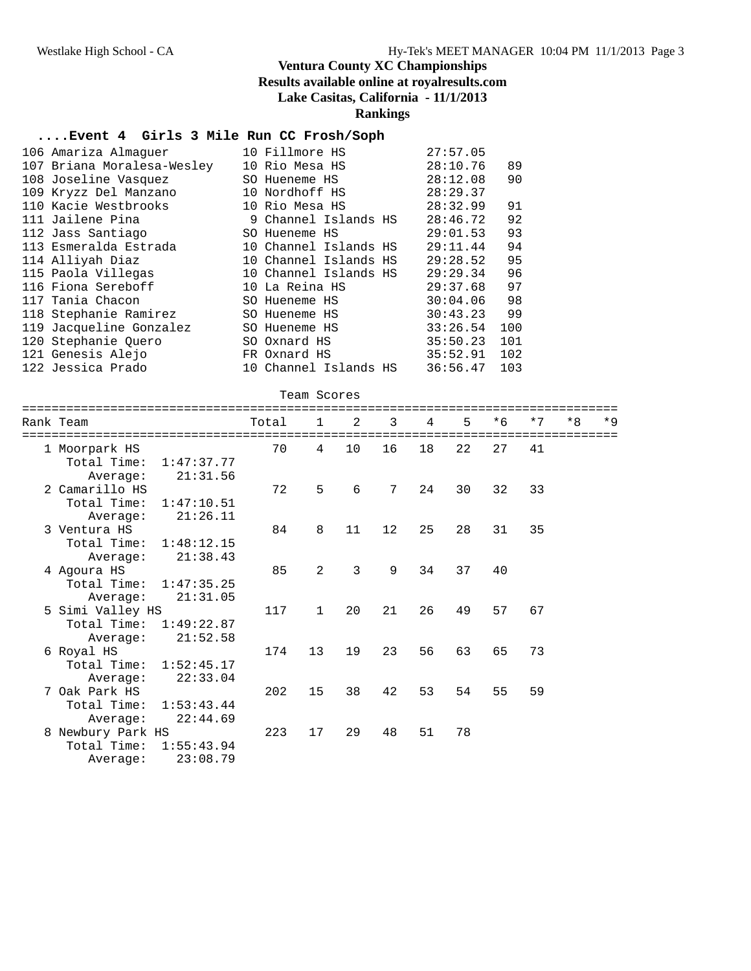#### **....Event 4 Girls 3 Mile Run CC Frosh/Soph**

| 106 Amariza Almaquer       | 10 Fillmore HS        | 27:57.05      |     |
|----------------------------|-----------------------|---------------|-----|
| 107 Briana Moralesa-Wesley | 10 Rio Mesa HS        | 28:10.76      | 89  |
| 108 Joseline Vasquez       | SO Hueneme HS         | 28:12.08      | 90  |
| 109 Kryzz Del Manzano      | 10 Nordhoff HS        | 28:29.37      |     |
| 110 Kacie Westbrooks       | 10 Rio Mesa HS        | 28:32.99      | 91  |
| 111 Jailene Pina           | 9 Channel Islands HS  | 28:46.72      | 92  |
| 112 Jass Santiago          | SO Hueneme HS         | 29:01.53      | 93  |
| 113 Esmeralda Estrada      | 10 Channel Islands HS | 29:11.44      | 94  |
| 114 Alliyah Diaz           | 10 Channel Islands HS | 29:28.52      | 95  |
| 115 Paola Villegas         | 10 Channel Islands HS | 29:29.34      | 96  |
| 116 Fiona Sereboff         | 10 La Reina HS        | 29:37.68      | 97  |
| 117 Tania Chacon           | SO Hueneme HS         | $30:04.06$ 98 |     |
| 118 Stephanie Ramirez      | SO Hueneme HS         | 30:43.23      | 99  |
| 119 Jacqueline Gonzalez    | SO Hueneme HS         | 33:26.54      | 100 |
| 120 Stephanie Ouero        | SO Oxnard HS          | 35:50.23      | 101 |
| 121 Genesis Alejo          | FR Oxnard HS          | 35:52.91      | 102 |
| 122 Jessica Prado          | 10 Channel Islands HS | 36:56.47      | 103 |

|  | Team Scores |
|--|-------------|
|--|-------------|

| Rank Team                                              |                        | Total | $\overline{1}$ | 2              | 3  | $\overline{4}$ | 5  | $*6$ | $*7$ | $*8$ | $*9$ |
|--------------------------------------------------------|------------------------|-------|----------------|----------------|----|----------------|----|------|------|------|------|
| 1 Moorpark HS<br>Total Time:<br>Average:               | 1:47:37.77<br>21:31.56 | 70    | $\overline{4}$ | 10             | 16 | 18             | 22 | 27   | 41   |      |      |
| 2 Camarillo HS<br>Total Time:<br>Average:              | 1:47:10.51<br>21:26.11 | 72    | 5              | 6              | 7  | 24             | 30 | 32   | 33   |      |      |
| 3 Ventura HS<br>Total Time: 1:48:12.15<br>Average:     | 21:38.43               | 84    | 8              | 11             | 12 | 25             | 28 | 31   | 35   |      |      |
| 4 Agoura HS<br>Total Time: 1:47:35.25<br>Average:      | 21:31.05               | 85    | 2              | $\overline{3}$ | 9  | 34             | 37 | 40   |      |      |      |
| 5 Simi Valley HS<br>Total Time: 1:49:22.87<br>Average: | 21:52.58               | 117   | $\mathbf{1}$   | 20             | 21 | 26             | 49 | 57   | 67   |      |      |
| 6 Royal HS<br>Total Time: 1:52:45.17<br>Average:       | 22:33.04               | 174   | 13             | 19             | 23 | 56             | 63 | 65   | 73   |      |      |
| 7 Oak Park HS<br>Total Time:<br>Average:               | 1:53:43.44<br>22:44.69 | 202   | 15             | 38             | 42 | 53             | 54 | 55   | 59   |      |      |
| 8 Newbury Park HS<br>Total Time:<br>Average:           | 1:55:43.94<br>23:08.79 | 223   | 17             | 29             | 48 | 51             | 78 |      |      |      |      |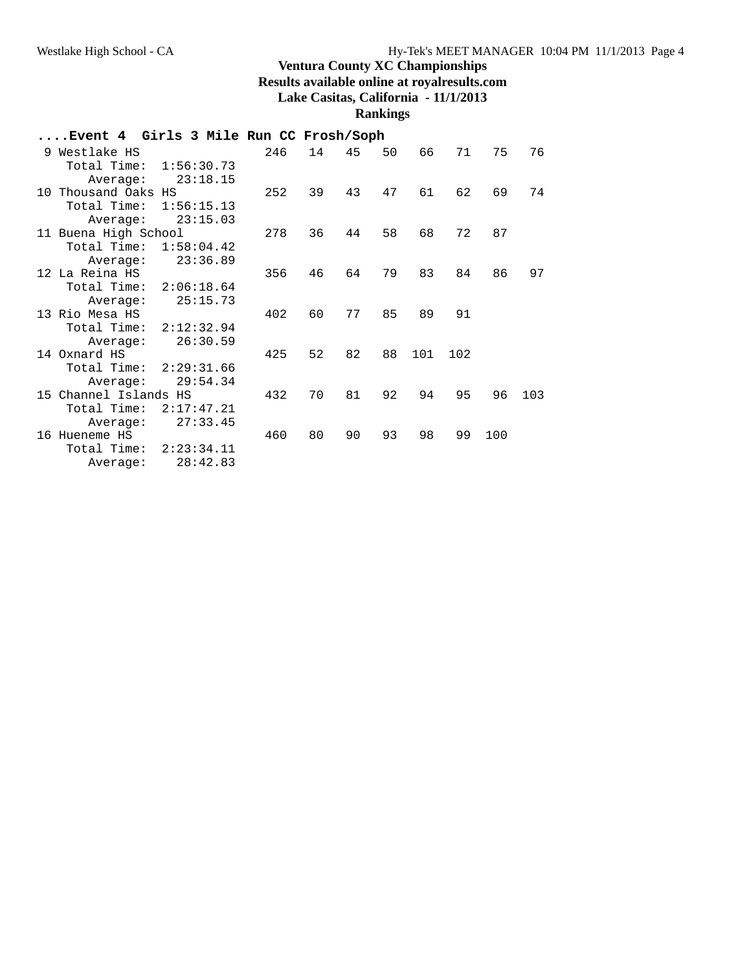# **....Event 4 Girls 3 Mile Run CC Frosh/Soph**

| 9 Westlake HS             | 246 | 14 | 45 | 50 | 66  | 71  | 75  | 76  |
|---------------------------|-----|----|----|----|-----|-----|-----|-----|
| 1:56:30.73<br>Total Time: |     |    |    |    |     |     |     |     |
| 23:18.15<br>Average:      |     |    |    |    |     |     |     |     |
| 10 Thousand Oaks HS       | 252 | 39 | 43 | 47 | 61  | 62  | 69  | 74  |
| Total Time:<br>1:56:15.13 |     |    |    |    |     |     |     |     |
| 23:15.03<br>Average:      |     |    |    |    |     |     |     |     |
| 11 Buena High School      | 278 | 36 | 44 | 58 | 68  | 72  | 87  |     |
| Total Time:<br>1:58:04.42 |     |    |    |    |     |     |     |     |
| 23:36.89<br>Average:      |     |    |    |    |     |     |     |     |
| 12 La Reina HS            | 356 | 46 | 64 | 79 | 83  | 84  | 86  | 97  |
| 2:06:18.64<br>Total Time: |     |    |    |    |     |     |     |     |
| 25:15.73<br>Average:      |     |    |    |    |     |     |     |     |
| 13 Rio Mesa HS            | 402 | 60 | 77 | 85 | 89  | 91  |     |     |
| Total Time:<br>2:12:32.94 |     |    |    |    |     |     |     |     |
| 26:30.59<br>Average:      |     |    |    |    |     |     |     |     |
| 14 Oxnard HS              | 425 | 52 | 82 | 88 | 101 | 102 |     |     |
| Total Time:<br>2:29:31.66 |     |    |    |    |     |     |     |     |
| 29:54.34<br>Average:      |     |    |    |    |     |     |     |     |
| 15 Channel Islands HS     | 432 | 70 | 81 | 92 | 94  | 95  | 96  | 103 |
| Total Time:<br>2:17:47.21 |     |    |    |    |     |     |     |     |
| 27:33.45<br>Average:      |     |    |    |    |     |     |     |     |
| 16 Hueneme HS             | 460 | 80 | 90 | 93 | 98  | 99  | 100 |     |
| Total Time:<br>2:23:34.11 |     |    |    |    |     |     |     |     |
| 28:42.83<br>Average:      |     |    |    |    |     |     |     |     |
|                           |     |    |    |    |     |     |     |     |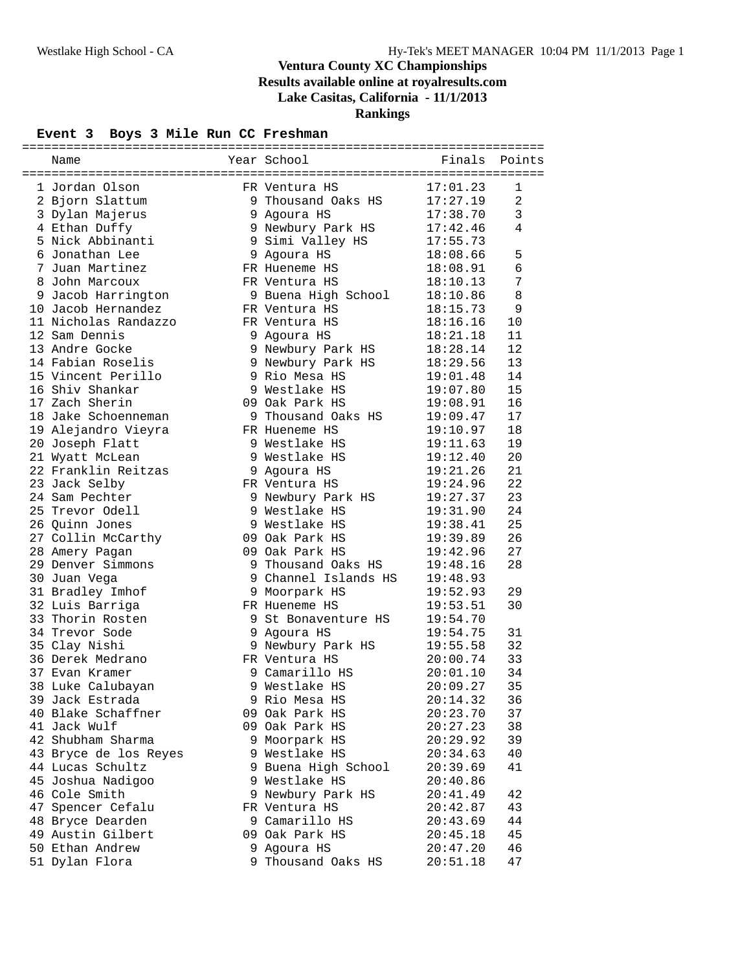#### **Event 3 Boys 3 Mile Run CC Freshman**

| Name                                 | Year School                   | Finals   | Points |
|--------------------------------------|-------------------------------|----------|--------|
|                                      |                               |          |        |
| 1 Jordan Olson                       | FR Ventura HS                 | 17:01.23 | 1      |
| 2 Bjorn Slattum                      | 9 Thousand Oaks $HS$ 17:27.19 |          | 2      |
| 3 Dylan Majerus                      | 9 Agoura HS                   | 17:38.70 | 3      |
| 4 Ethan Duffy                        | 9 Newbury Park HS             | 17:42.46 | 4      |
| 5 Nick Abbinanti                     | 9 Simi Valley HS              | 17:55.73 |        |
| 6 Jonathan Lee                       | 9 Agoura HS                   | 18:08.66 | 5      |
| 7 Juan Martinez                      | FR Hueneme HS                 | 18:08.91 | 6      |
| 8 John Marcoux                       | FR Ventura HS                 | 18:10.13 | 7      |
| 9 Jacob Harrington                   | 9 Buena High School           | 18:10.86 | 8      |
| 10 Jacob Hernandez                   | FR Ventura HS                 | 18:15.73 | 9      |
| 11 Nicholas Randazzo                 | FR Ventura HS                 | 18:16.16 | 10     |
| 12 Sam Dennis                        | 9 Agoura HS                   | 18:21.18 | 11     |
| 13 Andre Gocke                       | 9 Newbury Park HS             | 18:28.14 | 12     |
| 14 Fabian Roselis                    | 9 Newbury Park HS             | 18:29.56 | 13     |
| 15 Vincent Perillo                   | 9 Rio Mesa HS                 | 19:01.48 | 14     |
| 16 Shiv Shankar                      | 9 Westlake HS                 | 19:07.80 | 15     |
| 17 Zach Sherin                       | 09 Oak Park HS                | 19:08.91 | 16     |
| 18 Jake Schoenneman                  | 9 Thousand Oaks HS            | 19:09.47 | 17     |
| 19 Alejandro Vieyra                  | FR Hueneme HS                 | 19:10.97 | 18     |
| 20 Joseph Flatt                      | 9 Westlake HS                 | 19:11.63 | 19     |
| 21 Wyatt McLean                      | 9 Westlake HS                 | 19:12.40 | 20     |
| 22 Franklin Reitzas                  | 9 Agoura HS                   | 19:21.26 | 21     |
| 23 Jack Selby                        | FR Ventura HS                 | 19:24.96 | 22     |
| 24 Sam Pechter                       | 9 Newbury Park HS             | 19:27.37 | 23     |
| 25 Trevor Odell                      | 9 Westlake HS                 | 19:31.90 | 24     |
| 26 Quinn Jones                       | 9 Westlake HS                 | 19:38.41 | 25     |
| 27 Collin McCarthy                   | 09 Oak Park HS                | 19:39.89 | 26     |
| 28 Amery Pagan                       | 09 Oak Park HS                | 19:42.96 | 27     |
| 29 Denver Simmons                    | 9 Thousand Oaks HS            | 19:48.16 | 28     |
| 30 Juan Vega                         | 9 Channel Islands HS          | 19:48.93 |        |
| 31 Bradley Imhof                     | 9 Moorpark HS                 | 19:52.93 | 29     |
| 32 Luis Barriga                      | FR Hueneme HS                 | 19:53.51 | 30     |
| 33 Thorin Rosten                     | 9 St Bonaventure HS           | 19:54.70 |        |
| 34 Trevor Sode                       | 9 Agoura HS                   | 19:54.75 | 31     |
| 35 Clay Nishi                        | 9 Newbury Park HS             | 19:55.58 | 32     |
| 36 Derek Medrano                     | FR Ventura HS                 | 20:00.74 | 33     |
| 37 Evan Kramer                       | 9 Camarillo HS                | 20:01.10 | 34     |
| 38 Luke Calubayan                    | 9 Westlake HS                 | 20:09.27 | 35     |
| 39 Jack Estrada                      | 9 Rio Mesa HS                 | 20:14.32 | 36     |
| 40 Blake Schaffner                   | 09 Oak Park HS                | 20:23.70 | 37     |
| 41 Jack Wulf                         | 09 Oak Park HS                | 20:27.23 | 38     |
| 42 Shubham Sharma                    | 9 Moorpark HS                 | 20:29.92 | 39     |
| 43 Bryce de los Reyes                | 9 Westlake HS                 | 20:34.63 | 40     |
| 44 Lucas Schultz                     | 9 Buena High School           | 20:39.69 | 41     |
| 45 Joshua Nadigoo                    | 9 Westlake HS                 | 20:40.86 |        |
| 46 Cole Smith                        | 9 Newbury Park HS             | 20:41.49 | 42     |
| 47 Spencer Cefalu                    | FR Ventura HS                 | 20:42.87 | 43     |
|                                      | 9 Camarillo HS                |          | 44     |
| 48 Bryce Dearden                     | 09 Oak Park HS                | 20:43.69 | 45     |
| 49 Austin Gilbert<br>50 Ethan Andrew |                               | 20:45.18 |        |
|                                      | 9 Agoura HS                   | 20:47.20 | 46     |
| 51 Dylan Flora                       | 9 Thousand Oaks HS            | 20:51.18 | 47     |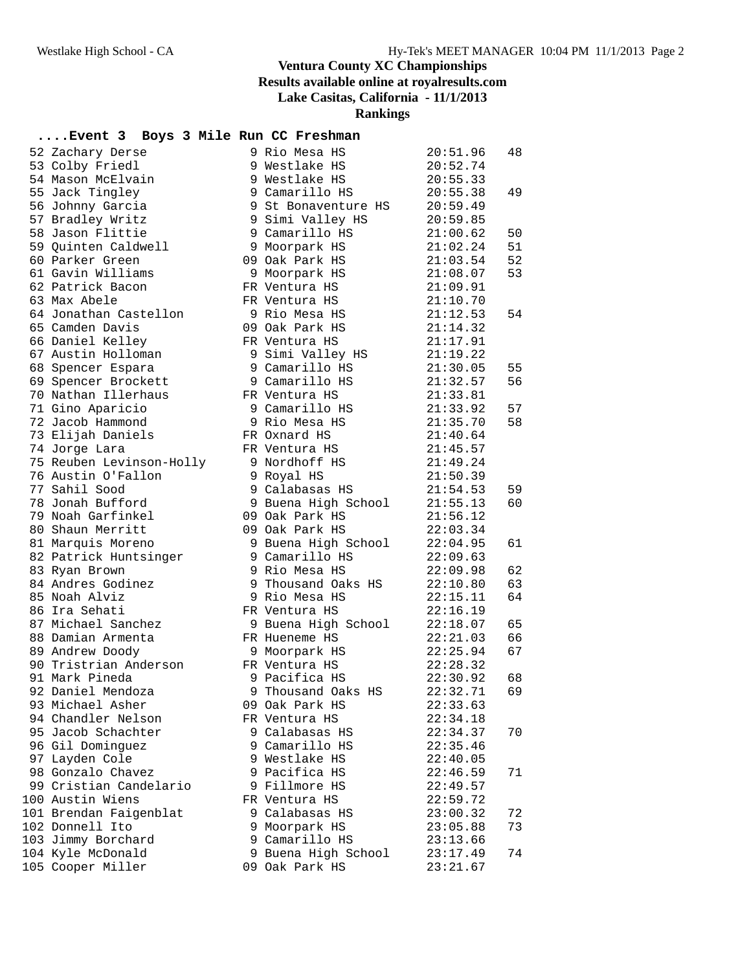**Rankings**

# **....Event 3 Boys 3 Mile Run CC Freshman**

| 52 Zachary Derse         | 9 Rio Mesa HS       | 20:51.96 | 48 |
|--------------------------|---------------------|----------|----|
| 53 Colby Friedl          | 9 Westlake HS       | 20:52.74 |    |
| 54 Mason McElvain        | 9 Westlake HS       | 20:55.33 |    |
| 55 Jack Tingley          | 9 Camarillo HS      | 20:55.38 | 49 |
| 56 Johnny Garcia         | 9 St Bonaventure HS | 20:59.49 |    |
| 57 Bradley Writz         | 9 Simi Valley HS    | 20:59.85 |    |
| 58 Jason Flittie         | 9 Camarillo HS      | 21:00.62 | 50 |
| 59 Quinten Caldwell      | 9 Moorpark HS       | 21:02.24 | 51 |
| 60 Parker Green          | 09 Oak Park HS      | 21:03.54 | 52 |
| 61 Gavin Williams        | 9 Moorpark HS       | 21:08.07 | 53 |
| 62 Patrick Bacon         | FR Ventura HS       | 21:09.91 |    |
| 63 Max Abele             | FR Ventura HS       | 21:10.70 |    |
| 64 Jonathan Castellon    | 9 Rio Mesa HS       | 21:12.53 | 54 |
| 65 Camden Davis          | 09 Oak Park HS      | 21:14.32 |    |
| 66 Daniel Kelley         | FR Ventura HS       | 21:17.91 |    |
| 67 Austin Holloman       | 9 Simi Valley HS    | 21:19.22 |    |
| 68 Spencer Espara        | 9 Camarillo HS      | 21:30.05 | 55 |
| 69 Spencer Brockett      | 9 Camarillo HS      | 21:32.57 | 56 |
| 70 Nathan Illerhaus      | FR Ventura HS       | 21:33.81 |    |
| 71 Gino Aparicio         | 9 Camarillo HS      | 21:33.92 | 57 |
| 72 Jacob Hammond         | 9 Rio Mesa HS       | 21:35.70 | 58 |
| 73 Elijah Daniels        | FR Oxnard HS        | 21:40.64 |    |
| 74 Jorge Lara            | FR Ventura HS       | 21:45.57 |    |
| 75 Reuben Levinson-Holly | 9 Nordhoff HS       | 21:49.24 |    |
| 76 Austin O'Fallon       | 9 Royal HS          | 21:50.39 |    |
| 77 Sahil Sood            | 9 Calabasas HS      | 21:54.53 | 59 |
| 78 Jonah Bufford         | 9 Buena High School | 21:55.13 | 60 |
| 79 Noah Garfinkel        | 09 Oak Park HS      | 21:56.12 |    |
| 80 Shaun Merritt         | 09 Oak Park HS      | 22:03.34 |    |
| 81 Marquis Moreno        | 9 Buena High School | 22:04.95 | 61 |
| 82 Patrick Huntsinger    | 9 Camarillo HS      | 22:09.63 |    |
| 83 Ryan Brown            | 9 Rio Mesa HS       | 22:09.98 | 62 |
| 84 Andres Godinez        | 9 Thousand Oaks HS  | 22:10.80 | 63 |
| 85 Noah Alviz            | 9 Rio Mesa HS       | 22:15.11 | 64 |
| 86 Ira Sehati            | FR Ventura HS       | 22:16.19 |    |
| 87 Michael Sanchez       | 9 Buena High School | 22:18.07 | 65 |
| 88 Damian Armenta        | FR Hueneme HS       | 22:21.03 | 66 |
| 89 Andrew Doody          | 9 Moorpark HS       | 22:25.94 | 67 |
| 90 Tristrian Anderson    | FR Ventura HS       | 22:28.32 |    |
| 91 Mark Pineda           | 9 Pacifica HS       | 22:30.92 | 68 |
| 92 Daniel Mendoza        | 9 Thousand Oaks HS  | 22:32.71 | 69 |
| 93 Michael Asher         | 09 Oak Park HS      | 22:33.63 |    |
| 94 Chandler Nelson       | FR Ventura HS       | 22:34.18 |    |
| 95 Jacob Schachter       | 9 Calabasas HS      | 22:34.37 | 70 |
| 96 Gil Dominguez         | 9 Camarillo HS      | 22:35.46 |    |
| 97 Layden Cole           | 9 Westlake HS       | 22:40.05 |    |
| 98 Gonzalo Chavez        | 9 Pacifica HS       | 22:46.59 | 71 |
| 99 Cristian Candelario   | 9 Fillmore HS       | 22:49.57 |    |
| 100 Austin Wiens         | FR Ventura HS       | 22:59.72 |    |
| 101 Brendan Faigenblat   | 9 Calabasas HS      | 23:00.32 | 72 |
| 102 Donnell Ito          | 9 Moorpark HS       | 23:05.88 | 73 |
| 103 Jimmy Borchard       | 9 Camarillo HS      | 23:13.66 |    |
| 104 Kyle McDonald        | 9 Buena High School | 23:17.49 | 74 |
| 105 Cooper Miller        | 09 Oak Park HS      | 23:21.67 |    |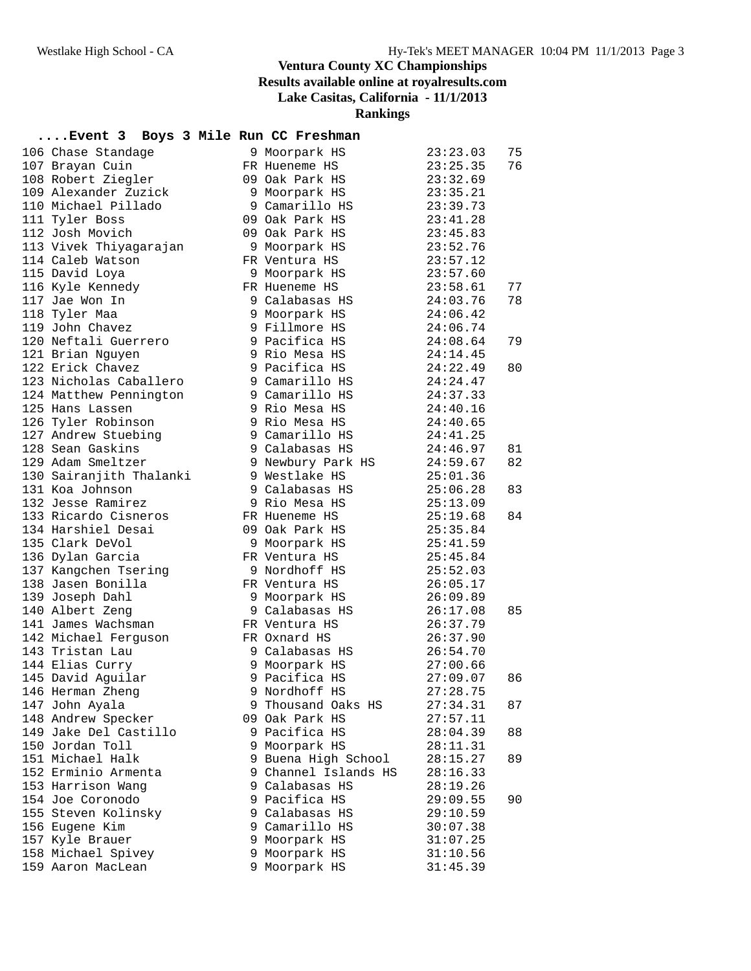**Rankings**

# **....Event 3 Boys 3 Mile Run CC Freshman**

| 106 Chase Standage      |   | 9 Moorpark HS        | 23:23.03             | 75 |
|-------------------------|---|----------------------|----------------------|----|
| 107 Brayan Cuin         |   | FR Hueneme HS        | 23:25.35             | 76 |
| 108 Robert Ziegler      |   | 09 Oak Park HS       | 23:32.69             |    |
| 109 Alexander Zuzick    |   | 9 Moorpark HS        | 23:35.21             |    |
| 110 Michael Pillado     |   | 9 Camarillo HS       | 23:39.73             |    |
| 111 Tyler Boss          |   | 09 Oak Park HS       | 23:41.28             |    |
| 112 Josh Movich         |   | 09 Oak Park HS       | 23:45.83             |    |
| 113 Vivek Thiyagarajan  |   | 9 Moorpark HS        | 23:52.76             |    |
| 114 Caleb Watson        |   | FR Ventura HS        | 23:57.12             |    |
| 115 David Loya          |   | 9 Moorpark HS        | 23:57.60             |    |
| 116 Kyle Kennedy        |   | FR Hueneme HS        | 23:58.61             | 77 |
| 117 Jae Won In          |   | 9 Calabasas HS       | 24:03.76             | 78 |
| 118 Tyler Maa           |   | 9 Moorpark HS        | 24:06.42             |    |
| 119 John Chavez         |   | 9 Fillmore HS        | 24:06.74             |    |
| 120 Neftali Guerrero    |   | 9 Pacifica HS        | 24:08.64             | 79 |
| 121 Brian Nguyen        |   | 9 Rio Mesa HS        | 24:14.45             |    |
| 122 Erick Chavez        |   | 9 Pacifica HS        | 24:22.49             | 80 |
| 123 Nicholas Caballero  |   | 9 Camarillo HS       | 24:24.47             |    |
| 124 Matthew Pennington  |   | 9 Camarillo HS       | 24:37.33             |    |
| 125 Hans Lassen         |   | 9 Rio Mesa HS        | 24:40.16             |    |
| 126 Tyler Robinson      |   | 9 Rio Mesa HS        | 24:40.65             |    |
| 127 Andrew Stuebing     |   | 9 Camarillo HS       | 24:41.25             |    |
| 128 Sean Gaskins        |   | 9 Calabasas HS       | 24:46.97             | 81 |
| 129 Adam Smeltzer       |   | 9 Newbury Park HS    |                      | 82 |
| 130 Sairanjith Thalanki |   | 9 Westlake HS        | 24:59.67<br>25:01.36 |    |
| 131 Koa Johnson         |   | 9 Calabasas HS       | 25:06.28             |    |
|                         |   |                      |                      | 83 |
| 132 Jesse Ramirez       |   | 9 Rio Mesa HS        | 25:13.09             |    |
| 133 Ricardo Cisneros    |   | FR Hueneme HS        | 25:19.68             | 84 |
| 134 Harshiel Desai      |   | 09 Oak Park HS       | 25:35.84             |    |
| 135 Clark DeVol         |   | 9 Moorpark HS        | 25:41.59             |    |
| 136 Dylan Garcia        |   | FR Ventura HS        | 25:45.84             |    |
| 137 Kangchen Tsering    |   | 9 Nordhoff HS        | 25:52.03             |    |
| 138 Jasen Bonilla       |   | FR Ventura HS        | 26:05.17             |    |
| 139 Joseph Dahl         |   | 9 Moorpark HS        | 26:09.89             |    |
| 140 Albert Zeng         |   | 9 Calabasas HS       | 26:17.08             | 85 |
| 141 James Wachsman      |   | FR Ventura HS        | 26:37.79             |    |
| 142 Michael Ferguson    |   | FR Oxnard HS         | 26:37.90             |    |
| 143 Tristan Lau         |   | 9 Calabasas HS       | 26:54.70             |    |
| 144 Elias Curry         |   | 9 Moorpark HS        | 27:00.66             |    |
| 145 David Aguilar       |   | 9 Pacifica HS        | 27:09.07             | 86 |
| 146 Herman Zheng        |   | 9 Nordhoff HS        | 27:28.75             |    |
| 147 John Ayala          |   | 9 Thousand Oaks HS   | 27:34.31             | 87 |
| 148 Andrew Specker      |   | 09 Oak Park HS       | 27:57.11             |    |
| 149 Jake Del Castillo   |   | 9 Pacifica HS        | 28:04.39             | 88 |
| 150 Jordan Toll         | 9 | Moorpark HS          | 28:11.31             |    |
| 151 Michael Halk        |   | 9 Buena High School  | 28:15.27             | 89 |
| 152 Erminio Armenta     |   | 9 Channel Islands HS | 28:16.33             |    |
| 153 Harrison Wang       |   | 9 Calabasas HS       | 28:19.26             |    |
| 154 Joe Coronodo        |   | 9 Pacifica HS        | 29:09.55             | 90 |
| 155 Steven Kolinsky     |   | 9 Calabasas HS       | 29:10.59             |    |
| 156 Eugene Kim          |   | 9 Camarillo HS       | 30:07.38             |    |
| 157 Kyle Brauer         |   | 9 Moorpark HS        | 31:07.25             |    |
| 158 Michael Spivey      |   | 9 Moorpark HS        | 31:10.56             |    |
| 159 Aaron MacLean       |   | 9 Moorpark HS        | 31:45.39             |    |
|                         |   |                      |                      |    |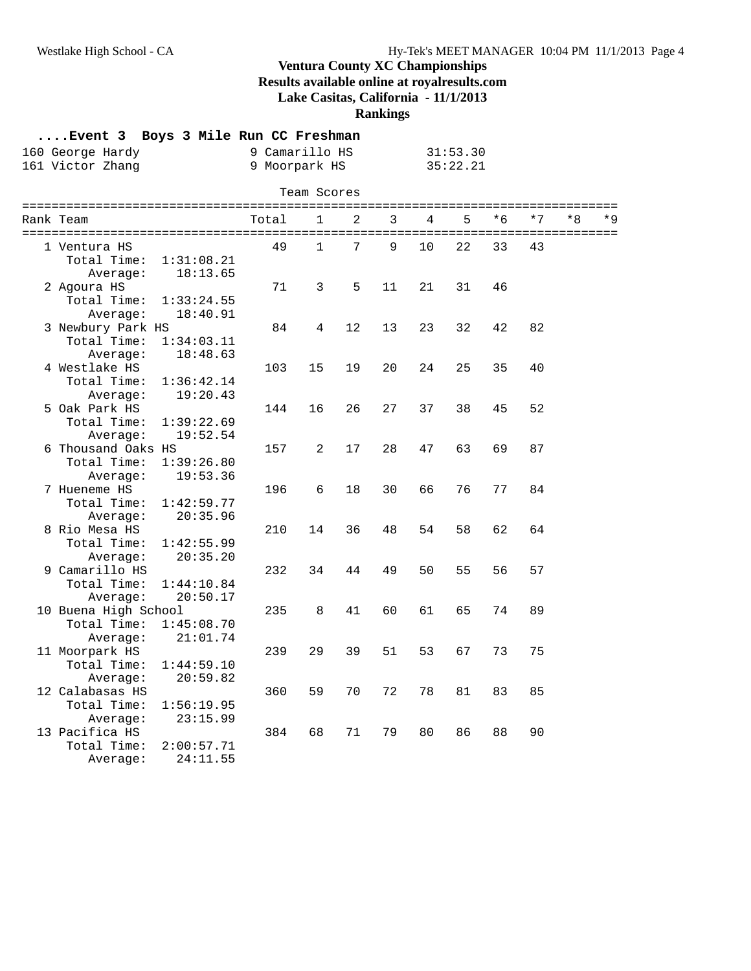#### **Ventura County XC Championships Results available online at royalresults.com**

**Lake Casitas, California - 11/1/2013**

### **Rankings**

|                      | Event 3 Boys 3 Mile Run CC Freshman<br>160 George Hardy<br>161 Victor Zhang |            | 9 Camarillo HS<br>9 Moorpark HS |              |    |    |    | 31:53.30<br>35:22.21 |      |      |      |       |
|----------------------|-----------------------------------------------------------------------------|------------|---------------------------------|--------------|----|----|----|----------------------|------|------|------|-------|
|                      |                                                                             |            |                                 | Team Scores  |    |    |    |                      |      |      |      |       |
| Rank Team            |                                                                             |            | Total                           | 1            | 2  | 3  | 4  | 5                    | $*6$ | $*7$ | $*8$ | $*$ Q |
| 1 Ventura HS         |                                                                             |            | 49                              | $\mathbf{1}$ | 7  | 9  | 10 | 22                   | 33   | 43   |      |       |
| Total Time:          |                                                                             | 1:31:08.21 |                                 |              |    |    |    |                      |      |      |      |       |
|                      | Average:                                                                    | 18:13.65   |                                 |              |    |    |    |                      |      |      |      |       |
| 2 Agoura HS          |                                                                             |            | 71                              | 3            | 5  | 11 | 21 | 31                   | 46   |      |      |       |
| Total Time:          |                                                                             | 1:33:24.55 |                                 |              |    |    |    |                      |      |      |      |       |
|                      | Average:                                                                    | 18:40.91   |                                 |              |    |    |    |                      |      |      |      |       |
| 3 Newbury Park HS    |                                                                             |            | 84                              | 4            | 12 | 13 | 23 | 32                   | 42   | 82   |      |       |
| Total Time:          |                                                                             | 1:34:03.11 |                                 |              |    |    |    |                      |      |      |      |       |
|                      | Average:                                                                    | 18:48.63   |                                 |              |    |    |    |                      |      |      |      |       |
| 4 Westlake HS        |                                                                             |            | 103                             | 15           | 19 | 20 | 24 | 25                   | 35   | 40   |      |       |
| Total Time:          |                                                                             | 1:36:42.14 |                                 |              |    |    |    |                      |      |      |      |       |
|                      | Average:                                                                    | 19:20.43   |                                 |              |    |    |    |                      |      |      |      |       |
| 5 Oak Park HS        |                                                                             |            | 144                             | 16           | 26 | 27 | 37 | 38                   | 45   | 52   |      |       |
| Total Time:          |                                                                             | 1:39:22.69 |                                 |              |    |    |    |                      |      |      |      |       |
|                      | Average:                                                                    | 19:52.54   |                                 |              |    |    |    |                      |      |      |      |       |
| 6 Thousand Oaks HS   |                                                                             |            | 157                             | 2            | 17 | 28 | 47 | 63                   | 69   | 87   |      |       |
| Total Time:          |                                                                             | 1:39:26.80 |                                 |              |    |    |    |                      |      |      |      |       |
|                      | Average:                                                                    | 19:53.36   |                                 |              |    |    |    |                      |      |      |      |       |
| 7 Hueneme HS         |                                                                             |            | 196                             | 6            | 18 | 30 | 66 | 76                   | 77   | 84   |      |       |
| Total Time:          |                                                                             | 1:42:59.77 |                                 |              |    |    |    |                      |      |      |      |       |
|                      | Average:                                                                    | 20:35.96   |                                 |              |    |    |    |                      |      |      |      |       |
| 8 Rio Mesa HS        |                                                                             |            | 210                             | 14           | 36 | 48 | 54 | 58                   | 62   | 64   |      |       |
| Total Time:          |                                                                             | 1:42:55.99 |                                 |              |    |    |    |                      |      |      |      |       |
|                      | Average:                                                                    | 20:35.20   |                                 |              |    |    |    |                      |      |      |      |       |
| 9 Camarillo HS       |                                                                             |            | 232                             | 34           | 44 | 49 | 50 | 55                   | 56   | 57   |      |       |
| Total Time:          |                                                                             | 1:44:10.84 |                                 |              |    |    |    |                      |      |      |      |       |
|                      | Average:                                                                    | 20:50.17   |                                 |              |    |    |    |                      |      |      |      |       |
| 10 Buena High School |                                                                             |            | 235                             | 8            | 41 | 60 | 61 | 65                   | 74   | 89   |      |       |
| Total Time:          |                                                                             | 1:45:08.70 |                                 |              |    |    |    |                      |      |      |      |       |
|                      | Average:                                                                    | 21:01.74   |                                 |              |    |    |    |                      |      |      |      |       |
| 11 Moorpark HS       |                                                                             |            | 239                             | 29           | 39 | 51 | 53 | 67                   | 73   | 75   |      |       |
| Total Time:          |                                                                             | 1:44:59.10 |                                 |              |    |    |    |                      |      |      |      |       |
|                      | Average:                                                                    | 20:59.82   |                                 |              |    |    |    |                      |      |      |      |       |
| 12 Calabasas HS      |                                                                             |            | 360                             | 59           | 70 | 72 | 78 | 81                   | 83   | 85   |      |       |
| Total Time:          |                                                                             | 1:56:19.95 |                                 |              |    |    |    |                      |      |      |      |       |
|                      | Average:                                                                    | 23:15.99   |                                 |              |    |    |    |                      |      |      |      |       |
| 13 Pacifica HS       |                                                                             |            | 384                             | 68           | 71 | 79 | 80 | 86                   | 88   | 90   |      |       |
| Total Time:          |                                                                             | 2:00:57.71 |                                 |              |    |    |    |                      |      |      |      |       |
|                      | Average:                                                                    | 24:11.55   |                                 |              |    |    |    |                      |      |      |      |       |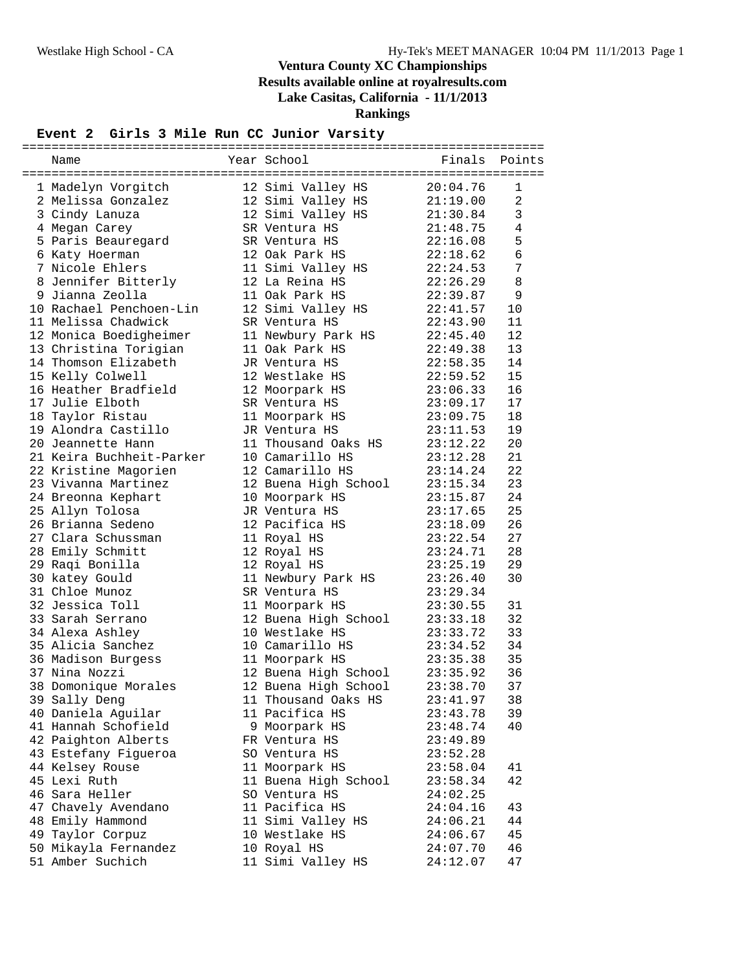| Year School<br>Finals<br>Points<br>Name<br>1 Madelyn Vorgitch<br>12 Simi Valley HS<br>20:04.76<br>1<br>$\overline{a}$<br>2 Melissa Gonzalez<br>12 Simi Valley HS<br>21:19.00<br>21:30.84<br>12 Simi Valley HS<br>$\mathbf{3}$<br>3 Cindy Lanuza<br>21:48.75<br>4<br>4 Megan Carey<br>SR Ventura HS<br>5<br>5 Paris Beauregard<br>22:16.08<br>SR Ventura HS<br>$\epsilon$<br>12 Oak Park HS<br>6 Katy Hoerman<br>22:18.62<br>7 Nicole Ehlers<br>$7\phantom{.0}$<br>11 Simi Valley HS<br>22:24.53<br>8<br>8 Jennifer Bitterly<br>12 La Reina HS<br>22:26.29<br>9 Jianna Zeolla<br>11 Oak Park HS<br>22:39.87<br>9<br>10 Rachael Penchoen-Lin<br>12 Simi Valley HS<br>22:41.57<br>10<br>11 Melissa Chadwick<br>SR Ventura HS<br>22:43.90<br>11<br>12 Monica Boedigheimer<br>11 Newbury Park HS<br>12<br>22:45.40<br>13 Christina Torigian<br>13<br>11 Oak Park HS<br>22:49.38<br>14 Thomson Elizabeth<br>14<br>22:58.35<br>JR Ventura HS<br>22:59.52<br>15 Kelly Colwell<br>15<br>12 Westlake HS<br>16 Heather Bradfield<br>16<br>12 Moorpark HS<br>23:06.33<br>17 Julie Elboth<br>23:09.17<br>17<br>SR Ventura HS<br>18<br>18 Taylor Ristau<br>11 Moorpark HS<br>23:09.75<br>19 Alondra Castillo<br>19<br>JR Ventura HS<br>23:11.53<br>20<br>20 Jeannette Hann<br>11 Thousand Oaks HS<br>23:12.22<br>21<br>21 Keira Buchheit-Parker<br>10 Camarillo HS<br>23:12.28<br>22<br>22 Kristine Magorien<br>12 Camarillo HS<br>23:14.24<br>23<br>23 Vivanna Martinez<br>12 Buena High School<br>23:15.34<br>24<br>24 Breonna Kephart<br>10 Moorpark HS<br>23:15.87<br>25<br>25 Allyn Tolosa<br>JR Ventura HS<br>23:17.65<br>26 Brianna Sedeno<br>26<br>12 Pacifica HS<br>23:18.09<br>27<br>27 Clara Schussman<br>23:22.54<br>11 Royal HS<br>28<br>28 Emily Schmitt<br>12 Royal HS<br>23:24.71<br>29<br>29 Raqi Bonilla<br>12 Royal HS<br>23:25.19<br>30 katey Gould<br>11 Newbury Park HS<br>30<br>23:26.40<br>31 Chloe Munoz<br>SR Ventura HS<br>23:29.34<br>32 Jessica Toll<br>23:30.55<br>31<br>11 Moorpark HS<br>32<br>33 Sarah Serrano<br>23:33.18<br>12 Buena High School<br>33<br>34 Alexa Ashley<br>10 Westlake HS<br>23:33.72<br>35 Alicia Sanchez<br>10 Camarillo HS<br>23:34.52<br>34<br>35<br>36 Madison Burgess<br>11 Moorpark HS<br>23:35.38<br>37 Nina Nozzi<br>36<br>12 Buena High School<br>23:35.92<br>38 Domonique Morales<br>37<br>12 Buena High School<br>23:38.70<br>11 Thousand Oaks HS<br>23:41.97<br>39 Sally Deng<br>38<br>40 Daniela Aguilar<br>11 Pacifica HS<br>39<br>23:43.78<br>41 Hannah Schofield<br>40<br>9 Moorpark HS<br>23:48.74<br>42 Paighton Alberts<br>FR Ventura HS<br>23:49.89<br>43 Estefany Figueroa<br>SO Ventura HS<br>23:52.28<br>11 Moorpark HS<br>44 Kelsey Rouse<br>23:58.04<br>41<br>45 Lexi Ruth<br>11 Buena High School<br>42<br>23:58.34<br>46 Sara Heller<br>SO Ventura HS<br>24:02.25<br>11 Pacifica HS<br>47 Chavely Avendano<br>24:04.16<br>43<br>48 Emily Hammond<br>11 Simi Valley HS<br>44<br>24:06.21<br>49 Taylor Corpuz<br>10 Westlake HS<br>45<br>24:06.67<br>50 Mikayla Fernandez<br>10 Royal HS<br>46<br>24:07.70<br>51 Amber Suchich<br>11 Simi Valley HS |  |  |          |    |
|----------------------------------------------------------------------------------------------------------------------------------------------------------------------------------------------------------------------------------------------------------------------------------------------------------------------------------------------------------------------------------------------------------------------------------------------------------------------------------------------------------------------------------------------------------------------------------------------------------------------------------------------------------------------------------------------------------------------------------------------------------------------------------------------------------------------------------------------------------------------------------------------------------------------------------------------------------------------------------------------------------------------------------------------------------------------------------------------------------------------------------------------------------------------------------------------------------------------------------------------------------------------------------------------------------------------------------------------------------------------------------------------------------------------------------------------------------------------------------------------------------------------------------------------------------------------------------------------------------------------------------------------------------------------------------------------------------------------------------------------------------------------------------------------------------------------------------------------------------------------------------------------------------------------------------------------------------------------------------------------------------------------------------------------------------------------------------------------------------------------------------------------------------------------------------------------------------------------------------------------------------------------------------------------------------------------------------------------------------------------------------------------------------------------------------------------------------------------------------------------------------------------------------------------------------------------------------------------------------------------------------------------------------------------------------------------------------------------------------------------------------------------------------------------------------------------------------------------------------------------------------------------------------------------------------------------------------------------------------------------------------------------------------------------------------------------------------------------------------------------|--|--|----------|----|
|                                                                                                                                                                                                                                                                                                                                                                                                                                                                                                                                                                                                                                                                                                                                                                                                                                                                                                                                                                                                                                                                                                                                                                                                                                                                                                                                                                                                                                                                                                                                                                                                                                                                                                                                                                                                                                                                                                                                                                                                                                                                                                                                                                                                                                                                                                                                                                                                                                                                                                                                                                                                                                                                                                                                                                                                                                                                                                                                                                                                                                                                                                                      |  |  |          |    |
|                                                                                                                                                                                                                                                                                                                                                                                                                                                                                                                                                                                                                                                                                                                                                                                                                                                                                                                                                                                                                                                                                                                                                                                                                                                                                                                                                                                                                                                                                                                                                                                                                                                                                                                                                                                                                                                                                                                                                                                                                                                                                                                                                                                                                                                                                                                                                                                                                                                                                                                                                                                                                                                                                                                                                                                                                                                                                                                                                                                                                                                                                                                      |  |  |          |    |
|                                                                                                                                                                                                                                                                                                                                                                                                                                                                                                                                                                                                                                                                                                                                                                                                                                                                                                                                                                                                                                                                                                                                                                                                                                                                                                                                                                                                                                                                                                                                                                                                                                                                                                                                                                                                                                                                                                                                                                                                                                                                                                                                                                                                                                                                                                                                                                                                                                                                                                                                                                                                                                                                                                                                                                                                                                                                                                                                                                                                                                                                                                                      |  |  |          |    |
|                                                                                                                                                                                                                                                                                                                                                                                                                                                                                                                                                                                                                                                                                                                                                                                                                                                                                                                                                                                                                                                                                                                                                                                                                                                                                                                                                                                                                                                                                                                                                                                                                                                                                                                                                                                                                                                                                                                                                                                                                                                                                                                                                                                                                                                                                                                                                                                                                                                                                                                                                                                                                                                                                                                                                                                                                                                                                                                                                                                                                                                                                                                      |  |  |          |    |
|                                                                                                                                                                                                                                                                                                                                                                                                                                                                                                                                                                                                                                                                                                                                                                                                                                                                                                                                                                                                                                                                                                                                                                                                                                                                                                                                                                                                                                                                                                                                                                                                                                                                                                                                                                                                                                                                                                                                                                                                                                                                                                                                                                                                                                                                                                                                                                                                                                                                                                                                                                                                                                                                                                                                                                                                                                                                                                                                                                                                                                                                                                                      |  |  |          |    |
|                                                                                                                                                                                                                                                                                                                                                                                                                                                                                                                                                                                                                                                                                                                                                                                                                                                                                                                                                                                                                                                                                                                                                                                                                                                                                                                                                                                                                                                                                                                                                                                                                                                                                                                                                                                                                                                                                                                                                                                                                                                                                                                                                                                                                                                                                                                                                                                                                                                                                                                                                                                                                                                                                                                                                                                                                                                                                                                                                                                                                                                                                                                      |  |  |          |    |
|                                                                                                                                                                                                                                                                                                                                                                                                                                                                                                                                                                                                                                                                                                                                                                                                                                                                                                                                                                                                                                                                                                                                                                                                                                                                                                                                                                                                                                                                                                                                                                                                                                                                                                                                                                                                                                                                                                                                                                                                                                                                                                                                                                                                                                                                                                                                                                                                                                                                                                                                                                                                                                                                                                                                                                                                                                                                                                                                                                                                                                                                                                                      |  |  |          |    |
|                                                                                                                                                                                                                                                                                                                                                                                                                                                                                                                                                                                                                                                                                                                                                                                                                                                                                                                                                                                                                                                                                                                                                                                                                                                                                                                                                                                                                                                                                                                                                                                                                                                                                                                                                                                                                                                                                                                                                                                                                                                                                                                                                                                                                                                                                                                                                                                                                                                                                                                                                                                                                                                                                                                                                                                                                                                                                                                                                                                                                                                                                                                      |  |  |          |    |
|                                                                                                                                                                                                                                                                                                                                                                                                                                                                                                                                                                                                                                                                                                                                                                                                                                                                                                                                                                                                                                                                                                                                                                                                                                                                                                                                                                                                                                                                                                                                                                                                                                                                                                                                                                                                                                                                                                                                                                                                                                                                                                                                                                                                                                                                                                                                                                                                                                                                                                                                                                                                                                                                                                                                                                                                                                                                                                                                                                                                                                                                                                                      |  |  |          |    |
|                                                                                                                                                                                                                                                                                                                                                                                                                                                                                                                                                                                                                                                                                                                                                                                                                                                                                                                                                                                                                                                                                                                                                                                                                                                                                                                                                                                                                                                                                                                                                                                                                                                                                                                                                                                                                                                                                                                                                                                                                                                                                                                                                                                                                                                                                                                                                                                                                                                                                                                                                                                                                                                                                                                                                                                                                                                                                                                                                                                                                                                                                                                      |  |  |          |    |
|                                                                                                                                                                                                                                                                                                                                                                                                                                                                                                                                                                                                                                                                                                                                                                                                                                                                                                                                                                                                                                                                                                                                                                                                                                                                                                                                                                                                                                                                                                                                                                                                                                                                                                                                                                                                                                                                                                                                                                                                                                                                                                                                                                                                                                                                                                                                                                                                                                                                                                                                                                                                                                                                                                                                                                                                                                                                                                                                                                                                                                                                                                                      |  |  |          |    |
|                                                                                                                                                                                                                                                                                                                                                                                                                                                                                                                                                                                                                                                                                                                                                                                                                                                                                                                                                                                                                                                                                                                                                                                                                                                                                                                                                                                                                                                                                                                                                                                                                                                                                                                                                                                                                                                                                                                                                                                                                                                                                                                                                                                                                                                                                                                                                                                                                                                                                                                                                                                                                                                                                                                                                                                                                                                                                                                                                                                                                                                                                                                      |  |  |          |    |
|                                                                                                                                                                                                                                                                                                                                                                                                                                                                                                                                                                                                                                                                                                                                                                                                                                                                                                                                                                                                                                                                                                                                                                                                                                                                                                                                                                                                                                                                                                                                                                                                                                                                                                                                                                                                                                                                                                                                                                                                                                                                                                                                                                                                                                                                                                                                                                                                                                                                                                                                                                                                                                                                                                                                                                                                                                                                                                                                                                                                                                                                                                                      |  |  |          |    |
|                                                                                                                                                                                                                                                                                                                                                                                                                                                                                                                                                                                                                                                                                                                                                                                                                                                                                                                                                                                                                                                                                                                                                                                                                                                                                                                                                                                                                                                                                                                                                                                                                                                                                                                                                                                                                                                                                                                                                                                                                                                                                                                                                                                                                                                                                                                                                                                                                                                                                                                                                                                                                                                                                                                                                                                                                                                                                                                                                                                                                                                                                                                      |  |  |          |    |
|                                                                                                                                                                                                                                                                                                                                                                                                                                                                                                                                                                                                                                                                                                                                                                                                                                                                                                                                                                                                                                                                                                                                                                                                                                                                                                                                                                                                                                                                                                                                                                                                                                                                                                                                                                                                                                                                                                                                                                                                                                                                                                                                                                                                                                                                                                                                                                                                                                                                                                                                                                                                                                                                                                                                                                                                                                                                                                                                                                                                                                                                                                                      |  |  |          |    |
|                                                                                                                                                                                                                                                                                                                                                                                                                                                                                                                                                                                                                                                                                                                                                                                                                                                                                                                                                                                                                                                                                                                                                                                                                                                                                                                                                                                                                                                                                                                                                                                                                                                                                                                                                                                                                                                                                                                                                                                                                                                                                                                                                                                                                                                                                                                                                                                                                                                                                                                                                                                                                                                                                                                                                                                                                                                                                                                                                                                                                                                                                                                      |  |  |          |    |
|                                                                                                                                                                                                                                                                                                                                                                                                                                                                                                                                                                                                                                                                                                                                                                                                                                                                                                                                                                                                                                                                                                                                                                                                                                                                                                                                                                                                                                                                                                                                                                                                                                                                                                                                                                                                                                                                                                                                                                                                                                                                                                                                                                                                                                                                                                                                                                                                                                                                                                                                                                                                                                                                                                                                                                                                                                                                                                                                                                                                                                                                                                                      |  |  |          |    |
|                                                                                                                                                                                                                                                                                                                                                                                                                                                                                                                                                                                                                                                                                                                                                                                                                                                                                                                                                                                                                                                                                                                                                                                                                                                                                                                                                                                                                                                                                                                                                                                                                                                                                                                                                                                                                                                                                                                                                                                                                                                                                                                                                                                                                                                                                                                                                                                                                                                                                                                                                                                                                                                                                                                                                                                                                                                                                                                                                                                                                                                                                                                      |  |  |          |    |
|                                                                                                                                                                                                                                                                                                                                                                                                                                                                                                                                                                                                                                                                                                                                                                                                                                                                                                                                                                                                                                                                                                                                                                                                                                                                                                                                                                                                                                                                                                                                                                                                                                                                                                                                                                                                                                                                                                                                                                                                                                                                                                                                                                                                                                                                                                                                                                                                                                                                                                                                                                                                                                                                                                                                                                                                                                                                                                                                                                                                                                                                                                                      |  |  |          |    |
|                                                                                                                                                                                                                                                                                                                                                                                                                                                                                                                                                                                                                                                                                                                                                                                                                                                                                                                                                                                                                                                                                                                                                                                                                                                                                                                                                                                                                                                                                                                                                                                                                                                                                                                                                                                                                                                                                                                                                                                                                                                                                                                                                                                                                                                                                                                                                                                                                                                                                                                                                                                                                                                                                                                                                                                                                                                                                                                                                                                                                                                                                                                      |  |  |          |    |
|                                                                                                                                                                                                                                                                                                                                                                                                                                                                                                                                                                                                                                                                                                                                                                                                                                                                                                                                                                                                                                                                                                                                                                                                                                                                                                                                                                                                                                                                                                                                                                                                                                                                                                                                                                                                                                                                                                                                                                                                                                                                                                                                                                                                                                                                                                                                                                                                                                                                                                                                                                                                                                                                                                                                                                                                                                                                                                                                                                                                                                                                                                                      |  |  |          |    |
|                                                                                                                                                                                                                                                                                                                                                                                                                                                                                                                                                                                                                                                                                                                                                                                                                                                                                                                                                                                                                                                                                                                                                                                                                                                                                                                                                                                                                                                                                                                                                                                                                                                                                                                                                                                                                                                                                                                                                                                                                                                                                                                                                                                                                                                                                                                                                                                                                                                                                                                                                                                                                                                                                                                                                                                                                                                                                                                                                                                                                                                                                                                      |  |  |          |    |
|                                                                                                                                                                                                                                                                                                                                                                                                                                                                                                                                                                                                                                                                                                                                                                                                                                                                                                                                                                                                                                                                                                                                                                                                                                                                                                                                                                                                                                                                                                                                                                                                                                                                                                                                                                                                                                                                                                                                                                                                                                                                                                                                                                                                                                                                                                                                                                                                                                                                                                                                                                                                                                                                                                                                                                                                                                                                                                                                                                                                                                                                                                                      |  |  |          |    |
|                                                                                                                                                                                                                                                                                                                                                                                                                                                                                                                                                                                                                                                                                                                                                                                                                                                                                                                                                                                                                                                                                                                                                                                                                                                                                                                                                                                                                                                                                                                                                                                                                                                                                                                                                                                                                                                                                                                                                                                                                                                                                                                                                                                                                                                                                                                                                                                                                                                                                                                                                                                                                                                                                                                                                                                                                                                                                                                                                                                                                                                                                                                      |  |  |          |    |
|                                                                                                                                                                                                                                                                                                                                                                                                                                                                                                                                                                                                                                                                                                                                                                                                                                                                                                                                                                                                                                                                                                                                                                                                                                                                                                                                                                                                                                                                                                                                                                                                                                                                                                                                                                                                                                                                                                                                                                                                                                                                                                                                                                                                                                                                                                                                                                                                                                                                                                                                                                                                                                                                                                                                                                                                                                                                                                                                                                                                                                                                                                                      |  |  |          |    |
|                                                                                                                                                                                                                                                                                                                                                                                                                                                                                                                                                                                                                                                                                                                                                                                                                                                                                                                                                                                                                                                                                                                                                                                                                                                                                                                                                                                                                                                                                                                                                                                                                                                                                                                                                                                                                                                                                                                                                                                                                                                                                                                                                                                                                                                                                                                                                                                                                                                                                                                                                                                                                                                                                                                                                                                                                                                                                                                                                                                                                                                                                                                      |  |  |          |    |
|                                                                                                                                                                                                                                                                                                                                                                                                                                                                                                                                                                                                                                                                                                                                                                                                                                                                                                                                                                                                                                                                                                                                                                                                                                                                                                                                                                                                                                                                                                                                                                                                                                                                                                                                                                                                                                                                                                                                                                                                                                                                                                                                                                                                                                                                                                                                                                                                                                                                                                                                                                                                                                                                                                                                                                                                                                                                                                                                                                                                                                                                                                                      |  |  |          |    |
|                                                                                                                                                                                                                                                                                                                                                                                                                                                                                                                                                                                                                                                                                                                                                                                                                                                                                                                                                                                                                                                                                                                                                                                                                                                                                                                                                                                                                                                                                                                                                                                                                                                                                                                                                                                                                                                                                                                                                                                                                                                                                                                                                                                                                                                                                                                                                                                                                                                                                                                                                                                                                                                                                                                                                                                                                                                                                                                                                                                                                                                                                                                      |  |  |          |    |
|                                                                                                                                                                                                                                                                                                                                                                                                                                                                                                                                                                                                                                                                                                                                                                                                                                                                                                                                                                                                                                                                                                                                                                                                                                                                                                                                                                                                                                                                                                                                                                                                                                                                                                                                                                                                                                                                                                                                                                                                                                                                                                                                                                                                                                                                                                                                                                                                                                                                                                                                                                                                                                                                                                                                                                                                                                                                                                                                                                                                                                                                                                                      |  |  |          |    |
|                                                                                                                                                                                                                                                                                                                                                                                                                                                                                                                                                                                                                                                                                                                                                                                                                                                                                                                                                                                                                                                                                                                                                                                                                                                                                                                                                                                                                                                                                                                                                                                                                                                                                                                                                                                                                                                                                                                                                                                                                                                                                                                                                                                                                                                                                                                                                                                                                                                                                                                                                                                                                                                                                                                                                                                                                                                                                                                                                                                                                                                                                                                      |  |  |          |    |
|                                                                                                                                                                                                                                                                                                                                                                                                                                                                                                                                                                                                                                                                                                                                                                                                                                                                                                                                                                                                                                                                                                                                                                                                                                                                                                                                                                                                                                                                                                                                                                                                                                                                                                                                                                                                                                                                                                                                                                                                                                                                                                                                                                                                                                                                                                                                                                                                                                                                                                                                                                                                                                                                                                                                                                                                                                                                                                                                                                                                                                                                                                                      |  |  |          |    |
|                                                                                                                                                                                                                                                                                                                                                                                                                                                                                                                                                                                                                                                                                                                                                                                                                                                                                                                                                                                                                                                                                                                                                                                                                                                                                                                                                                                                                                                                                                                                                                                                                                                                                                                                                                                                                                                                                                                                                                                                                                                                                                                                                                                                                                                                                                                                                                                                                                                                                                                                                                                                                                                                                                                                                                                                                                                                                                                                                                                                                                                                                                                      |  |  |          |    |
|                                                                                                                                                                                                                                                                                                                                                                                                                                                                                                                                                                                                                                                                                                                                                                                                                                                                                                                                                                                                                                                                                                                                                                                                                                                                                                                                                                                                                                                                                                                                                                                                                                                                                                                                                                                                                                                                                                                                                                                                                                                                                                                                                                                                                                                                                                                                                                                                                                                                                                                                                                                                                                                                                                                                                                                                                                                                                                                                                                                                                                                                                                                      |  |  |          |    |
|                                                                                                                                                                                                                                                                                                                                                                                                                                                                                                                                                                                                                                                                                                                                                                                                                                                                                                                                                                                                                                                                                                                                                                                                                                                                                                                                                                                                                                                                                                                                                                                                                                                                                                                                                                                                                                                                                                                                                                                                                                                                                                                                                                                                                                                                                                                                                                                                                                                                                                                                                                                                                                                                                                                                                                                                                                                                                                                                                                                                                                                                                                                      |  |  |          |    |
|                                                                                                                                                                                                                                                                                                                                                                                                                                                                                                                                                                                                                                                                                                                                                                                                                                                                                                                                                                                                                                                                                                                                                                                                                                                                                                                                                                                                                                                                                                                                                                                                                                                                                                                                                                                                                                                                                                                                                                                                                                                                                                                                                                                                                                                                                                                                                                                                                                                                                                                                                                                                                                                                                                                                                                                                                                                                                                                                                                                                                                                                                                                      |  |  |          |    |
|                                                                                                                                                                                                                                                                                                                                                                                                                                                                                                                                                                                                                                                                                                                                                                                                                                                                                                                                                                                                                                                                                                                                                                                                                                                                                                                                                                                                                                                                                                                                                                                                                                                                                                                                                                                                                                                                                                                                                                                                                                                                                                                                                                                                                                                                                                                                                                                                                                                                                                                                                                                                                                                                                                                                                                                                                                                                                                                                                                                                                                                                                                                      |  |  |          |    |
|                                                                                                                                                                                                                                                                                                                                                                                                                                                                                                                                                                                                                                                                                                                                                                                                                                                                                                                                                                                                                                                                                                                                                                                                                                                                                                                                                                                                                                                                                                                                                                                                                                                                                                                                                                                                                                                                                                                                                                                                                                                                                                                                                                                                                                                                                                                                                                                                                                                                                                                                                                                                                                                                                                                                                                                                                                                                                                                                                                                                                                                                                                                      |  |  |          |    |
|                                                                                                                                                                                                                                                                                                                                                                                                                                                                                                                                                                                                                                                                                                                                                                                                                                                                                                                                                                                                                                                                                                                                                                                                                                                                                                                                                                                                                                                                                                                                                                                                                                                                                                                                                                                                                                                                                                                                                                                                                                                                                                                                                                                                                                                                                                                                                                                                                                                                                                                                                                                                                                                                                                                                                                                                                                                                                                                                                                                                                                                                                                                      |  |  |          |    |
|                                                                                                                                                                                                                                                                                                                                                                                                                                                                                                                                                                                                                                                                                                                                                                                                                                                                                                                                                                                                                                                                                                                                                                                                                                                                                                                                                                                                                                                                                                                                                                                                                                                                                                                                                                                                                                                                                                                                                                                                                                                                                                                                                                                                                                                                                                                                                                                                                                                                                                                                                                                                                                                                                                                                                                                                                                                                                                                                                                                                                                                                                                                      |  |  |          |    |
|                                                                                                                                                                                                                                                                                                                                                                                                                                                                                                                                                                                                                                                                                                                                                                                                                                                                                                                                                                                                                                                                                                                                                                                                                                                                                                                                                                                                                                                                                                                                                                                                                                                                                                                                                                                                                                                                                                                                                                                                                                                                                                                                                                                                                                                                                                                                                                                                                                                                                                                                                                                                                                                                                                                                                                                                                                                                                                                                                                                                                                                                                                                      |  |  |          |    |
|                                                                                                                                                                                                                                                                                                                                                                                                                                                                                                                                                                                                                                                                                                                                                                                                                                                                                                                                                                                                                                                                                                                                                                                                                                                                                                                                                                                                                                                                                                                                                                                                                                                                                                                                                                                                                                                                                                                                                                                                                                                                                                                                                                                                                                                                                                                                                                                                                                                                                                                                                                                                                                                                                                                                                                                                                                                                                                                                                                                                                                                                                                                      |  |  |          |    |
|                                                                                                                                                                                                                                                                                                                                                                                                                                                                                                                                                                                                                                                                                                                                                                                                                                                                                                                                                                                                                                                                                                                                                                                                                                                                                                                                                                                                                                                                                                                                                                                                                                                                                                                                                                                                                                                                                                                                                                                                                                                                                                                                                                                                                                                                                                                                                                                                                                                                                                                                                                                                                                                                                                                                                                                                                                                                                                                                                                                                                                                                                                                      |  |  |          |    |
|                                                                                                                                                                                                                                                                                                                                                                                                                                                                                                                                                                                                                                                                                                                                                                                                                                                                                                                                                                                                                                                                                                                                                                                                                                                                                                                                                                                                                                                                                                                                                                                                                                                                                                                                                                                                                                                                                                                                                                                                                                                                                                                                                                                                                                                                                                                                                                                                                                                                                                                                                                                                                                                                                                                                                                                                                                                                                                                                                                                                                                                                                                                      |  |  |          |    |
|                                                                                                                                                                                                                                                                                                                                                                                                                                                                                                                                                                                                                                                                                                                                                                                                                                                                                                                                                                                                                                                                                                                                                                                                                                                                                                                                                                                                                                                                                                                                                                                                                                                                                                                                                                                                                                                                                                                                                                                                                                                                                                                                                                                                                                                                                                                                                                                                                                                                                                                                                                                                                                                                                                                                                                                                                                                                                                                                                                                                                                                                                                                      |  |  |          |    |
|                                                                                                                                                                                                                                                                                                                                                                                                                                                                                                                                                                                                                                                                                                                                                                                                                                                                                                                                                                                                                                                                                                                                                                                                                                                                                                                                                                                                                                                                                                                                                                                                                                                                                                                                                                                                                                                                                                                                                                                                                                                                                                                                                                                                                                                                                                                                                                                                                                                                                                                                                                                                                                                                                                                                                                                                                                                                                                                                                                                                                                                                                                                      |  |  |          |    |
|                                                                                                                                                                                                                                                                                                                                                                                                                                                                                                                                                                                                                                                                                                                                                                                                                                                                                                                                                                                                                                                                                                                                                                                                                                                                                                                                                                                                                                                                                                                                                                                                                                                                                                                                                                                                                                                                                                                                                                                                                                                                                                                                                                                                                                                                                                                                                                                                                                                                                                                                                                                                                                                                                                                                                                                                                                                                                                                                                                                                                                                                                                                      |  |  |          |    |
|                                                                                                                                                                                                                                                                                                                                                                                                                                                                                                                                                                                                                                                                                                                                                                                                                                                                                                                                                                                                                                                                                                                                                                                                                                                                                                                                                                                                                                                                                                                                                                                                                                                                                                                                                                                                                                                                                                                                                                                                                                                                                                                                                                                                                                                                                                                                                                                                                                                                                                                                                                                                                                                                                                                                                                                                                                                                                                                                                                                                                                                                                                                      |  |  |          |    |
|                                                                                                                                                                                                                                                                                                                                                                                                                                                                                                                                                                                                                                                                                                                                                                                                                                                                                                                                                                                                                                                                                                                                                                                                                                                                                                                                                                                                                                                                                                                                                                                                                                                                                                                                                                                                                                                                                                                                                                                                                                                                                                                                                                                                                                                                                                                                                                                                                                                                                                                                                                                                                                                                                                                                                                                                                                                                                                                                                                                                                                                                                                                      |  |  |          |    |
|                                                                                                                                                                                                                                                                                                                                                                                                                                                                                                                                                                                                                                                                                                                                                                                                                                                                                                                                                                                                                                                                                                                                                                                                                                                                                                                                                                                                                                                                                                                                                                                                                                                                                                                                                                                                                                                                                                                                                                                                                                                                                                                                                                                                                                                                                                                                                                                                                                                                                                                                                                                                                                                                                                                                                                                                                                                                                                                                                                                                                                                                                                                      |  |  |          |    |
|                                                                                                                                                                                                                                                                                                                                                                                                                                                                                                                                                                                                                                                                                                                                                                                                                                                                                                                                                                                                                                                                                                                                                                                                                                                                                                                                                                                                                                                                                                                                                                                                                                                                                                                                                                                                                                                                                                                                                                                                                                                                                                                                                                                                                                                                                                                                                                                                                                                                                                                                                                                                                                                                                                                                                                                                                                                                                                                                                                                                                                                                                                                      |  |  |          |    |
|                                                                                                                                                                                                                                                                                                                                                                                                                                                                                                                                                                                                                                                                                                                                                                                                                                                                                                                                                                                                                                                                                                                                                                                                                                                                                                                                                                                                                                                                                                                                                                                                                                                                                                                                                                                                                                                                                                                                                                                                                                                                                                                                                                                                                                                                                                                                                                                                                                                                                                                                                                                                                                                                                                                                                                                                                                                                                                                                                                                                                                                                                                                      |  |  |          |    |
|                                                                                                                                                                                                                                                                                                                                                                                                                                                                                                                                                                                                                                                                                                                                                                                                                                                                                                                                                                                                                                                                                                                                                                                                                                                                                                                                                                                                                                                                                                                                                                                                                                                                                                                                                                                                                                                                                                                                                                                                                                                                                                                                                                                                                                                                                                                                                                                                                                                                                                                                                                                                                                                                                                                                                                                                                                                                                                                                                                                                                                                                                                                      |  |  |          |    |
|                                                                                                                                                                                                                                                                                                                                                                                                                                                                                                                                                                                                                                                                                                                                                                                                                                                                                                                                                                                                                                                                                                                                                                                                                                                                                                                                                                                                                                                                                                                                                                                                                                                                                                                                                                                                                                                                                                                                                                                                                                                                                                                                                                                                                                                                                                                                                                                                                                                                                                                                                                                                                                                                                                                                                                                                                                                                                                                                                                                                                                                                                                                      |  |  | 24:12.07 | 47 |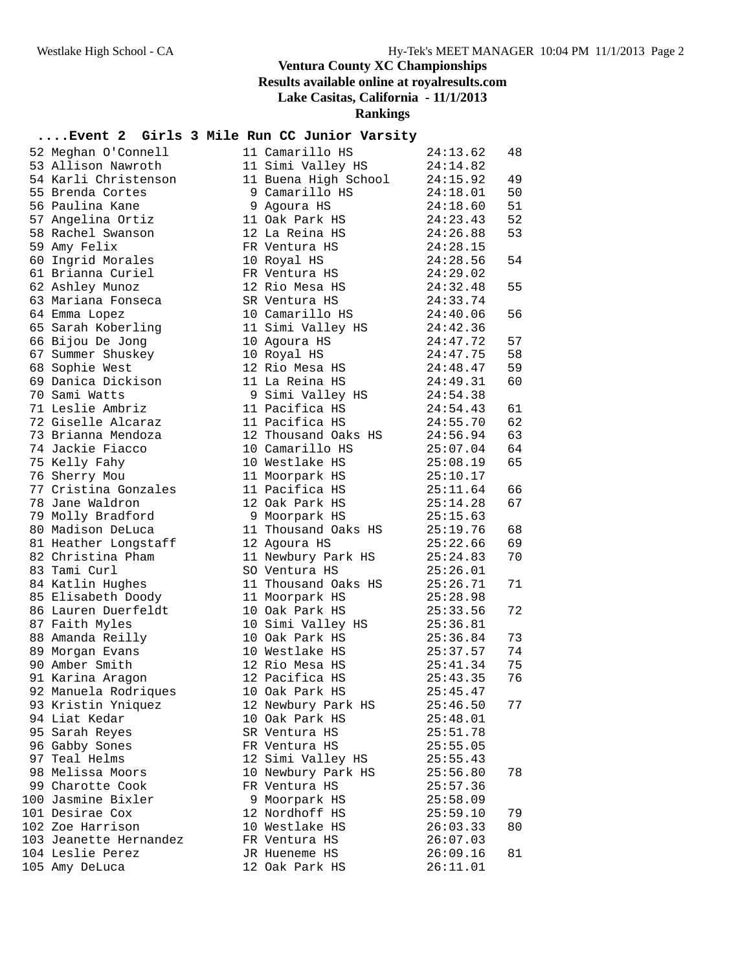| 52 Meghan O'Connell    | 11 Camarillo HS      | 24:13.62 | 48 |
|------------------------|----------------------|----------|----|
| 53 Allison Nawroth     | 11 Simi Valley HS    | 24:14.82 |    |
| 54 Karli Christenson   | 11 Buena High School | 24:15.92 | 49 |
| 55 Brenda Cortes       | 9 Camarillo HS       | 24:18.01 | 50 |
| 56 Paulina Kane        | 9 Agoura HS          | 24:18.60 | 51 |
| 57 Angelina Ortiz      | 11 Oak Park HS       | 24:23.43 | 52 |
| 58 Rachel Swanson      | 12 La Reina HS       | 24:26.88 | 53 |
| 59 Amy Felix           | FR Ventura HS        | 24:28.15 |    |
| 60 Ingrid Morales      | 10 Royal HS          | 24:28.56 | 54 |
| 61 Brianna Curiel      | FR Ventura HS        | 24:29.02 |    |
| 62 Ashley Munoz        | 12 Rio Mesa HS       | 24:32.48 | 55 |
| 63 Mariana Fonseca     | SR Ventura HS        | 24:33.74 |    |
| 64 Emma Lopez          | 10 Camarillo HS      | 24:40.06 | 56 |
| 65 Sarah Koberling     | 11 Simi Valley HS    | 24:42.36 |    |
| 66 Bijou De Jong       | 10 Agoura HS         | 24:47.72 | 57 |
| 67 Summer Shuskey      | 10 Royal HS          | 24:47.75 | 58 |
| 68 Sophie West         | 12 Rio Mesa HS       | 24:48.47 | 59 |
| 69 Danica Dickison     | 11 La Reina HS       | 24:49.31 | 60 |
| 70 Sami Watts          | 9 Simi Valley HS     | 24:54.38 |    |
| 71 Leslie Ambriz       | 11 Pacifica HS       | 24:54.43 | 61 |
| 72 Giselle Alcaraz     | 11 Pacifica HS       | 24:55.70 | 62 |
| 73 Brianna Mendoza     | 12 Thousand Oaks HS  | 24:56.94 | 63 |
| 74 Jackie Fiacco       | 10 Camarillo HS      | 25:07.04 | 64 |
| 75 Kelly Fahy          | 10 Westlake HS       | 25:08.19 | 65 |
| 76 Sherry Mou          | 11 Moorpark HS       | 25:10.17 |    |
| 77 Cristina Gonzales   | 11 Pacifica HS       | 25:11.64 | 66 |
| 78 Jane Waldron        | 12 Oak Park HS       | 25:14.28 | 67 |
| 79 Molly Bradford      | 9 Moorpark HS        | 25:15.63 |    |
| 80 Madison DeLuca      | 11 Thousand Oaks HS  | 25:19.76 | 68 |
| 81 Heather Longstaff   | 12 Agoura HS         | 25:22.66 | 69 |
| 82 Christina Pham      | 11 Newbury Park HS   | 25:24.83 | 70 |
| 83 Tami Curl           | SO Ventura HS        | 25:26.01 |    |
| 84 Katlin Hughes       | 11 Thousand Oaks HS  | 25:26.71 | 71 |
| 85 Elisabeth Doody     | 11 Moorpark HS       | 25:28.98 |    |
| 86 Lauren Duerfeldt    | 10 Oak Park HS       | 25:33.56 | 72 |
| 87 Faith Myles         | 10 Simi Valley HS    | 25:36.81 |    |
| 88 Amanda Reilly       | 10 Oak Park HS       | 25:36.84 | 73 |
| 89 Morgan Evans        | 10 Westlake HS       | 25:37.57 | 74 |
| 90 Amber Smith         | 12 Rio Mesa HS       | 25:41.34 | 75 |
| 91 Karina Aragon       | 12 Pacifica HS       | 25:43.35 | 76 |
| 92 Manuela Rodriques   | 10 Oak Park HS       | 25:45.47 |    |
| 93 Kristin Yniquez     | 12 Newbury Park HS   | 25:46.50 | 77 |
| 94 Liat Kedar          | 10 Oak Park HS       | 25:48.01 |    |
| 95 Sarah Reyes         | SR Ventura HS        | 25:51.78 |    |
| 96 Gabby Sones         | FR Ventura HS        | 25:55.05 |    |
| 97 Teal Helms          | 12 Simi Valley HS    | 25:55.43 |    |
| 98 Melissa Moors       | 10 Newbury Park HS   | 25:56.80 | 78 |
| 99 Charotte Cook       | FR Ventura HS        | 25:57.36 |    |
| 100 Jasmine Bixler     | 9 Moorpark HS        | 25:58.09 |    |
| 101 Desirae Cox        | 12 Nordhoff HS       | 25:59.10 | 79 |
| 102 Zoe Harrison       | 10 Westlake HS       | 26:03.33 | 80 |
| 103 Jeanette Hernandez | FR Ventura HS        | 26:07.03 |    |
| 104 Leslie Perez       | JR Hueneme HS        | 26:09.16 | 81 |
| 105 Amy DeLuca         | 12 Oak Park HS       | 26:11.01 |    |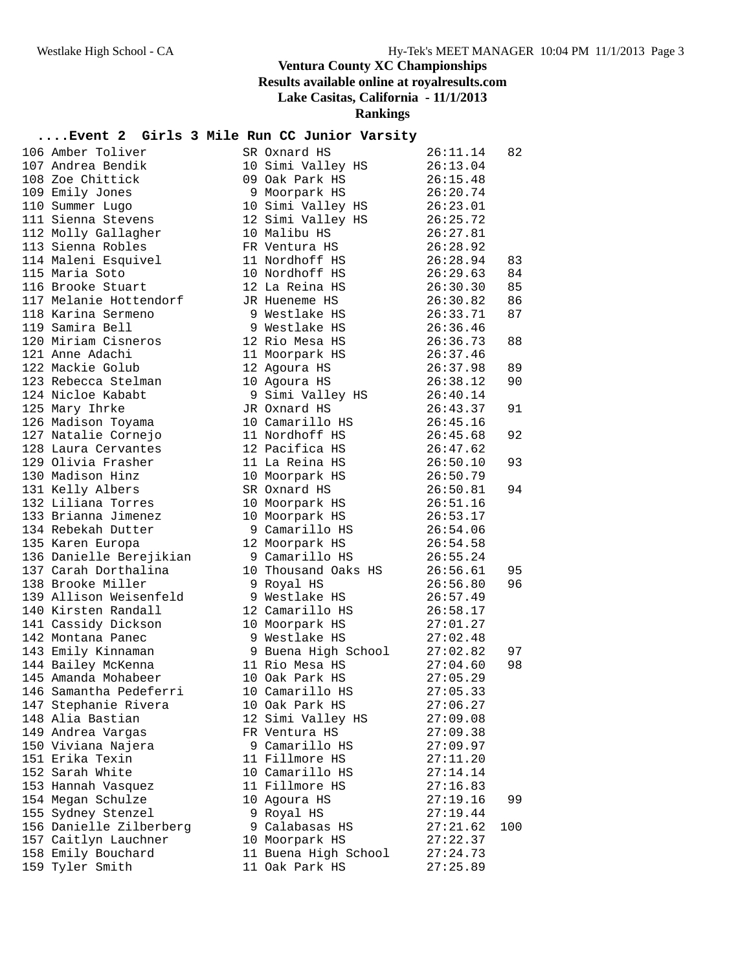| 106 Amber Toliver       | SR Oxnard HS                                                                                         | 26:11.14             | 82  |
|-------------------------|------------------------------------------------------------------------------------------------------|----------------------|-----|
| 107 Andrea Bendik       | 10 Simi Valley HS                                                                                    | 26:13.04             |     |
| 108 Zoe Chittick        | 09 Oak Park HS                                                                                       | 26:15.48             |     |
| 109 Emily Jones         | 9 Moorpark HS                                                                                        | 26:20.74             |     |
| 110 Summer Lugo         | 10 Simi Valley HS                                                                                    | 26:23.01             |     |
| 111 Sienna Stevens      | 12 Simi Valley HS                                                                                    | 26:25.72             |     |
| 112 Molly Gallagher     | 10 Malibu HS                                                                                         | 26:27.81             |     |
| 113 Sienna Robles       | FR Ventura HS                                                                                        | 26:28.92             |     |
| 114 Maleni Esquivel     | 11 Nordhoff HS                                                                                       | 26:28.94 83          |     |
| 115 Maria Soto          | 10 Nordhoff HS                                                                                       | 26:29.63             | 84  |
| 116 Brooke Stuart       | 12 La Reina HS                                                                                       | 26:30.30             | 85  |
| 117 Melanie Hottendorf  | JR Hueneme HS                                                                                        | 26:30.82             | 86  |
| 118 Karina Sermeno      | 9 Westlake HS                                                                                        | 26:33.71             | 87  |
| 119 Samira Bell         | 9 Westlake HS                                                                                        |                      |     |
| 120 Miriam Cisneros     | 12 Rio Mesa HS                                                                                       | 26:36.46<br>26:36.73 | 88  |
| 121 Anne Adachi         | 11 Moorpark HS                                                                                       | 26:37.46             |     |
| 122 Mackie Golub        | 12 Agoura HS                                                                                         | 26:37.98             | 89  |
| 123 Rebecca Stelman     | 10 Agoura HS                                                                                         | 26:38.12             | 90  |
| 124 Nicloe Kababt       | 9 Simi Valley HS                                                                                     | 26:40.14             |     |
| 125 Mary Ihrke          | JR Oxnard HS                                                                                         |                      | 91  |
| 126 Madison Toyama      | 10 Camarillo HS                                                                                      | 26:43.37<br>26:45.16 |     |
| 127 Natalie Cornejo     | 11 Nordhoff HS                                                                                       | 26:45.68             | 92  |
| 128 Laura Cervantes     | 12 Pacifica HS                                                                                       | 26:47.62             |     |
| 129 Olivia Frasher      | 11 La Reina HS                                                                                       | 26:50.10             | 93  |
| 130 Madison Hinz        | 10 Moorpark HS                                                                                       | 26:50.79             |     |
| 131 Kelly Albers        | SR Oxnard HS                                                                                         |                      | 94  |
| 132 Liliana Torres      | 10 Moorpark HS                                                                                       | 26:50.81<br>26:51.16 |     |
| 133 Brianna Jimenez     | 10 Moorpark HS                                                                                       | 26:53.17             |     |
| 134 Rebekah Dutter      | 9 Camarillo HS                                                                                       | 26:54.06             |     |
| 135 Karen Europa        | 12 Moorpark HS                                                                                       | 26:54.58             |     |
| 136 Danielle Berejikian | 9 Camarillo HS                                                                                       | 26:55.24             |     |
| 137 Carah Dorthalina    | 10 Thousand Oaks HS                                                                                  | 26:56.61             | 95  |
| 138 Brooke Miller       | 9 Royal HS                                                                                           | 26:56.80             | 96  |
| 139 Allison Weisenfeld  | 9 Westlake HS                                                                                        | 26:57.49             |     |
| 140 Kirsten Randall     | 12 Camarillo HS                                                                                      | 26:58.17             |     |
| 141 Cassidy Dickson     | 10 Moorpark HS 27:01.27                                                                              |                      |     |
| 142 Montana Panec       | 9 Westlake HS                                                                                        | 27:02.48             |     |
| 143 Emily Kinnaman      |                                                                                                      |                      | 97  |
| 144 Bailey McKenna      | 9 Buena High School 27:02.82<br>11 Rio Mesa HS 27:04.60<br>10 Oak Park HS 27:05.29<br>11 Rio Mesa HS |                      | 98  |
| 145 Amanda Mohabeer     | 10 Oak Park HS                                                                                       |                      |     |
| 146 Samantha Pedeferri  | 10 Camarillo HS                                                                                      | 27:05.33             |     |
| 147 Stephanie Rivera    | 10 Oak Park HS                                                                                       | 27:06.27             |     |
| 148 Alia Bastian        | 12 Simi Valley HS                                                                                    | 27:09.08             |     |
| 149 Andrea Vargas       | FR Ventura HS                                                                                        | 27:09.38             |     |
| 150 Viviana Najera      | 9 Camarillo HS                                                                                       | 27:09.97             |     |
| 151 Erika Texin         | 11 Fillmore HS                                                                                       | 27:11.20             |     |
| 152 Sarah White         | 10 Camarillo HS                                                                                      | 27:14.14             |     |
| 153 Hannah Vasquez      | 11 Fillmore HS                                                                                       | 27:16.83             |     |
| 154 Megan Schulze       | 10 Agoura HS                                                                                         | 27:19.16             | 99  |
| 155 Sydney Stenzel      | 9 Royal HS                                                                                           | 27:19.44             |     |
| 156 Danielle Zilberberg | 9 Calabasas HS                                                                                       | 27:21.62             | 100 |
| 157 Caitlyn Lauchner    | 10 Moorpark HS                                                                                       | 27:22.37             |     |
| 158 Emily Bouchard      | 11 Buena High School                                                                                 | 27:24.73             |     |
| 159 Tyler Smith         | 11 Oak Park HS                                                                                       | 27:25.89             |     |
|                         |                                                                                                      |                      |     |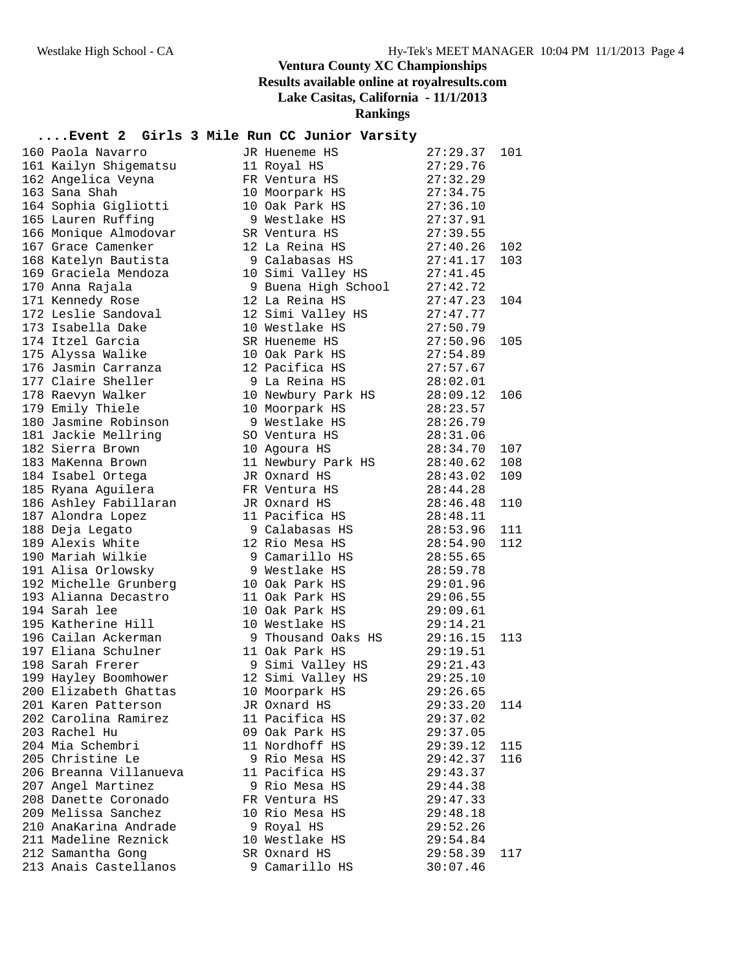| 160 Paola Navarro                            | JR Hueneme HS                         | 27:29.37             | 101 |
|----------------------------------------------|---------------------------------------|----------------------|-----|
| 161 Kailyn Shigematsu                        | 11 Royal HS                           | 27:29.76             |     |
| 162 Angelica Veyna                           | FR Ventura HS                         | 27:32.29             |     |
| 163 Sana Shah                                | 10 Moorpark HS                        | 27:34.75             |     |
| 164 Sophia Gigliotti                         | 10 Oak Park HS                        | 27:36.10             |     |
| 165 Lauren Ruffing                           | 9 Westlake HS                         | 27:37.91             |     |
| 166 Monique Almodovar                        | SR Ventura HS                         | 27:39.55             |     |
| 167 Grace Camenker                           | 12 La Reina HS                        | 27:40.26             | 102 |
| 168 Katelyn Bautista                         | 9 Calabasas HS                        | 27:41.17             | 103 |
| 169 Graciela Mendoza                         | 10 Simi Valley HS                     | 27:41.45             |     |
| 170 Anna Rajala                              | 9 Buena High School                   | 27:42.72             |     |
| 171 Kennedy Rose                             | 12 La Reina HS                        | 27:47.23             | 104 |
| 172 Leslie Sandoval                          | 12 Simi Valley HS                     | 27:47.77             |     |
| 173 Isabella Dake                            | 10 Westlake HS                        | 27:50.79             |     |
| 174 Itzel Garcia                             | SR Hueneme HS                         | 27:50.96             | 105 |
| 175 Alyssa Walike                            | 10 Oak Park HS                        | 27:54.89             |     |
| 176 Jasmin Carranza                          | 12 Pacifica HS                        | 27:57.67             |     |
| 177 Claire Sheller                           | 9 La Reina HS                         | 28:02.01             |     |
| 178 Raevyn Walker                            | 10 Newbury Park HS                    | 28:09.12             | 106 |
| 179 Emily Thiele                             | 10 Moorpark HS                        | 28:23.57             |     |
| 180 Jasmine Robinson                         | 9 Westlake HS                         | 28:26.79             |     |
| 181 Jackie Mellring                          | SO Ventura HS                         | 28:31.06             |     |
| 182 Sierra Brown                             | 10 Agoura HS                          | 28:34.70             | 107 |
| 183 MaKenna Brown                            | 11 Newbury Park HS                    | 28:40.62             | 108 |
| 184 Isabel Ortega                            | JR Oxnard HS                          | 28:43.02             | 109 |
| 185 Ryana Aguilera                           | FR Ventura HS                         | 28:44.28             |     |
| 186 Ashley Fabillaran                        | JR Oxnard HS                          | 28:46.48             | 110 |
| 187 Alondra Lopez                            | 11 Pacifica HS                        | 28:48.11             |     |
| 188 Deja Legato                              | 9 Calabasas HS                        | 28:53.96             | 111 |
| 189 Alexis White                             | 12 Rio Mesa HS                        | 28:54.90             | 112 |
| 190 Mariah Wilkie                            | 9 Camarillo HS                        | 28:55.65             |     |
| 191 Alisa Orlowsky                           | 9 Westlake HS                         | 28:59.78             |     |
| 192 Michelle Grunberg                        | 10 Oak Park HS                        | 29:01.96             |     |
| 193 Alianna Decastro                         | 11 Oak Park HS                        | 29:06.55             |     |
| 194 Sarah lee                                | 10 Oak Park HS                        | 29:09.61             |     |
| 195 Katherine Hill                           | 10 Westlake HS                        | 29:14.21             |     |
| 196 Cailan Ackerman<br>197 Eliana Schulner   | 9 Thousand Oaks HS                    | 29:16.15             | 113 |
|                                              | 11 Oak Park HS                        | 29:19.51<br>29:21.43 |     |
| 198 Sarah Frerer<br>199 Hayley Boomhower     | 9 Simi Valley HS<br>12 Simi Valley HS | 29:25.10             |     |
|                                              |                                       | 29:26.65             |     |
| 200 Elizabeth Ghattas<br>201 Karen Patterson | 10 Moorpark HS<br>JR Oxnard HS        | 29:33.20             | 114 |
| 202 Carolina Ramirez                         | 11 Pacifica HS                        | 29:37.02             |     |
| 203 Rachel Hu                                | 09 Oak Park HS                        | 29:37.05             |     |
| 204 Mia Schembri                             | 11 Nordhoff HS                        | 29:39.12             | 115 |
| 205 Christine Le                             | 9 Rio Mesa HS                         | 29:42.37             | 116 |
| 206 Breanna Villanueva                       | 11 Pacifica HS                        | 29:43.37             |     |
| 207 Angel Martinez                           | 9 Rio Mesa HS                         | 29:44.38             |     |
| 208 Danette Coronado                         | FR Ventura HS                         | 29:47.33             |     |
| 209 Melissa Sanchez                          | 10 Rio Mesa HS                        | 29:48.18             |     |
| 210 AnaKarina Andrade                        | 9 Royal HS                            | 29:52.26             |     |
| 211 Madeline Reznick                         | 10 Westlake HS                        | 29:54.84             |     |
| 212 Samantha Gong                            | SR Oxnard HS                          | 29:58.39             | 117 |
| 213 Anais Castellanos                        | 9 Camarillo HS                        | 30:07.46             |     |
|                                              |                                       |                      |     |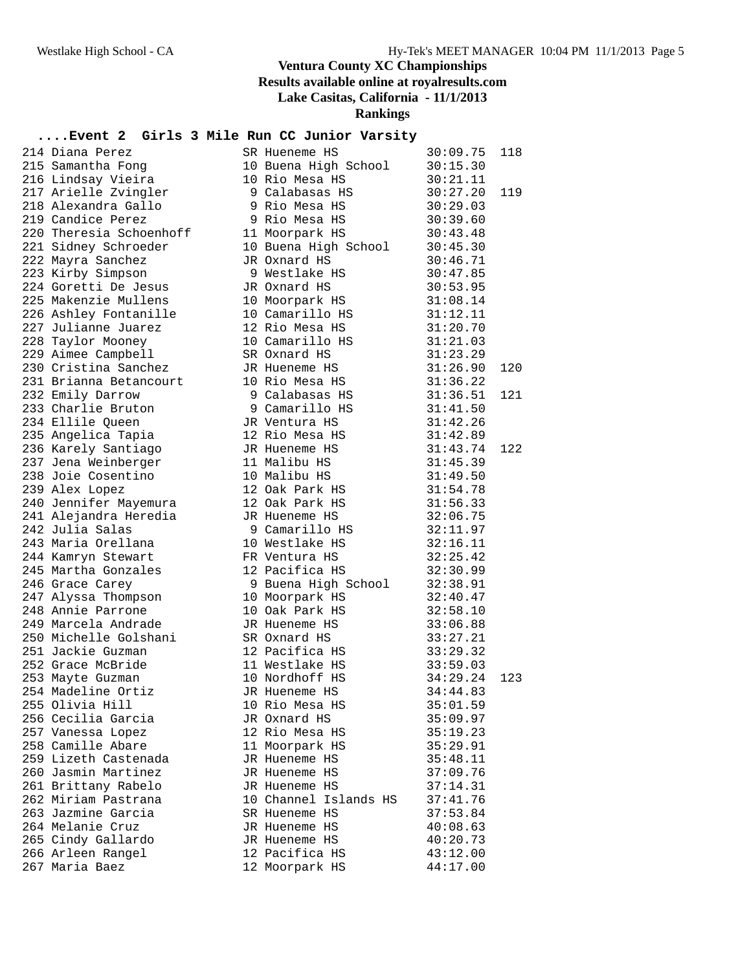| 214 Diana Perez                                                   | SR Hueneme HS                                                | 30:09.75                         | 118 |
|-------------------------------------------------------------------|--------------------------------------------------------------|----------------------------------|-----|
| 215 Samantha Fong                                                 | 10 Buena High School                                         | 30:15.30                         |     |
| 216 Lindsay Vieira                                                | 10 Rio Mesa HS                                               | 30:21.11                         |     |
| zıo ⊔ınasay Vıeira<br>217 Arielle Zvingler<br>218 Alexandra Gallo | 9 Calabasas HS                                               | 30:27.20                         | 119 |
|                                                                   | 9 Rio Mesa HS                                                | 30:29.03                         |     |
| 219 Candice Perez                                                 | 9 Rio Mesa HS 30:39.60                                       |                                  |     |
| 220 Theresia Schoenhoff                                           | 11 Moorpark HS<br>30:43.48                                   |                                  |     |
| 221 Sidney Schroeder                                              | 10 Buena High School 30:45.30                                |                                  |     |
| 222 Mayra Sanchez                                                 | JR Oxnard HS                                                 | 30:46.71                         |     |
| 223 Kirby Simpson                                                 | 9 Westlake HS<br>9 Westlake HS                               | 30:47.85                         |     |
| 224 Goretti De Jesus                                              | JR Oxnard HS                                                 | 30:53.95                         |     |
| 225 Makenzie Mullens                                              | 10 Moorpark HS 31:08.14                                      |                                  |     |
| 226 Ashley Fontanille                                             | 10 Camarillo HS                                              | 31:12.11                         |     |
| 227 Julianne Juarez                                               | 12 Rio Mesa HS                                               | 31:20.70                         |     |
| 228 Taylor Mooney                                                 | 10 Camarillo HS                                              | 31:21.03                         |     |
| 229 Aimee Campbell                                                | SR Oxnard HS                                                 | 31:23.29                         |     |
| 230 Cristina Sanchez                                              | JR Hueneme HS                                                | 31:26.90                         | 120 |
| 231 Brianna Betancourt                                            | 10 Rio Mesa HS 31:36.22                                      |                                  |     |
| 232 Emily Darrow                                                  | 9 Calabasas HS                                               | 31:36.51                         | 121 |
| 233 Charlie Bruton                                                | 9 Camarillo HS 31:41.50                                      |                                  |     |
| 234 Ellile Queen                                                  | JA ventura HS<br>12 Rio Mesa HS<br>JR Hueneme HS<br>11 Mel'' | 31:42.26<br>31:42.89             |     |
| 235 Angelica Tapia<br>236 Karely Santiago                         |                                                              | 31:43.74                         |     |
|                                                                   |                                                              |                                  | 122 |
| 237 Jena Weinberger<br>238 Joie Cosentino                         | 11 Malibu HS                                                 | 31:45.39                         |     |
|                                                                   | 10 Malibu HS                                                 | 31:49.50                         |     |
| 239 Alex Lopez                                                    | 12 Oak Park HS                                               | 31:54.78                         |     |
| 240 Jennifer Mayemura                                             | 12 Oak Park HS                                               | 31:56.33<br>32:06 75             |     |
| 241 Alejandra Heredia<br>010 Iulia Gales                          | JR Hueneme HS                                                | 32:06.75<br>32:11.97             |     |
| 242 Julia Salas                                                   | 9 Camarillo HS                                               | 32:16.11                         |     |
| 243 Maria Orellana                                                | 10 Westlake HS<br>FR Ventura HS                              |                                  |     |
| 244 Kamryn Stewart<br>245 Martha Gonzales                         | 12 Pacifica HS                                               | 32:25.42<br>32:30.99             |     |
|                                                                   |                                                              | 32:38.91                         |     |
| 246 Grace Carey                                                   | 9 Buena High School                                          | 32:40.47                         |     |
| 247 Alyssa Thompson<br>248 Annie Parrone                          | 10 Moorpark HS<br>10 Oak Park HS                             | 32:58.10                         |     |
| 249 Marcela Andrade                                               | JR Hueneme HS 33:06.88                                       |                                  |     |
| 250 Michelle Golshani                                             | SR Oxnard HS                                                 | 33:27.21                         |     |
| 251 Jackie Guzman                                                 | 12 Pacifica HS                                               | 33:29.32                         |     |
| 252 Grace McBride                                                 | 11 Westlake HS                                               |                                  |     |
| 253 Mayte Guzman                                                  | 10 Nordhoff HS                                               | 33:59.03<br>34:29.24<br>34:29.24 | 123 |
| 254 Madeline Ortiz                                                | JR Hueneme HS                                                | 34:44.83                         |     |
| 255 Olivia Hill                                                   | 10 Rio Mesa HS                                               | 35:01.59                         |     |
| 256 Cecilia Garcia                                                | JR Oxnard HS                                                 | 35:09.97                         |     |
| 257 Vanessa Lopez                                                 | 12 Rio Mesa HS                                               | 35:19.23                         |     |
| 258 Camille Abare                                                 | 11 Moorpark HS                                               | 35:29.91                         |     |
| 259 Lizeth Castenada                                              | JR Hueneme HS                                                | 35:48.11                         |     |
| 260 Jasmin Martinez                                               | JR Hueneme HS                                                | 37:09.76                         |     |
| 261 Brittany Rabelo                                               | JR Hueneme HS                                                | 37:14.31                         |     |
| 262 Miriam Pastrana                                               | 10 Channel Islands HS                                        | 37:41.76                         |     |
| 263 Jazmine Garcia                                                | SR Hueneme HS                                                | 37:53.84                         |     |
| 264 Melanie Cruz                                                  | JR Hueneme HS                                                | 40:08.63                         |     |
| 265 Cindy Gallardo                                                | JR Hueneme HS                                                | 40:20.73                         |     |
| 266 Arleen Rangel                                                 | 12 Pacifica HS                                               | 43:12.00                         |     |
| 267 Maria Baez                                                    | 12 Moorpark HS                                               | 44:17.00                         |     |
|                                                                   |                                                              |                                  |     |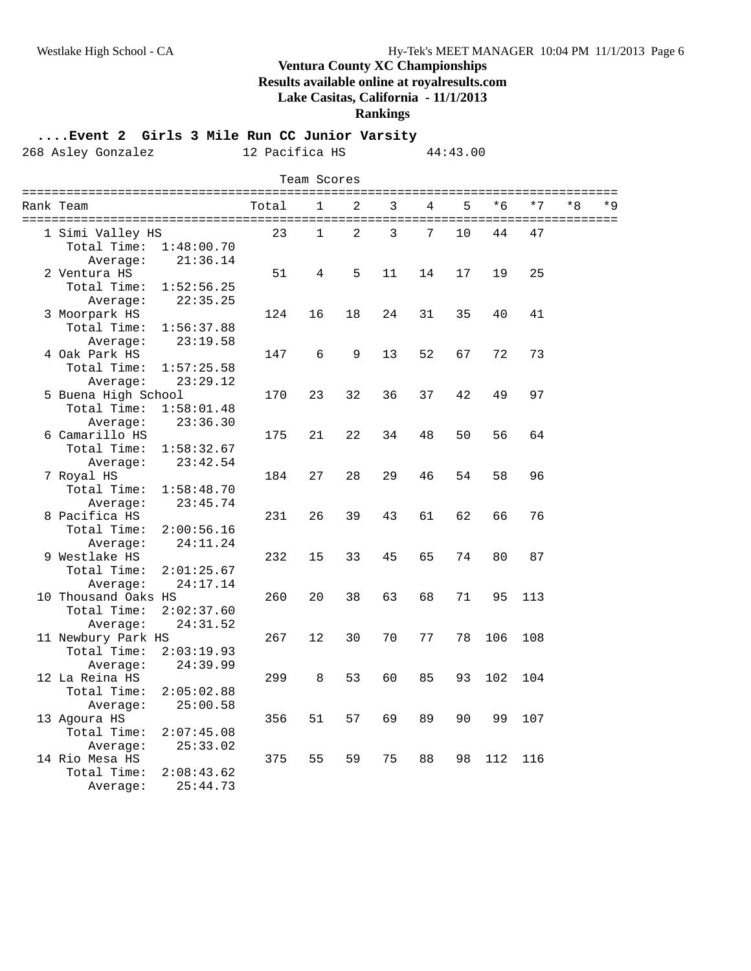#### **Rankings**

**....Event 2 Girls 3 Mile Run CC Junior Varsity**

268 Asley Gonzalez 12 Pacifica HS 44:43.00

| Team Scores               |       |              |                |    |    |    |      |      |    |     |
|---------------------------|-------|--------------|----------------|----|----|----|------|------|----|-----|
| Rank Team                 | Total | 1            | 2              | 3  | 4  | 5  | $*6$ | $*7$ | *8 | * 9 |
| 1 Simi Valley HS          | 23    | $\mathbf{1}$ | $\overline{2}$ | 3  | 7  | 10 | 44   | 47   |    |     |
| Total Time:<br>1:48:00.70 |       |              |                |    |    |    |      |      |    |     |
| Average:<br>21:36.14      |       |              |                |    |    |    |      |      |    |     |
| 2 Ventura HS              | 51    | 4            | 5              | 11 | 14 | 17 | 19   | 25   |    |     |
| Total Time:<br>1:52:56.25 |       |              |                |    |    |    |      |      |    |     |
| 22:35.25<br>Average:      |       |              |                |    |    |    |      |      |    |     |
| 3 Moorpark HS             | 124   | 16           | 18             | 24 | 31 | 35 | 40   | 41   |    |     |
| Total Time:<br>1:56:37.88 |       |              |                |    |    |    |      |      |    |     |
| 23:19.58<br>Average:      |       |              |                |    |    |    |      |      |    |     |
| 4 Oak Park HS             | 147   | 6            | 9              | 13 | 52 | 67 | 72   | 73   |    |     |
| Total Time:<br>1:57:25.58 |       |              |                |    |    |    |      |      |    |     |
| Average:<br>23:29.12      |       |              |                |    |    |    |      |      |    |     |
| 5 Buena High School       | 170   | 23           | 32             | 36 | 37 | 42 | 49   | 97   |    |     |
| Total Time:<br>1:58:01.48 |       |              |                |    |    |    |      |      |    |     |
| Average:<br>23:36.30      |       |              |                |    |    |    |      |      |    |     |
| 6 Camarillo HS            | 175   | 21           | 22             | 34 | 48 | 50 | 56   | 64   |    |     |
| Total Time:<br>1:58:32.67 |       |              |                |    |    |    |      |      |    |     |
| 23:42.54<br>Average:      |       |              |                |    |    |    |      |      |    |     |
| 7 Royal HS                | 184   | 27           | 28             | 29 | 46 | 54 | 58   | 96   |    |     |
| Total Time:<br>1:58:48.70 |       |              |                |    |    |    |      |      |    |     |
| Average:<br>23:45.74      |       |              |                |    |    |    |      |      |    |     |
| 8 Pacifica HS             | 231   | 26           | 39             | 43 | 61 | 62 | 66   | 76   |    |     |
| Total Time:<br>2:00:56.16 |       |              |                |    |    |    |      |      |    |     |
| 24:11.24<br>Average:      |       |              |                |    |    |    |      |      |    |     |
| 9 Westlake HS             | 232   | 15           | 33             | 45 | 65 | 74 | 80   | 87   |    |     |
| Total Time:<br>2:01:25.67 |       |              |                |    |    |    |      |      |    |     |
| 24:17.14<br>Average:      |       |              |                |    |    |    |      |      |    |     |
| 10 Thousand Oaks HS       | 260   | 20           | 38             | 63 | 68 | 71 | 95   | 113  |    |     |
| Total Time:<br>2:02:37.60 |       |              |                |    |    |    |      |      |    |     |
| Average:<br>24:31.52      |       |              |                |    |    |    |      |      |    |     |
| 11 Newbury Park HS        | 267   | 12           | 30             | 70 | 77 | 78 | 106  | 108  |    |     |
| Total Time:<br>2:03:19.93 |       |              |                |    |    |    |      |      |    |     |
| Average:<br>24:39.99      |       |              |                |    |    |    |      |      |    |     |
| 12 La Reina HS            | 299   | 8            | 53             | 60 | 85 | 93 | 102  | 104  |    |     |
| Total Time:<br>2:05:02.88 |       |              |                |    |    |    |      |      |    |     |
| 25:00.58<br>Average:      |       |              |                |    |    |    |      |      |    |     |
| 13 Agoura HS              | 356   | 51           | 57             | 69 | 89 | 90 | 99   | 107  |    |     |
| Total Time:<br>2:07:45.08 |       |              |                |    |    |    |      |      |    |     |
| Average:<br>25:33.02      |       |              |                |    |    |    |      |      |    |     |
| 14 Rio Mesa HS            | 375   | 55           | 59             | 75 | 88 | 98 | 112  | 116  |    |     |
| Total Time:<br>2:08:43.62 |       |              |                |    |    |    |      |      |    |     |
| 25:44.73<br>Average:      |       |              |                |    |    |    |      |      |    |     |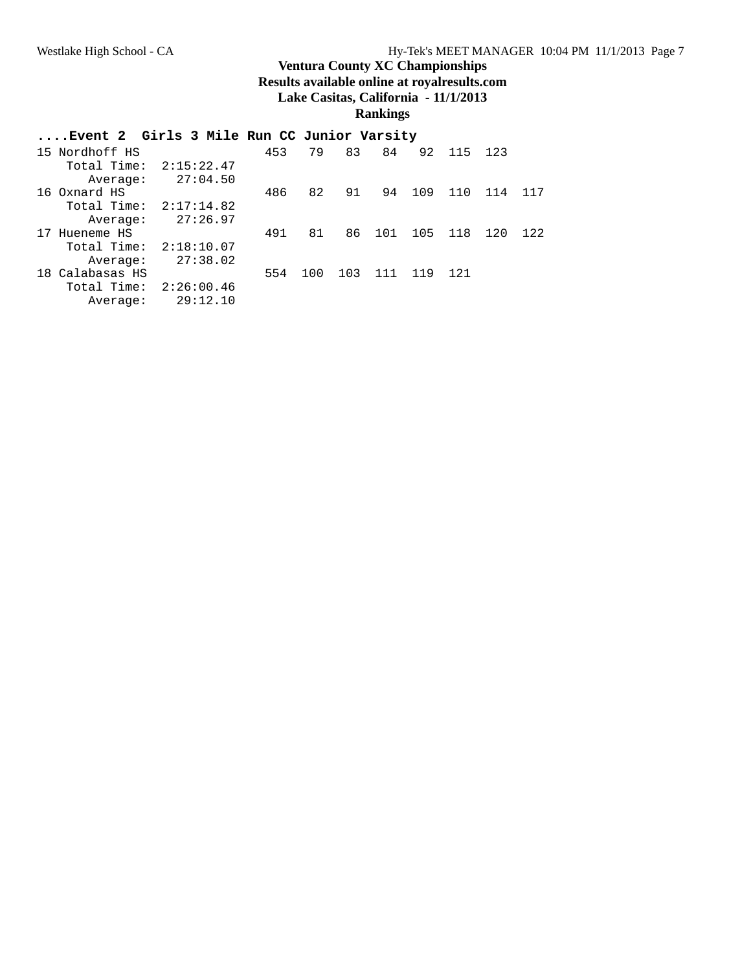| Event 2 Girls 3 Mile Run CC Junior Varsity |            |     |     |     |        |         |        |     |     |
|--------------------------------------------|------------|-----|-----|-----|--------|---------|--------|-----|-----|
| 15 Nordhoff HS                             |            | 453 | 79  | 83  | 84     |         | 92 115 | 123 |     |
| Total Time:                                | 2:15:22.47 |     |     |     |        |         |        |     |     |
| Average:                                   | 27:04.50   |     |     |     |        |         |        |     |     |
| 16 Oxnard HS                               |            | 486 | 82  | 91  | 94     | 109     | 110    | 114 | 117 |
| Total Time: $2:17:14.82$                   |            |     |     |     |        |         |        |     |     |
| Average:                                   | 27:26.97   |     |     |     |        |         |        |     |     |
| 17 Hueneme HS                              |            | 491 | 81  |     | 86 101 | 105 118 |        | 120 | 122 |
| Total Time:                                | 2:18:10.07 |     |     |     |        |         |        |     |     |
| Average:                                   | 27:38.02   |     |     |     |        |         |        |     |     |
| 18 Calabasas HS                            |            | 554 | 100 | 103 | 111    | 119     | 121    |     |     |
| Total Time:                                | 2:26:00.46 |     |     |     |        |         |        |     |     |
| Average:                                   | 29:12.10   |     |     |     |        |         |        |     |     |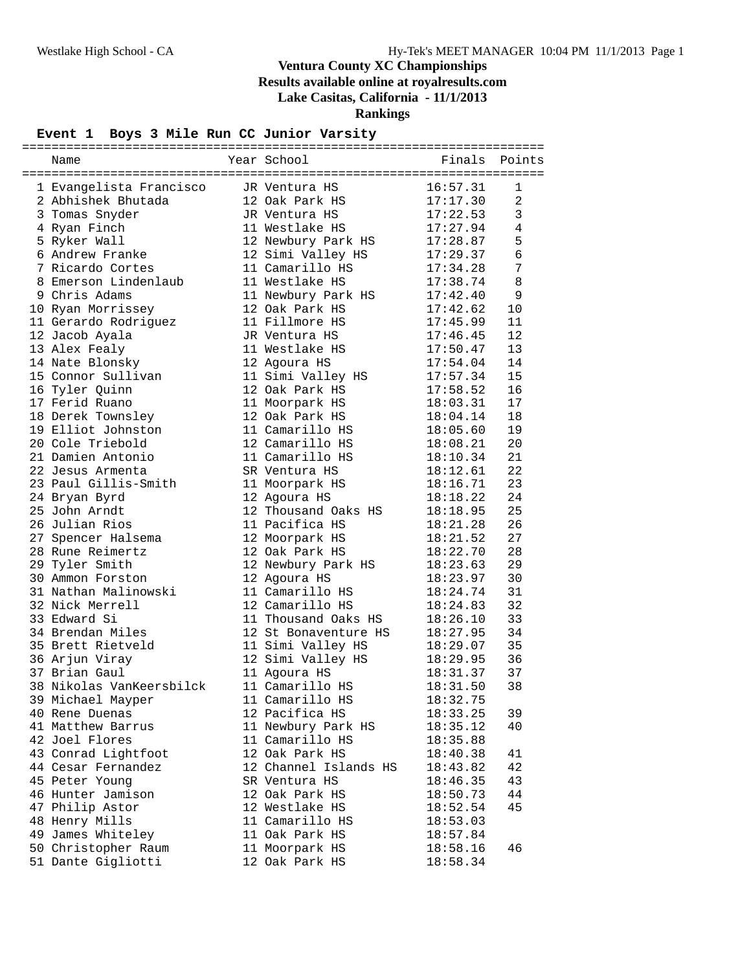| Name                     | Year School           | Finals   | Points         |
|--------------------------|-----------------------|----------|----------------|
|                          |                       |          |                |
| 1 Evangelista Francisco  | JR Ventura HS         | 16:57.31 | 1              |
| 2 Abhishek Bhutada       | 12 Oak Park HS        | 17:17.30 | $\overline{2}$ |
| 3 Tomas Snyder           | JR Ventura HS         | 17:22.53 | 3              |
| 4 Ryan Finch             | 11 Westlake HS        | 17:27.94 | 4              |
| 5 Ryker Wall             | 12 Newbury Park HS    | 17:28.87 | 5              |
| 6 Andrew Franke          | 12 Simi Valley HS     | 17:29.37 | $\epsilon$     |
| 7 Ricardo Cortes         | 11 Camarillo HS       | 17:34.28 | 7              |
| 8 Emerson Lindenlaub     | 11 Westlake HS        | 17:38.74 | 8              |
| 9 Chris Adams            | 11 Newbury Park HS    | 17:42.40 | 9              |
| 10 Ryan Morrissey        | 12 Oak Park HS        | 17:42.62 | 10             |
| 11 Gerardo Rodriguez     | 11 Fillmore HS        | 17:45.99 | 11             |
| 12 Jacob Ayala           | JR Ventura HS         | 17:46.45 | 12             |
| 13 Alex Fealy            | 11 Westlake HS        | 17:50.47 | 13             |
| 14 Nate Blonsky          | 12 Agoura HS          | 17:54.04 | 14             |
| 15 Connor Sullivan       | 11 Simi Valley HS     | 17:57.34 | 15             |
| 16 Tyler Quinn           | 12 Oak Park HS        | 17:58.52 | 16             |
| 17 Ferid Ruano           | 11 Moorpark HS        | 18:03.31 | 17             |
| 18 Derek Townsley        | 12 Oak Park HS        | 18:04.14 | 18             |
| 19 Elliot Johnston       | 11 Camarillo HS       | 18:05.60 | 19             |
| 20 Cole Triebold         | 12 Camarillo HS       | 18:08.21 | 20             |
| 21 Damien Antonio        | 11 Camarillo HS       | 18:10.34 | 21             |
| 22 Jesus Armenta         | SR Ventura HS         | 18:12.61 | 22             |
| 23 Paul Gillis-Smith     | 11 Moorpark HS        | 18:16.71 | 23             |
| 24 Bryan Byrd            | 12 Agoura HS          | 18:18.22 | 24             |
| 25 John Arndt            | 12 Thousand Oaks HS   | 18:18.95 | 25             |
| 26 Julian Rios           | 11 Pacifica HS        | 18:21.28 | 26             |
| 27 Spencer Halsema       | 12 Moorpark HS        | 18:21.52 | 27             |
| 28 Rune Reimertz         | 12 Oak Park HS        | 18:22.70 | 28             |
| 29 Tyler Smith           | 12 Newbury Park HS    | 18:23.63 | 29             |
| 30 Ammon Forston         | 12 Agoura HS          | 18:23.97 | 30             |
| 31 Nathan Malinowski     | 11 Camarillo HS       | 18:24.74 | 31             |
| 32 Nick Merrell          | 12 Camarillo HS       | 18:24.83 | 32             |
| 33 Edward Si             | 11 Thousand Oaks HS   | 18:26.10 | 33             |
| 34 Brendan Miles         | 12 St Bonaventure HS  | 18:27.95 | 34             |
| 35 Brett Rietveld        | 11 Simi Valley HS     | 18:29.07 | 35             |
| 36 Arjun Viray           | 12 Simi Valley HS     | 18:29.95 | 36             |
| 37 Brian Gaul            | 11 Agoura HS          | 18:31.37 | 37             |
| 38 Nikolas VanKeersbilck | 11 Camarillo HS       | 18:31.50 | 38             |
| 39 Michael Mayper        | 11 Camarillo HS       | 18:32.75 |                |
| 40 Rene Duenas           | 12 Pacifica HS        | 18:33.25 | 39             |
| 41 Matthew Barrus        | 11 Newbury Park HS    | 18:35.12 | 40             |
| 42 Joel Flores           | 11 Camarillo HS       | 18:35.88 |                |
| 43 Conrad Lightfoot      | 12 Oak Park HS        | 18:40.38 | 41             |
| 44 Cesar Fernandez       | 12 Channel Islands HS | 18:43.82 | 42             |
| 45 Peter Young           | SR Ventura HS         | 18:46.35 | 43             |
| 46 Hunter Jamison        | 12 Oak Park HS        | 18:50.73 | 44             |
| 47 Philip Astor          | 12 Westlake HS        | 18:52.54 | 45             |
| 48 Henry Mills           | 11 Camarillo HS       | 18:53.03 |                |
| 49 James Whiteley        | 11 Oak Park HS        | 18:57.84 |                |
| 50 Christopher Raum      | 11 Moorpark HS        | 18:58.16 | 46             |
| 51 Dante Gigliotti       | 12 Oak Park HS        | 18:58.34 |                |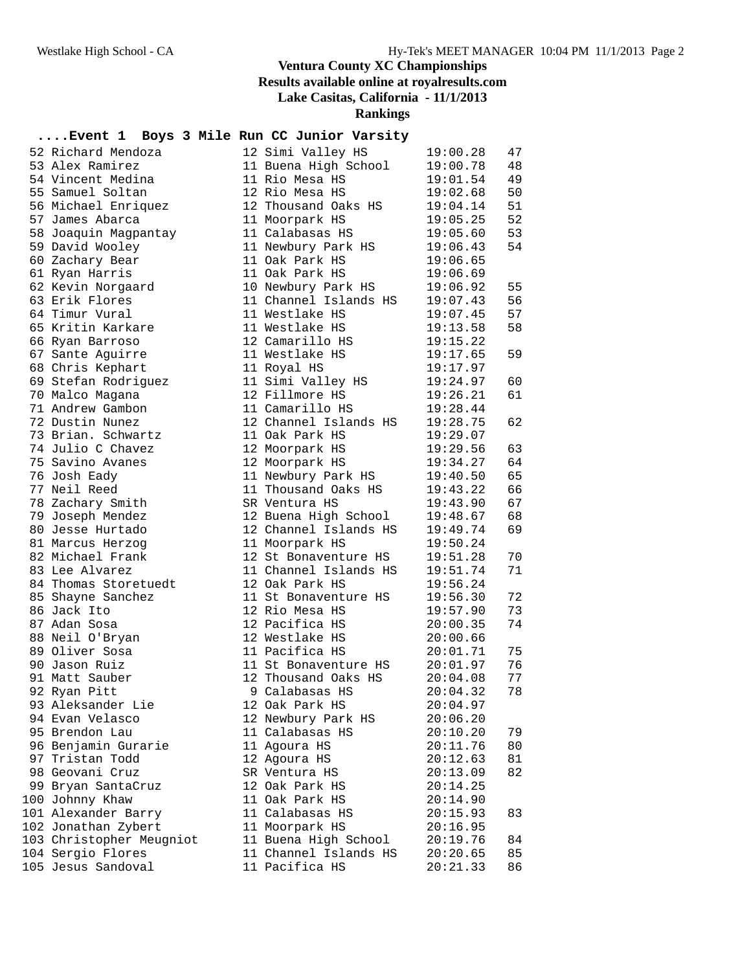| 52 Richard Mendoza       | 12 Simi Valley HS     | 19:00.28 | 47 |
|--------------------------|-----------------------|----------|----|
| 53 Alex Ramirez          | 11 Buena High School  | 19:00.78 | 48 |
| 54 Vincent Medina        | 11 Rio Mesa HS        | 19:01.54 | 49 |
| 55 Samuel Soltan         | 12 Rio Mesa HS        | 19:02.68 | 50 |
| 56 Michael Enriquez      | 12 Thousand Oaks HS   | 19:04.14 | 51 |
| 57 James Abarca          | 11 Moorpark HS        | 19:05.25 | 52 |
| 58 Joaquin Magpantay     | 11 Calabasas HS       | 19:05.60 | 53 |
| 59 David Wooley          | 11 Newbury Park HS    | 19:06.43 | 54 |
| 60 Zachary Bear          | 11 Oak Park HS        | 19:06.65 |    |
| 61 Ryan Harris           | 11 Oak Park HS        | 19:06.69 |    |
| 62 Kevin Norgaard        | 10 Newbury Park HS    | 19:06.92 | 55 |
| 63 Erik Flores           | 11 Channel Islands HS | 19:07.43 | 56 |
| 64 Timur Vural           | 11 Westlake HS        | 19:07.45 | 57 |
| 65 Kritin Karkare        | 11 Westlake HS        | 19:13.58 | 58 |
| 66 Ryan Barroso          | 12 Camarillo HS       | 19:15.22 |    |
| 67 Sante Aguirre         | 11 Westlake HS        | 19:17.65 | 59 |
| 68 Chris Kephart         | 11 Royal HS           | 19:17.97 |    |
| 69 Stefan Rodriguez      | 11 Simi Valley HS     | 19:24.97 | 60 |
| 70 Malco Magana          | 12 Fillmore HS        | 19:26.21 | 61 |
| 71 Andrew Gambon         | 11 Camarillo HS       | 19:28.44 |    |
| 72 Dustin Nunez          | 12 Channel Islands HS | 19:28.75 | 62 |
| 73 Brian. Schwartz       | 11 Oak Park HS        | 19:29.07 |    |
| 74 Julio C Chavez        | 12 Moorpark HS        | 19:29.56 | 63 |
| 75 Savino Avanes         | 12 Moorpark HS        | 19:34.27 | 64 |
| 76 Josh Eady             | 11 Newbury Park HS    | 19:40.50 | 65 |
| 77 Neil Reed             | 11 Thousand Oaks HS   | 19:43.22 | 66 |
| 78 Zachary Smith         | SR Ventura HS         | 19:43.90 | 67 |
| 79 Joseph Mendez         | 12 Buena High School  | 19:48.67 | 68 |
| 80 Jesse Hurtado         | 12 Channel Islands HS | 19:49.74 | 69 |
| 81 Marcus Herzog         | 11 Moorpark HS        | 19:50.24 |    |
| 82 Michael Frank         | 12 St Bonaventure HS  | 19:51.28 | 70 |
| 83 Lee Alvarez           | 11 Channel Islands HS | 19:51.74 | 71 |
| 84 Thomas Storetuedt     | 12 Oak Park HS        | 19:56.24 |    |
| 85 Shayne Sanchez        | 11 St Bonaventure HS  | 19:56.30 | 72 |
| 86 Jack Ito              | 12 Rio Mesa HS        | 19:57.90 | 73 |
| 87 Adan Sosa             | 12 Pacifica HS        | 20:00.35 | 74 |
| 88 Neil O'Bryan          | 12 Westlake HS        | 20:00.66 |    |
| 89 Oliver Sosa           | 11 Pacifica HS        | 20:01.71 | 75 |
| 90 Jason Ruiz            | 11 St Bonaventure HS  | 20:01.97 | 76 |
| 91 Matt Sauber           | 12 Thousand Oaks HS   | 20:04.08 | 77 |
| 92 Ryan Pitt             | 9 Calabasas HS        | 20:04.32 | 78 |
| 93 Aleksander Lie        | 12 Oak Park HS        | 20:04.97 |    |
| 94 Evan Velasco          | 12 Newbury Park HS    | 20:06.20 |    |
| 95 Brendon Lau           | 11 Calabasas HS       | 20:10.20 | 79 |
| 96 Benjamin Gurarie      | 11 Agoura HS          | 20:11.76 | 80 |
| 97 Tristan Todd          | 12 Agoura HS          | 20:12.63 | 81 |
| 98 Geovani Cruz          | SR Ventura HS         | 20:13.09 | 82 |
| 99 Bryan SantaCruz       | 12 Oak Park HS        | 20:14.25 |    |
| 100 Johnny Khaw          | 11 Oak Park HS        | 20:14.90 |    |
| 101 Alexander Barry      | 11 Calabasas HS       | 20:15.93 | 83 |
| 102 Jonathan Zybert      | 11 Moorpark HS        | 20:16.95 |    |
| 103 Christopher Meugniot | 11 Buena High School  | 20:19.76 | 84 |
| 104 Sergio Flores        | 11 Channel Islands HS | 20:20.65 | 85 |
| 105 Jesus Sandoval       | 11 Pacifica HS        | 20:21.33 | 86 |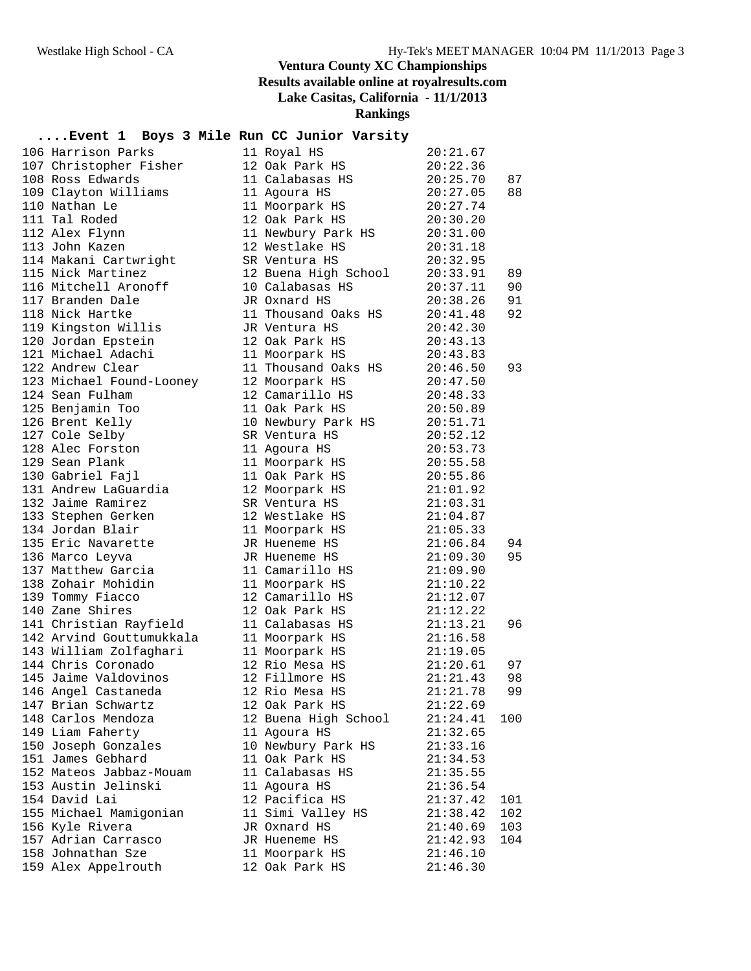| 106 Harrison Parks       | 11 Royal HS          | 20:21.67 |     |
|--------------------------|----------------------|----------|-----|
| 107 Christopher Fisher   | 12 Oak Park HS       | 20:22.36 |     |
| 108 Ross Edwards         | 11 Calabasas HS      | 20:25.70 | 87  |
| 109 Clayton Williams     | 11 Agoura HS         | 20:27.05 | 88  |
| 110 Nathan Le            | 11 Moorpark HS       | 20:27.74 |     |
| 111 Tal Roded            | 12 Oak Park HS       | 20:30.20 |     |
| 112 Alex Flynn           | 11 Newbury Park HS   | 20:31.00 |     |
| 113 John Kazen           | 12 Westlake HS       | 20:31.18 |     |
| 114 Makani Cartwright    | SR Ventura HS        | 20:32.95 |     |
| 115 Nick Martinez        | 12 Buena High School | 20:33.91 | 89  |
| 116 Mitchell Aronoff     | 10 Calabasas HS      | 20:37.11 | 90  |
| 117 Branden Dale         | JR Oxnard HS         | 20:38.26 | 91  |
| 118 Nick Hartke          | 11 Thousand Oaks HS  | 20:41.48 | 92  |
| 119 Kingston Willis      | JR Ventura HS        | 20:42.30 |     |
| 120 Jordan Epstein       | 12 Oak Park HS       | 20:43.13 |     |
| 121 Michael Adachi       | 11 Moorpark HS       | 20:43.83 |     |
| 122 Andrew Clear         | 11 Thousand Oaks HS  | 20:46.50 | 93  |
| 123 Michael Found-Looney | 12 Moorpark HS       | 20:47.50 |     |
| 124 Sean Fulham          | 12 Camarillo HS      | 20:48.33 |     |
| 125 Benjamin Too         | 11 Oak Park HS       | 20:50.89 |     |
| 126 Brent Kelly          | 10 Newbury Park HS   | 20:51.71 |     |
| 127 Cole Selby           | SR Ventura HS        | 20:52.12 |     |
| 128 Alec Forston         | 11 Agoura HS         | 20:53.73 |     |
| 129 Sean Plank           | 11 Moorpark HS       | 20:55.58 |     |
| 130 Gabriel Fajl         | 11 Oak Park HS       | 20:55.86 |     |
| 131 Andrew LaGuardia     | 12 Moorpark HS       | 21:01.92 |     |
| 132 Jaime Ramirez        | SR Ventura HS        | 21:03.31 |     |
| 133 Stephen Gerken       | 12 Westlake HS       | 21:04.87 |     |
| 134 Jordan Blair         | 11 Moorpark HS       | 21:05.33 |     |
| 135 Eric Navarette       | JR Hueneme HS        | 21:06.84 | 94  |
| 136 Marco Leyva          | JR Hueneme HS        | 21:09.30 | 95  |
| 137 Matthew Garcia       | 11 Camarillo HS      | 21:09.90 |     |
| 138 Zohair Mohidin       | 11 Moorpark HS       | 21:10.22 |     |
| 139 Tommy Fiacco         | 12 Camarillo HS      | 21:12.07 |     |
| 140 Zane Shires          | 12 Oak Park HS       | 21:12.22 |     |
| 141 Christian Rayfield   | 11 Calabasas HS      | 21:13.21 | 96  |
| 142 Arvind Gouttumukkala | 11 Moorpark HS       | 21:16.58 |     |
| 143 William Zolfaghari   | 11 Moorpark HS       | 21:19.05 |     |
| 144 Chris Coronado       | 12 Rio Mesa HS       | 21:20.61 | 97  |
| 145 Jaime Valdovinos     | 12 Fillmore HS       | 21:21.43 | 98  |
| 146 Angel Castaneda      | 12 Rio Mesa HS       | 21:21.78 | 99  |
| 147 Brian Schwartz       | 12 Oak Park HS       | 21:22.69 |     |
| 148 Carlos Mendoza       | 12 Buena High School | 21:24.41 | 100 |
| 149 Liam Faherty         | 11 Agoura HS         | 21:32.65 |     |
| 150 Joseph Gonzales      | 10 Newbury Park HS   | 21:33.16 |     |
| 151 James Gebhard        | 11 Oak Park HS       | 21:34.53 |     |
| 152 Mateos Jabbaz-Mouam  | 11 Calabasas HS      | 21:35.55 |     |
| 153 Austin Jelinski      | 11 Agoura HS         | 21:36.54 |     |
| 154 David Lai            | 12 Pacifica HS       | 21:37.42 | 101 |
| 155 Michael Mamigonian   | 11 Simi Valley HS    | 21:38.42 | 102 |
| 156 Kyle Rivera          | JR Oxnard HS         | 21:40.69 | 103 |
| 157 Adrian Carrasco      | JR Hueneme HS        | 21:42.93 | 104 |
| 158 Johnathan Sze        | 11 Moorpark HS       | 21:46.10 |     |
| 159 Alex Appelrouth      | 12 Oak Park HS       | 21:46.30 |     |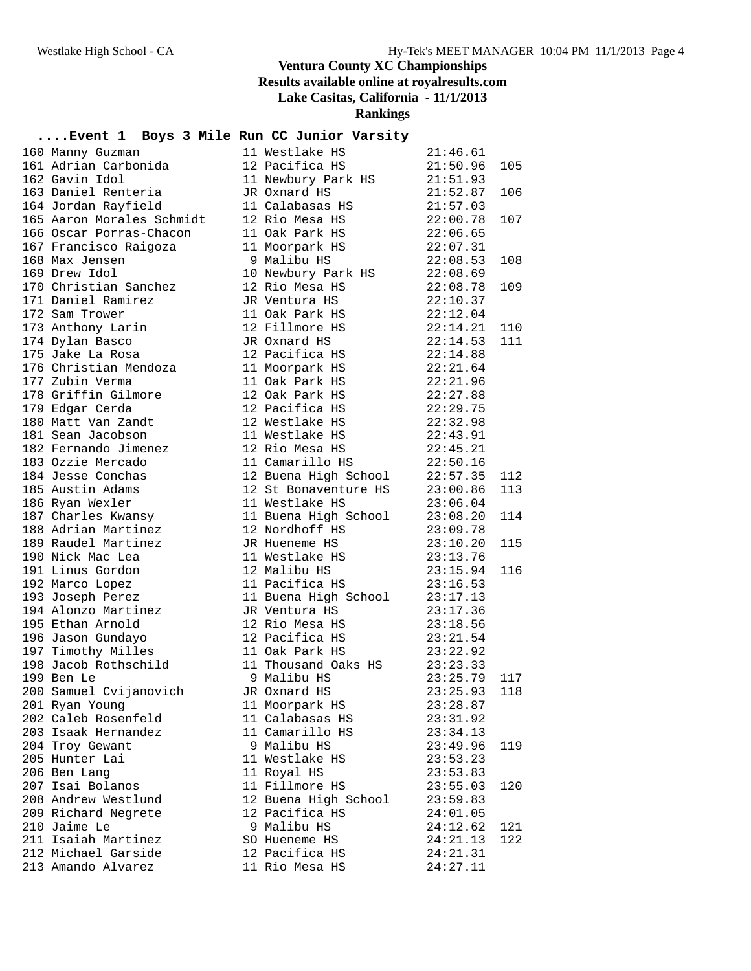# **Rankings**

| 160 Manny Guzman                                                 | 11 Westlake HS                                                                                                       | 21:46.61             |     |
|------------------------------------------------------------------|----------------------------------------------------------------------------------------------------------------------|----------------------|-----|
| 161 Adrian Carbonida                                             | 12 Pacifica HS                                                                                                       | 21:50.96             | 105 |
| 162 Gavin Idol                                                   | 12 Pacifica HS<br>11 Newbury Park HS<br>31:51.93<br>JR Oxnard HS<br>21:52.87                                         |                      |     |
| 163 Daniel Renteria                                              | JR Oxnard HS                                                                                                         | 21:52.87             | 106 |
| 164 Jordan Rayfield                                              | 11 Calabasas HS                                                                                                      | 21:57.03             |     |
| 165 Aaron Morales Schmidt                                        | 12 Rio Mesa HS                                                                                                       | 22:00.78             | 107 |
| 166 Oscar Porras-Chacon                                          | 11 Oak Park HS                                                                                                       | 22:06.65             |     |
| 167 Francisco Raigoza                                            | 11 Moorpark HS                                                                                                       | 22:07.31             |     |
| 1977<br>168 Max Jensen<br>169 Drew Idol                          | 9 Malibu HS                                                                                                          | 22:08.53             | 108 |
|                                                                  | 10 Newbury Park HS 22:08.69<br>12 Rio Mesa HS 22:08.78                                                               |                      |     |
| 170 Christian Sanchez                                            |                                                                                                                      | 22:08.78             | 109 |
| 171 Daniel Ramirez                                               | JR Ventura HS                                                                                                        | 22:10.37             |     |
| 172 Sam Trower                                                   | 11 Oak Park HS                                                                                                       | 22:12.04             |     |
| 173 Anthony Larin                                                | 12 Fillmore HS                                                                                                       | 22:14.21 110         |     |
| 174 Dylan Basco                                                  | JR Oxnard HS                                                                                                         | $22:14.53$ 111       |     |
| 175 Jake La Rosa                                                 | 12 Pacifica HS                                                                                                       | 22:14.88             |     |
| 176 Christian Mendoza                                            | 11 Moorpark HS                                                                                                       | 22:21.64             |     |
| 177 Zubin Verma                                                  | 11 Oak Park HS                                                                                                       | 22:21.96             |     |
| 178 Griffin Gilmore                                              | 12 Oak Park HS                                                                                                       | 22:27.88             |     |
| 179 Edgar Cerda                                                  |                                                                                                                      |                      |     |
| 180 Matt Van Zandt                                               | 12 Pacifica HS<br>12 Westlake HS<br>11 Westlake HS<br>22:43.91                                                       |                      |     |
| 181 Sean Jacobson<br>182 Fernando Jimenez                        | 12 Rio Mesa HS 22:45.21                                                                                              |                      |     |
|                                                                  |                                                                                                                      |                      |     |
| 183 Ozzie Mercado                                                | 11 Camarillo HS 22:50.16                                                                                             |                      |     |
| 184 Jesse Conchas                                                | 12 Buena High School 22:57.35                                                                                        |                      | 112 |
| 185 Austin Adams                                                 | 12 St Bonaventure HS 23:00.86                                                                                        |                      | 113 |
| 186 Ryan Wexler<br>187 Charles Kwansy<br>1980 - Julie Kwansy     | 11 Westlake HS                                                                                                       | 23:06.04             |     |
| 188 Adrian Martinez                                              | 11 Buena High School 23:08.20<br>12 Nordhoff HS 23:09.78                                                             |                      | 114 |
|                                                                  |                                                                                                                      |                      |     |
| 189 Raudel Martinez                                              | JR Hueneme HS                                                                                                        | 23:10.20             | 115 |
| 190 Nick Mac Lea                                                 | 11 Westlake HS 23:13.76                                                                                              |                      | 116 |
| 191 Linus Gordon                                                 | 12 Malibu HS<br>11 Pacifica HS                                                                                       | 23:15.94             |     |
| 192 Marco Lopez                                                  |                                                                                                                      | 23:16.53             |     |
| 193 Joseph Perez<br>194 Alonzo Martinez                          | 11 Buena High School<br>JR Ventura HS<br>JR Ventura HS                                                               | 23:17.13<br>23:17.36 |     |
| 195 Ethan Arnold                                                 | 12 Rio Mesa HS 23:18.56                                                                                              |                      |     |
|                                                                  |                                                                                                                      |                      |     |
| 196 Jason Gundayo                                                | 12 Pacifica $HS$ 23:21.54<br>23:22.92<br>11 Thousand Oaks HS<br>9 Malibu HS<br>33:25.79<br>JR Oxnard HS<br>11 Morris |                      |     |
| 197 Timothy Milles<br>197 Timothy Milles<br>198 Jacob Rothschild |                                                                                                                      |                      |     |
| 199 Ben Le                                                       |                                                                                                                      |                      | 117 |
| 200 Samuel Cvijanovich      JR Oxnard HS                         |                                                                                                                      | $23:25.93$ 118       |     |
| 201 Ryan Young                                                   |                                                                                                                      |                      |     |
| 202 Caleb Rosenfeld                                              | 11 Moorpark HS<br>11 Calabasas HS                                                                                    | 23:28.87<br>23:31.92 |     |
| 203 Isaak Hernandez                                              | 11 Camarillo HS                                                                                                      |                      |     |
| 204 Troy Gewant                                                  | 9 Malibu HS                                                                                                          | 23:34.13<br>23:49.96 | 119 |
| 205 Hunter Lai                                                   | 11 Westlake HS                                                                                                       | 23:53.23             |     |
| 206 Ben Lang                                                     | 11 Royal HS                                                                                                          | 23:53.83             |     |
| 207 Isai Bolanos                                                 | 11 Fillmore HS                                                                                                       | 23:55.03             | 120 |
| 208 Andrew Westlund                                              | 12 Buena High School                                                                                                 | 23:59.83             |     |
| 209 Richard Negrete                                              | 12 Pacifica HS                                                                                                       | 24:01.05             |     |
| 210 Jaime Le                                                     | 9 Malibu HS                                                                                                          | 24:12.62             | 121 |
| 211 Isaiah Martinez                                              | SO Hueneme HS                                                                                                        | 24:21.13             | 122 |
| 212 Michael Garside                                              | 12 Pacifica HS                                                                                                       | 24:21.31             |     |
| 213 Amando Alvarez                                               | 11 Rio Mesa HS                                                                                                       | 24:27.11             |     |
|                                                                  |                                                                                                                      |                      |     |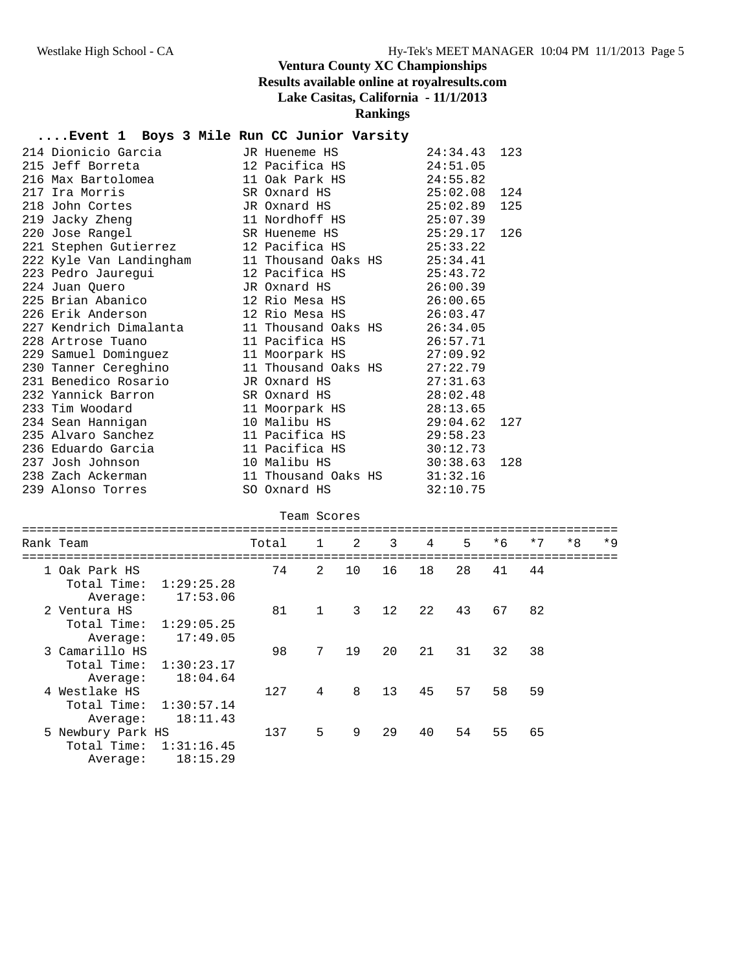| Rank Team               | $\mathbf{1}$<br>Total          | 2 | 3 | $\overline{4}$ | 5 | $*6$ | $*7$ | $*8$ | $*9$ |
|-------------------------|--------------------------------|---|---|----------------|---|------|------|------|------|
|                         | Team Scores                    |   |   |                |   |      |      |      |      |
| 239 Alonso Torres       | SO Oxnard HS                   |   |   | 32:10.75       |   |      |      |      |      |
| 238 Zach Ackerman       | 11 Thousand Oaks HS            |   |   | 31:32.16       |   |      |      |      |      |
| 237 Josh Johnson        | 10 Malibu HS                   |   |   | 30:38.63       |   | 128  |      |      |      |
| 236 Eduardo Garcia      | 11 Pacifica HS $30:12.73$      |   |   |                |   |      |      |      |      |
| 235 Alvaro Sanchez      | 11 Pacifica HS                 |   |   | 29:58.23       |   |      |      |      |      |
| 234 Sean Hannigan       | 10 Malibu HS                   |   |   | 29:04.62       |   | 127  |      |      |      |
| 233 Tim Woodard         | 11 Moorpark HS                 |   |   | 28:13.65       |   |      |      |      |      |
| 232 Yannick Barron      | SR Oxnard HS                   |   |   | 28:02.48       |   |      |      |      |      |
| 231 Benedico Rosario    | JR Oxnard HS                   |   |   | 27:31.63       |   |      |      |      |      |
| 230 Tanner Cereghino    | 11 Thousand Oaks $HS$ 27:22.79 |   |   |                |   |      |      |      |      |
| 229 Samuel Dominguez    | 11 Moorpark HS 27:09.92        |   |   |                |   |      |      |      |      |
| 228 Artrose Tuano       | 11 Pacifica HS                 |   |   | 26:57.71       |   |      |      |      |      |
| 227 Kendrich Dimalanta  | 11 Thousand Oaks HS            |   |   | 26:34.05       |   |      |      |      |      |
| 226 Erik Anderson       | 12 Rio Mesa HS                 |   |   | 26:03.47       |   |      |      |      |      |
| 225 Brian Abanico       | 12 Rio Mesa HS                 |   |   | 26:00.65       |   |      |      |      |      |
| 224 Juan Quero          | JR Oxnard HS                   |   |   | 26:00.39       |   |      |      |      |      |
| 223 Pedro Jauregui      | 12 Pacifica HS                 |   |   | 25:43.72       |   |      |      |      |      |
| 222 Kyle Van Landingham | 11 Thousand Oaks HS            |   |   | 25:34.41       |   |      |      |      |      |
| 221 Stephen Gutierrez   | 12 Pacifica HS                 |   |   | 25:33.22       |   |      |      |      |      |
| 220 Jose Rangel         | SR Hueneme HS                  |   |   | 25:29.17       |   | 126  |      |      |      |
| 219 Jacky Zheng         | 11 Nordhoff HS                 |   |   | 25:07.39       |   |      |      |      |      |
| 218 John Cortes         | JR Oxnard HS                   |   |   | 25:02.89       |   | 125  |      |      |      |
| 217 Ira Morris          | SR Oxnard HS                   |   |   | 25:02.08       |   | 124  |      |      |      |
| 216 Max Bartolomea      | 11 Oak Park HS                 |   |   | 24:55.82       |   |      |      |      |      |
| 215 Jeff Borreta        | 12 Pacifica HS                 |   |   | 24:51.05       |   |      |      |      |      |
| 214 Dionicio Garcia     | JR Hueneme HS                  |   |   | 24:34.43       |   | 123  |      |      |      |

| 1 Oak Park HS            |            | 74  | $2^{1}$         | 10           | 16 | 18  | 28 | 41 | 44 |  |
|--------------------------|------------|-----|-----------------|--------------|----|-----|----|----|----|--|
| Total Time:              | 1:29:25.28 |     |                 |              |    |     |    |    |    |  |
| Average:                 | 17:53.06   |     |                 |              |    |     |    |    |    |  |
| 2 Ventura HS             |            | 81  | $\mathbf{1}$    | $\mathbf{3}$ | 12 | 2.2 | 43 | 67 | 82 |  |
| Total Time: $1:29:05.25$ |            |     |                 |              |    |     |    |    |    |  |
| Average:                 | 17:49.05   |     |                 |              |    |     |    |    |    |  |
| 3 Camarillo HS           |            | 98  | $7\phantom{.0}$ | 19           | 20 | 2.1 | 31 | 32 | 38 |  |
| Total Time: $1:30:23.17$ |            |     |                 |              |    |     |    |    |    |  |
| Average:                 | 18:04.64   |     |                 |              |    |     |    |    |    |  |
| 4 Westlake HS            |            | 127 | 4               | 8            | 13 | 45  | 57 | 58 | 59 |  |
| Total Time: 1:30:57.14   |            |     |                 |              |    |     |    |    |    |  |
| Average:                 | 18:11.43   |     |                 |              |    |     |    |    |    |  |
| 5 Newbury Park HS        |            | 137 | 5               | 9            | 29 | 40  | 54 | 55 | 65 |  |
| Total Time:              | 1:31:16.45 |     |                 |              |    |     |    |    |    |  |
| Average:                 | 18:15.29   |     |                 |              |    |     |    |    |    |  |